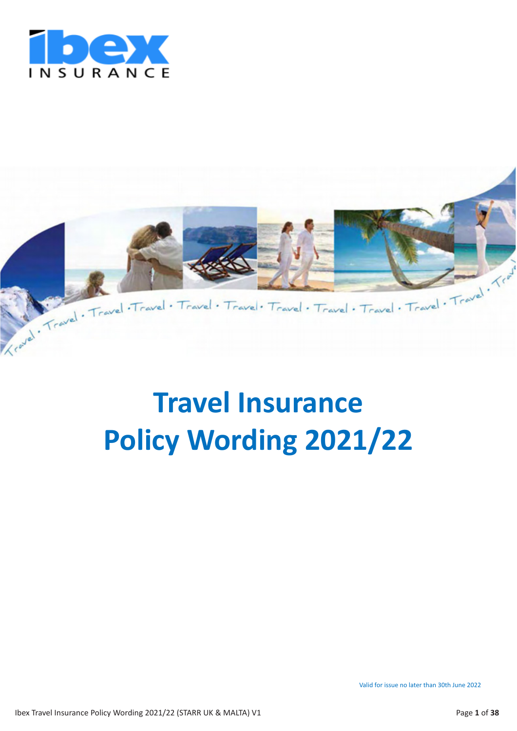



# **Travel Insurance Policy Wording 2021/22**

Valid for issue no later than 30th June 2022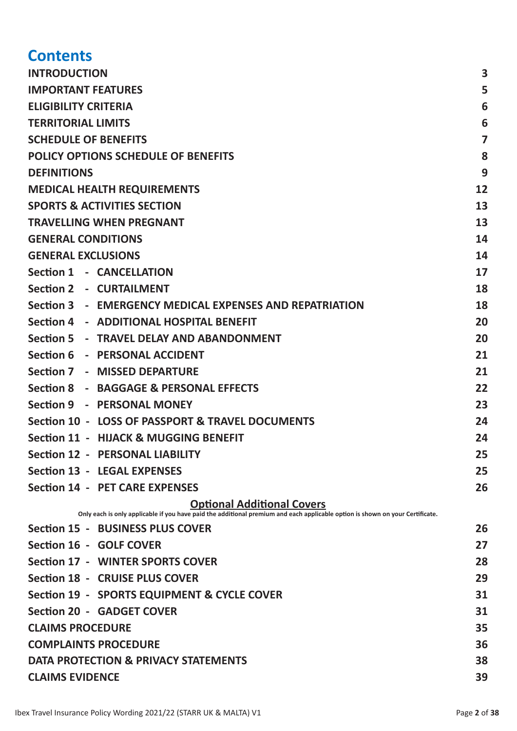# **Contents**

| <b>INTRODUCTION</b>                                                                                                                                                | 3              |  |
|--------------------------------------------------------------------------------------------------------------------------------------------------------------------|----------------|--|
| <b>IMPORTANT FEATURES</b>                                                                                                                                          |                |  |
| <b>ELIGIBILITY CRITERIA</b>                                                                                                                                        | 6              |  |
| <b>TERRITORIAL LIMITS</b>                                                                                                                                          |                |  |
| <b>SCHEDULE OF BENEFITS</b>                                                                                                                                        | $\overline{7}$ |  |
| <b>POLICY OPTIONS SCHEDULE OF BENEFITS</b>                                                                                                                         | 8              |  |
| <b>DEFINITIONS</b>                                                                                                                                                 | 9              |  |
| <b>MEDICAL HEALTH REQUIREMENTS</b>                                                                                                                                 | 12             |  |
| <b>SPORTS &amp; ACTIVITIES SECTION</b>                                                                                                                             | 13             |  |
| <b>TRAVELLING WHEN PREGNANT</b>                                                                                                                                    | 13             |  |
| <b>GENERAL CONDITIONS</b>                                                                                                                                          | 14             |  |
| <b>GENERAL EXCLUSIONS</b>                                                                                                                                          | 14             |  |
| Section 1 - CANCELLATION                                                                                                                                           | 17             |  |
| Section 2 - CURTAILMENT                                                                                                                                            | 18             |  |
| Section 3 - EMERGENCY MEDICAL EXPENSES AND REPATRIATION                                                                                                            | 18             |  |
| Section 4 - ADDITIONAL HOSPITAL BENEFIT                                                                                                                            | 20             |  |
| Section 5 - TRAVEL DELAY AND ABANDONMENT                                                                                                                           | 20             |  |
| Section 6 - PERSONAL ACCIDENT                                                                                                                                      | 21             |  |
| Section 7 - MISSED DEPARTURE                                                                                                                                       | 21             |  |
| Section 8 - BAGGAGE & PERSONAL EFFECTS                                                                                                                             | 22             |  |
| Section 9 - PERSONAL MONEY                                                                                                                                         | 23             |  |
| Section 10 - LOSS OF PASSPORT & TRAVEL DOCUMENTS                                                                                                                   | 24             |  |
| <b>Section 11 - HIJACK &amp; MUGGING BENEFIT</b>                                                                                                                   | 24             |  |
| <b>Section 12 - PERSONAL LIABILITY</b>                                                                                                                             | 25             |  |
| <b>Section 13 - LEGAL EXPENSES</b>                                                                                                                                 | 25             |  |
| <b>Section 14 - PET CARE EXPENSES</b>                                                                                                                              | 26             |  |
| <b>Optional Additional Covers</b><br>Only each is only applicable if you have paid the additional premium and each applicable option is shown on your Certificate. |                |  |
| Section 15 - BUSINESS PLUS COVER                                                                                                                                   | 26             |  |
| Section 16 - GOLF COVER                                                                                                                                            | 27             |  |
| Section 17 - WINTER SPORTS COVER                                                                                                                                   | 28             |  |
| Section 18 - CRUISE PLUS COVER                                                                                                                                     | 29             |  |
| Section 19 - SPORTS EQUIPMENT & CYCLE COVER                                                                                                                        | 31             |  |
| <b>Section 20 - GADGET COVER</b>                                                                                                                                   | 31             |  |
| <b>CLAIMS PROCEDURE</b>                                                                                                                                            | 35             |  |
| <b>COMPLAINTS PROCEDURE</b>                                                                                                                                        |                |  |
| DATA PROTECTION & PRIVACY STATEMENTS                                                                                                                               |                |  |
| 38<br><b>CLAIMS EVIDENCE</b><br>39                                                                                                                                 |                |  |
|                                                                                                                                                                    |                |  |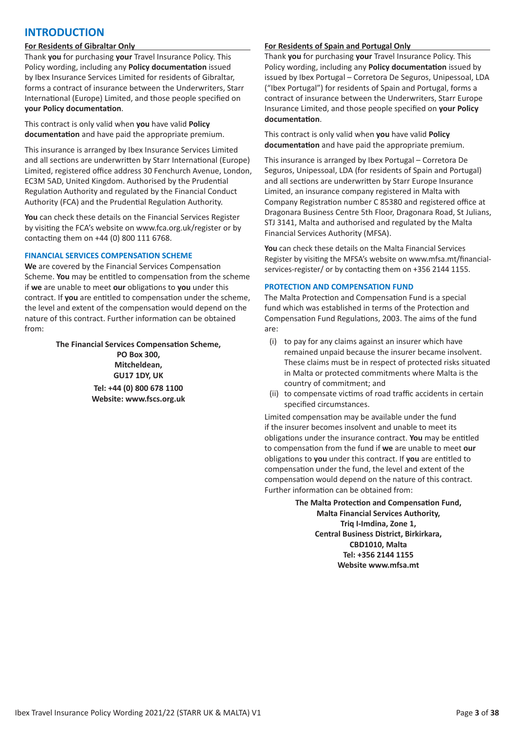# **INTRODUCTION**

# **For Residents of Gibraltar Only**

Thank **you** for purchasing **your** Travel Insurance Policy. This Policy wording, including any **Policy documentation** issued by Ibex Insurance Services Limited for residents of Gibraltar, forms a contract of insurance between the Underwriters, Starr International (Europe) Limited, and those people specified on **your Policy documentation**.

This contract is only valid when **you** have valid **Policy documentation** and have paid the appropriate premium.

This insurance is arranged by Ibex Insurance Services Limited and all sections are underwritten by Starr International (Europe) Limited, registered office address 30 Fenchurch Avenue, London, EC3M 5AD, United Kingdom. Authorised by the Prudential Regulation Authority and regulated by the Financial Conduct Authority (FCA) and the Prudential Regulation Authority.

**You** can check these details on the Financial Services Register by visiting the FCA's website on www.fca.org.uk/register or by contacting them on +44 (0) 800 111 6768.

#### **FINANCIAL SERVICES COMPENSATION SCHEME**

**We** are covered by the Financial Services Compensation Scheme. **You** may be entitled to compensation from the scheme if **we** are unable to meet **our** obligations to **you** under this contract. If **you** are entitled to compensation under the scheme, the level and extent of the compensation would depend on the nature of this contract. Further information can be obtained from:

> **The Financial Services Compensation Scheme, PO Box 300, Mitcheldean, GU17 1DY, UK**

**Tel: +44 (0) 800 678 1100 Website: www.fscs.org.uk**

#### **For Residents of Spain and Portugal Only**

Thank **you** for purchasing **your** Travel Insurance Policy. This Policy wording, including any **Policy documentation** issued by issued by Ibex Portugal – Corretora De Seguros, Unipessoal, LDA ("Ibex Portugal") for residents of Spain and Portugal, forms a contract of insurance between the Underwriters, Starr Europe Insurance Limited, and those people specified on **your Policy documentation**.

This contract is only valid when **you** have valid **Policy documentation** and have paid the appropriate premium.

This insurance is arranged by Ibex Portugal – Corretora De Seguros, Unipessoal, LDA (for residents of Spain and Portugal) and all sections are underwritten by Starr Europe Insurance Limited, an insurance company registered in Malta with Company Registration number C 85380 and registered office at Dragonara Business Centre 5th Floor, Dragonara Road, St Julians, STJ 3141, Malta and authorised and regulated by the Malta Financial Services Authority (MFSA).

**You** can check these details on the Malta Financial Services Register by visiting the MFSA's website on www.mfsa.mt/financialservices-register/ or by contacting them on +356 2144 1155.

#### **PROTECTION AND COMPENSATION FUND**

The Malta Protection and Compensation Fund is a special fund which was established in terms of the Protection and Compensation Fund Regulations, 2003. The aims of the fund are:

- (i) to pay for any claims against an insurer which have remained unpaid because the insurer became insolvent. These claims must be in respect of protected risks situated in Malta or protected commitments where Malta is the country of commitment; and
- (ii) to compensate victims of road traffic accidents in certain specified circumstances.

Limited compensation may be available under the fund if the insurer becomes insolvent and unable to meet its obligations under the insurance contract. **You** may be entitled to compensation from the fund if **we** are unable to meet **our** obligations to **you** under this contract. If **you** are entitled to compensation under the fund, the level and extent of the compensation would depend on the nature of this contract. Further information can be obtained from:

> **The Malta Protection and Compensation Fund, Malta Financial Services Authority, Triq I-Imdina, Zone 1, Central Business District, Birkirkara, CBD1010, Malta Tel: +356 2144 1155 Website www.mfsa.mt**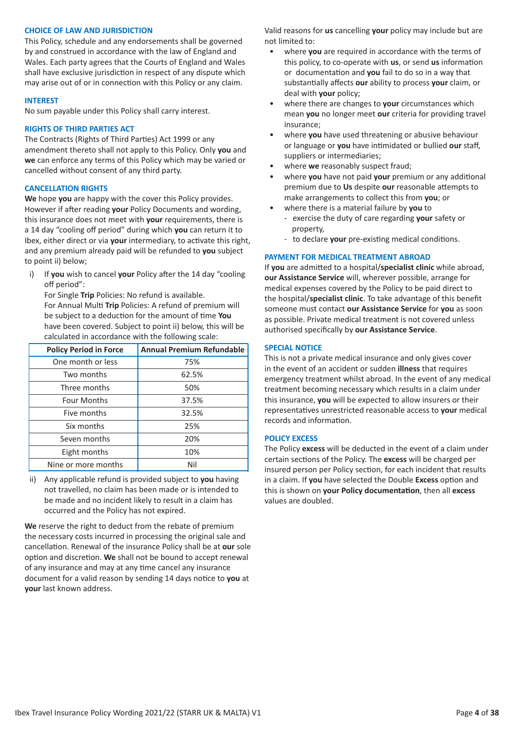### **CHOICE OF LAW AND JURISDICTION**

This Policy, schedule and any endorsements shall be governed by and construed in accordance with the law of England and Wales. Each party agrees that the Courts of England and Wales shall have exclusive jurisdiction in respect of any dispute which may arise out of or in connection with this Policy or any claim.

#### **INTEREST**

No sum payable under this Policy shall carry interest.

#### **RIGHTS OF THIRD PARTIES ACT**

The Contracts (Rights of Third Parties) Act 1999 or any amendment thereto shall not apply to this Policy. Only **you** and **we** can enforce any terms of this Policy which may be varied or cancelled without consent of any third party.

# **CANCELLATION RIGHTS**

**We** hope **you** are happy with the cover this Policy provides. However if after reading **your** Policy Documents and wording, this insurance does not meet with **your** requirements, there is a 14 day "cooling off period" during which **you** can return it to Ibex, either direct or via **your** intermediary, to activate this right, and any premium already paid will be refunded to **you** subject to point ii) below;

i) If **you** wish to cancel **your** Policy after the 14 day "cooling off period":

For Single **Trip** Policies: No refund is available. For Annual Multi **Trip** Policies: A refund of premium will be subject to a deduction for the amount of time **You** have been covered. Subject to point ii) below, this will be calculated in accordance with the following scale:

| <b>Policy Period in Force</b> | <b>Annual Premium Refundable</b> |
|-------------------------------|----------------------------------|
| One month or less             | 75%                              |
| Two months                    | 62.5%                            |
| Three months                  | 50%                              |
| <b>Four Months</b>            | 37.5%                            |
| Five months                   | 32.5%                            |
| Six months                    | 25%                              |
| Seven months                  | 20%                              |
| Eight months                  | 10%                              |
| Nine or more months           | Nil                              |

ii) Any applicable refund is provided subject to **you** having not travelled, no claim has been made or is intended to be made and no incident likely to result in a claim has occurred and the Policy has not expired.

**We** reserve the right to deduct from the rebate of premium the necessary costs incurred in processing the original sale and cancellation. Renewal of the insurance Policy shall be at **our** sole option and discretion. **We** shall not be bound to accept renewal of any insurance and may at any time cancel any insurance document for a valid reason by sending 14 days notice to **you** at **your** last known address.

Valid reasons for **us** cancelling **your** policy may include but are not limited to:

- where **you** are required in accordance with the terms of this policy, to co-operate with **us**, or send **us** information or documentation and **you** fail to do so in a way that substantially affects **our** ability to process **your** claim, or deal with **your** policy;
- where there are changes to **your** circumstances which mean **you** no longer meet **our** criteria for providing travel insurance;
- where **you** have used threatening or abusive behaviour or language or **you** have intimidated or bullied **our** staff, suppliers or intermediaries;
- where **we** reasonably suspect fraud;
- where **you** have not paid **your** premium or any additional premium due to **Us** despite **our** reasonable attempts to make arrangements to collect this from **you**; or
- where there is a material failure by **you** to
	- exercise the duty of care regarding **your** safety or property,
	- to declare **your** pre-existing medical conditions.

#### **PAYMENT FOR MEDICAL TREATMENT ABROAD**

If **you** are admitted to a hospital/**specialist clinic** while abroad, **our Assistance Service** will, wherever possible, arrange for medical expenses covered by the Policy to be paid direct to the hospital/**specialist clinic**. To take advantage of this benefit someone must contact **our Assistance Service** for **you** as soon as possible. Private medical treatment is not covered unless authorised specifically by **our Assistance Service**.

#### **SPECIAL NOTICE**

This is not a private medical insurance and only gives cover in the event of an accident or sudden **illness** that requires emergency treatment whilst abroad. In the event of any medical treatment becoming necessary which results in a claim under this insurance, **you** will be expected to allow insurers or their representatives unrestricted reasonable access to **your** medical records and information.

#### **POLICY EXCESS**

The Policy **excess** will be deducted in the event of a claim under certain sections of the Policy. The **excess** will be charged per insured person per Policy section, for each incident that results in a claim. If **you** have selected the Double **Excess** option and this is shown on **your Policy documentation**, then all **excess** values are doubled.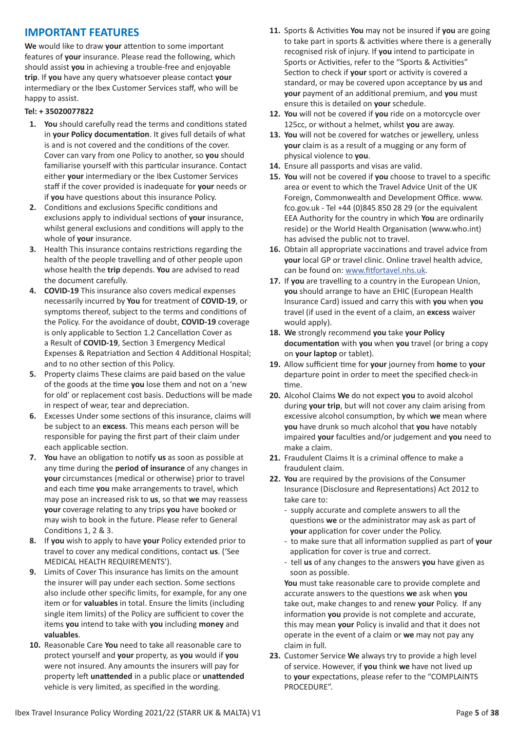# **IMPORTANT FEATURES**

**We** would like to draw **your** attention to some important features of **your** insurance. Please read the following, which should assist **you** in achieving a trouble-free and enjoyable **trip**. If **you** have any query whatsoever please contact **your** intermediary or the Ibex Customer Services staff, who will be happy to assist.

# **Tel: + 35020077822**

- **1. You** should carefully read the terms and conditions stated in **your Policy documentation**. It gives full details of what is and is not covered and the conditions of the cover. Cover can vary from one Policy to another, so **you** should familiarise yourself with this particular insurance. Contact either **your** intermediary or the Ibex Customer Services staff if the cover provided is inadequate for **your** needs or if **you** have questions about this insurance Policy.
- **2.** Conditions and exclusions Specific conditions and exclusions apply to individual sections of **your** insurance, whilst general exclusions and conditions will apply to the whole of **your** insurance.
- **3.** Health This insurance contains restrictions regarding the health of the people travelling and of other people upon whose health the **trip** depends. **You** are advised to read the document carefully.
- **4. COVID-19** This insurance also covers medical expenses necessarily incurred by **You** for treatment of **COVID-19**, or symptoms thereof, subject to the terms and conditions of the Policy. For the avoidance of doubt, **COVID-19** coverage is only applicable to Section 1.2 Cancellation Cover as a Result of **COVID-19**, Section 3 Emergency Medical Expenses & Repatriation and Section 4 Additional Hospital; and to no other section of this Policy.
- **5.** Property claims These claims are paid based on the value of the goods at the time **you** lose them and not on a 'new for old' or replacement cost basis. Deductions will be made in respect of wear, tear and depreciation.
- **6.** Excesses Under some sections of this insurance, claims will be subject to an **excess**. This means each person will be responsible for paying the first part of their claim under each applicable section.
- **7. You** have an obligation to notify **us** as soon as possible at any time during the **period of insurance** of any changes in **your** circumstances (medical or otherwise) prior to travel and each time **you** make arrangements to travel, which may pose an increased risk to **us**, so that **we** may reassess **your** coverage relating to any trips **you** have booked or may wish to book in the future. Please refer to General Conditions 1, 2 & 3.
- **8.** If **you** wish to apply to have **your** Policy extended prior to travel to cover any medical conditions, contact **us**. ('See MEDICAL HEALTH REQUIREMENTS').
- **9.** Limits of Cover This insurance has limits on the amount the insurer will pay under each section. Some sections also include other specific limits, for example, for any one item or for **valuables** in total. Ensure the limits (including single item limits) of the Policy are sufficient to cover the items **you** intend to take with **you** including **money** and **valuables**.
- **10.** Reasonable Care **You** need to take all reasonable care to protect yourself and **your** property, as **you** would if **you** were not insured. Any amounts the insurers will pay for property left **unattended** in a public place or **unattended** vehicle is very limited, as specified in the wording.
- **11.** Sports & Activities **You** may not be insured if **you** are going to take part in sports & activities where there is a generally recognised risk of injury. If **you** intend to participate in Sports or Activities, refer to the "Sports & Activities" Section to check if **your** sport or activity is covered a standard, or may be covered upon acceptance by **us** and **your** payment of an additional premium, and **you** must ensure this is detailed on **your** schedule.
- **12. You** will not be covered if **you** ride on a motorcycle over 125cc, or without a helmet, whilst **you** are away.
- **13. You** will not be covered for watches or jewellery, unless **your** claim is as a result of a mugging or any form of physical violence to **you**.
- **14.** Ensure all passports and visas are valid.
- **15. You** will not be covered if **you** choose to travel to a specific area or event to which the Travel Advice Unit of the UK Foreign, Commonwealth and Development Office. www. fco.gov.uk - Tel +44 (0)845 850 28 29 (or the equivalent EEA Authority for the country in which **You** are ordinarily reside) or the World Health Organisation (www.who.int) has advised the public not to travel.
- **16.** Obtain all appropriate vaccinations and travel advice from **your** local GP or travel clinic. Online travel health advice, can be found on: www.fitfortavel.nhs.uk.
- **17.** If **you** are travelling to a country in the European Union, **you** should arrange to have an EHIC (European Health Insurance Card) issued and carry this with **you** when **you** travel (if used in the event of a claim, an **excess** waiver would apply).
- **18. We** strongly recommend **you** take **your Policy documentation** with **you** when **you** travel (or bring a copy on **your laptop** or tablet).
- **19.** Allow sufficient time for **your** journey from **home** to **your** departure point in order to meet the specified check-in time.
- **20.** Alcohol Claims **We** do not expect **you** to avoid alcohol during **your trip**, but will not cover any claim arising from excessive alcohol consumption, by which **we** mean where **you** have drunk so much alcohol that **you** have notably impaired **your** faculties and/or judgement and **you** need to make a claim.
- **21.** Fraudulent Claims It is a criminal offence to make a fraudulent claim.
- **22. You** are required by the provisions of the Consumer Insurance (Disclosure and Representations) Act 2012 to take care to:
	- supply accurate and complete answers to all the questions **we** or the administrator may ask as part of **your** application for cover under the Policy.
	- to make sure that all information supplied as part of **your** application for cover is true and correct.
	- tell **us** of any changes to the answers **you** have given as soon as possible.

**You** must take reasonable care to provide complete and accurate answers to the questions **we** ask when **you** take out, make changes to and renew **your** Policy. If any information **you** provide is not complete and accurate, this may mean **your** Policy is invalid and that it does not operate in the event of a claim or **we** may not pay any claim in full.

**23.** Customer Service **We** always try to provide a high level of service. However, if **you** think **we** have not lived up to **your** expectations, please refer to the "COMPLAINTS PROCEDURE".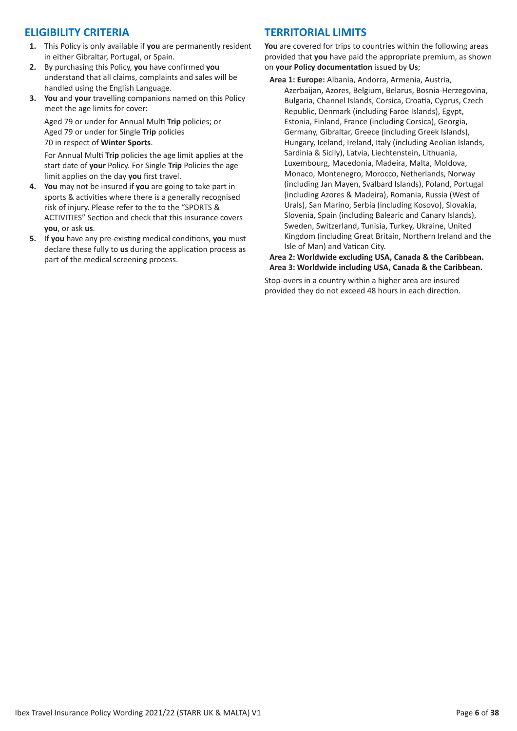# **ELIGIBILITY CRITERIA**

- **1.** This Policy is only available if **you** are permanently resident in either Gibraltar, Portugal, or Spain.
- **2.** By purchasing this Policy, **you** have confirmed **you** understand that all claims, complaints and sales will be handled using the English Language.
- **3. You** and **your** travelling companions named on this Policy meet the age limits for cover:

Aged 79 or under for Annual Multi **Trip** policies; or Aged 79 or under for Single **Trip** policies 70 in respect of **Winter Sports**.

For Annual Multi **Trip** policies the age limit applies at the start date of **your** Policy. For Single **Trip** Policies the age limit applies on the day **you** first travel.

- **4. You** may not be insured if **you** are going to take part in sports & activities where there is a generally recognised risk of injury. Please refer to the to the "SPORTS & ACTIVITIES" Section and check that this insurance covers **you**, or ask **us**.
- **5.** If **you** have any pre-existing medical conditions, **you** must declare these fully to **us** during the application process as part of the medical screening process.

# **TERRITORIAL LIMITS**

**You** are covered for trips to countries within the following areas provided that **you** have paid the appropriate premium, as shown on **your Policy documentation** issued by **Us**;

**Area 1: Europe:** Albania, Andorra, Armenia, Austria, Azerbaijan, Azores, Belgium, Belarus, Bosnia-Herzegovina, Bulgaria, Channel Islands, Corsica, Croatia, Cyprus, Czech Republic, Denmark (including Faroe Islands), Egypt, Estonia, Finland, France (including Corsica), Georgia, Germany, Gibraltar, Greece (including Greek Islands), Hungary, Iceland, Ireland, Italy (including Aeolian Islands, Sardinia & Sicily), Latvia, Liechtenstein, Lithuania, Luxembourg, Macedonia, Madeira, Malta, Moldova, Monaco, Montenegro, Morocco, Netherlands, Norway (including Jan Mayen, Svalbard Islands), Poland, Portugal (including Azores & Madeira), Romania, Russia (West of Urals), San Marino, Serbia (including Kosovo), Slovakia, Slovenia, Spain (including Balearic and Canary Islands), Sweden, Switzerland, Tunisia, Turkey, Ukraine, United Kingdom (including Great Britain, Northern Ireland and the Isle of Man) and Vatican City.

# **Area 2: Worldwide excluding USA, Canada & the Caribbean. Area 3: Worldwide including USA, Canada & the Caribbean.**

Stop-overs in a country within a higher area are insured provided they do not exceed 48 hours in each direction.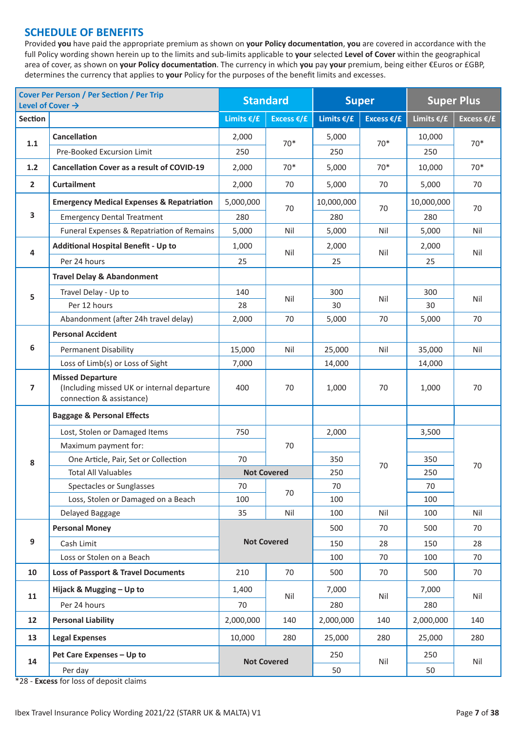# **SCHEDULE OF BENEFITS**

Provided **you** have paid the appropriate premium as shown on **your Policy documentation**, **you** are covered in accordance with the full Policy wording shown herein up to the limits and sub-limits applicable to **your** selected **Level of Cover** within the geographical area of cover, as shown on **your Policy documentation**. The currency in which **you** pay **your** premium, being either €Euros or £GBP, determines the currency that applies to **your** Policy for the purposes of the benefit limits and excesses.

| <b>Cover Per Person / Per Section / Per Trip</b><br>Level of Cover $\rightarrow$ |                                                                                                   | <b>Standard</b>    |                      | <b>Super</b>  |                      | <b>Super Plus</b>    |                      |  |
|----------------------------------------------------------------------------------|---------------------------------------------------------------------------------------------------|--------------------|----------------------|---------------|----------------------|----------------------|----------------------|--|
| <b>Section</b>                                                                   |                                                                                                   | Limits $€/£$       | Excess $\epsilon$ /£ | Limits $€/£$  | Excess $\epsilon$ /£ | Limits $\epsilon$ /£ | Excess $\epsilon$ /£ |  |
|                                                                                  | <b>Cancellation</b>                                                                               | 2,000              |                      | 5,000         | $70*$                | 10,000               | $70*$                |  |
| 1.1                                                                              | Pre-Booked Excursion Limit                                                                        | 250                | $70*$                | 250           |                      | 250                  |                      |  |
| 1.2                                                                              | <b>Cancellation Cover as a result of COVID-19</b>                                                 | 2,000              | $70*$                | 5,000         | $70*$                | 10,000               | $70*$                |  |
| $\overline{2}$                                                                   | <b>Curtailment</b>                                                                                | 2,000              | 70                   | 5,000         | 70                   | 5,000                | 70                   |  |
|                                                                                  | <b>Emergency Medical Expenses &amp; Repatriation</b>                                              | 5,000,000          | 70                   | 10,000,000    |                      | 10,000,000           | 70                   |  |
| 3                                                                                | <b>Emergency Dental Treatment</b>                                                                 | 280                |                      | 280           | 70                   | 280                  |                      |  |
|                                                                                  | Funeral Expenses & Repatriation of Remains                                                        | 5,000              | Nil                  | 5,000         | Nil                  | 5,000                | Nil                  |  |
| 4                                                                                | <b>Additional Hospital Benefit - Up to</b>                                                        | 1,000              | Nil                  | 2,000         | Nil                  | 2,000                | Nil                  |  |
|                                                                                  | Per 24 hours                                                                                      | 25                 |                      | 25            |                      | 25                   |                      |  |
|                                                                                  | <b>Travel Delay &amp; Abandonment</b>                                                             |                    |                      |               |                      |                      |                      |  |
| 5                                                                                | Travel Delay - Up to                                                                              | 140                |                      | 300           |                      | 300                  | Nil                  |  |
|                                                                                  | Per 12 hours                                                                                      | 28                 | Nil                  | 30            | Nil                  | 30                   |                      |  |
|                                                                                  | Abandonment (after 24h travel delay)                                                              | 2,000              | 70                   | 5,000         | 70                   | 5,000                | 70                   |  |
|                                                                                  | <b>Personal Accident</b>                                                                          |                    |                      |               |                      |                      |                      |  |
| 6                                                                                | <b>Permanent Disability</b>                                                                       | 15,000             | Nil                  | 25,000<br>Nil |                      | 35,000               | Nil                  |  |
|                                                                                  | Loss of Limb(s) or Loss of Sight                                                                  |                    |                      | 14,000        |                      | 14,000               |                      |  |
| $\overline{7}$                                                                   | <b>Missed Departure</b><br>(Including missed UK or internal departure<br>connection & assistance) | 400                | 70                   | 1,000         | 70                   | 1,000                | 70                   |  |
|                                                                                  | <b>Baggage &amp; Personal Effects</b>                                                             |                    |                      |               |                      |                      |                      |  |
|                                                                                  | Lost, Stolen or Damaged Items                                                                     | 750                |                      | 2,000         | 70                   | 3,500                | 70                   |  |
|                                                                                  | Maximum payment for:                                                                              |                    | 70                   |               |                      |                      |                      |  |
| 8                                                                                | One Article, Pair, Set or Collection                                                              | 70                 |                      | 350           |                      | 350                  |                      |  |
|                                                                                  | <b>Total All Valuables</b>                                                                        |                    | <b>Not Covered</b>   | 250           |                      | 250                  |                      |  |
|                                                                                  | Spectacles or Sunglasses                                                                          | 70                 | 70                   | 70            |                      | 70                   |                      |  |
|                                                                                  | Loss, Stolen or Damaged on a Beach                                                                | 100                |                      | 100           |                      | 100                  |                      |  |
|                                                                                  | Delayed Baggage                                                                                   | 35                 | Nil                  | 100           | Nil                  | 100                  | Nil                  |  |
|                                                                                  | <b>Personal Money</b>                                                                             |                    |                      | 500           | 70                   | 500                  | 70                   |  |
| 9                                                                                | Cash Limit                                                                                        |                    | <b>Not Covered</b>   | 150           | 28                   | 150                  | 28                   |  |
|                                                                                  | Loss or Stolen on a Beach                                                                         |                    |                      | 100           | 70                   | 100                  | 70                   |  |
| 10                                                                               | <b>Loss of Passport &amp; Travel Documents</b>                                                    | 210                | 70                   | 500           | 70                   | 500                  | 70                   |  |
| 11                                                                               | Hijack & Mugging - Up to                                                                          | 1,400              | Nil                  |               | Nil                  | 7,000                | Nil                  |  |
|                                                                                  | Per 24 hours                                                                                      | 70                 |                      | 280           |                      | 280                  |                      |  |
| 12                                                                               | <b>Personal Liability</b><br>2,000,000                                                            |                    | 140                  | 2,000,000     | 140                  | 2,000,000            | 140                  |  |
| 13                                                                               | <b>Legal Expenses</b>                                                                             | 10,000             | 280                  | 25,000        | 280                  | 25,000               | 280                  |  |
| 14                                                                               | Pet Care Expenses - Up to                                                                         |                    |                      | 250           | Nil                  | 250                  | Nil                  |  |
| Per day                                                                          |                                                                                                   | <b>Not Covered</b> |                      | 50            |                      | 50                   |                      |  |

\*28 - **Excess** for loss of deposit claims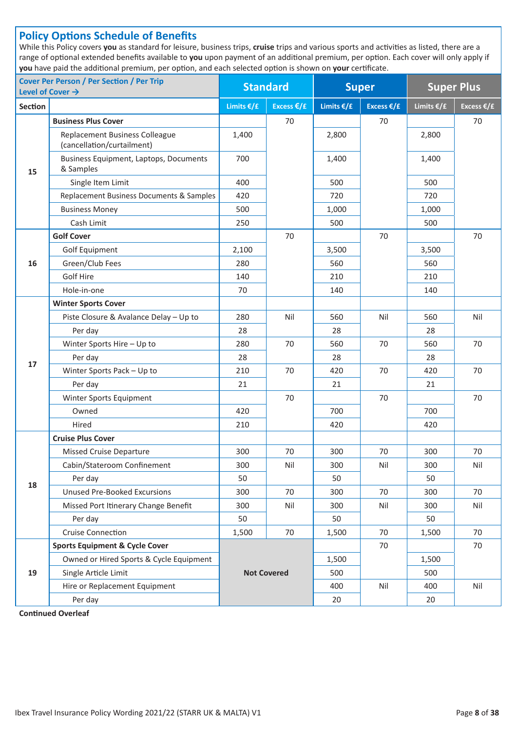# **Policy Options Schedule of Benefits**

While this Policy covers **you** as standard for leisure, business trips, **cruise** trips and various sports and activities as listed, there are a range of optional extended benefits available to **you** upon payment of an additional premium, per option. Each cover will only apply if **you** have paid the additional premium, per option, and each selected option is shown on **your** certificate.

| <b>Cover Per Person / Per Section / Per Trip</b><br>Level of Cover $\rightarrow$ |                                                                     | <b>Standard</b>        | <b>Super</b> |              | <b>Super Plus</b>    |            |                      |
|----------------------------------------------------------------------------------|---------------------------------------------------------------------|------------------------|--------------|--------------|----------------------|------------|----------------------|
| Section                                                                          |                                                                     | Limits $€/£$           | Excess €/£   | Limits $€/£$ | Excess $\epsilon$ /£ | Limits €/£ | Excess $\epsilon$ /£ |
|                                                                                  | <b>Business Plus Cover</b>                                          |                        | 70           |              | 70                   |            | 70                   |
|                                                                                  | <b>Replacement Business Colleague</b><br>(cancellation/curtailment) | 1,400                  |              |              |                      | 2,800      |                      |
| 15                                                                               | Business Equipment, Laptops, Documents<br>& Samples                 | 700                    |              | 1,400        |                      | 1,400      |                      |
|                                                                                  | Single Item Limit                                                   | 400                    |              | 500          |                      | 500        |                      |
|                                                                                  | Replacement Business Documents & Samples                            | 420                    |              | 720          |                      | 720        |                      |
|                                                                                  | <b>Business Money</b>                                               | 500                    |              | 1,000        |                      | 1,000      |                      |
|                                                                                  | Cash Limit                                                          | 250                    |              | 500          |                      | 500        |                      |
|                                                                                  | <b>Golf Cover</b>                                                   |                        | 70           |              | 70                   |            | 70                   |
|                                                                                  | Golf Equipment                                                      | 2,100                  |              | 3,500        |                      | 3,500      |                      |
| 16                                                                               | Green/Club Fees                                                     | 280                    |              | 560          |                      | 560        |                      |
|                                                                                  | Golf Hire                                                           | 140                    |              | 210          |                      | 210        |                      |
|                                                                                  | Hole-in-one                                                         | 70                     |              | 140          |                      | 140        |                      |
|                                                                                  | <b>Winter Sports Cover</b>                                          |                        |              |              |                      |            |                      |
|                                                                                  | Piste Closure & Avalance Delay - Up to                              | 280                    | Nil          |              | Nil                  | 560        | Nil                  |
|                                                                                  | Per day                                                             | 28                     |              | 28           |                      | 28         |                      |
|                                                                                  | Winter Sports Hire - Up to                                          | 70<br>280              |              | 560          | 70                   | 560        | 70                   |
| 17                                                                               | Per day<br>28<br>28                                                 |                        | 28           |              |                      |            |                      |
|                                                                                  | Winter Sports Pack - Up to                                          | 70<br>70<br>210<br>420 |              | 420          | 70                   |            |                      |
|                                                                                  | Per day                                                             | 21                     |              | 21           |                      | 21         |                      |
|                                                                                  | Winter Sports Equipment                                             | 70                     |              |              | 70                   |            | 70                   |
|                                                                                  | Owned                                                               | 420                    |              | 700          |                      | 700        |                      |
|                                                                                  | Hired                                                               | 210                    |              | 420          |                      | 420        |                      |
|                                                                                  | <b>Cruise Plus Cover</b>                                            |                        |              |              |                      |            |                      |
|                                                                                  | <b>Missed Cruise Departure</b>                                      | 300<br>70<br>300       |              | 70           | 300                  | 70         |                      |
|                                                                                  | Cabin/Stateroom Confinement                                         | 300                    | Nil          | 300          | Nil                  | 300        | Nil                  |
| 18                                                                               | Per day                                                             | 50                     |              | 50           |                      | 50         |                      |
|                                                                                  | <b>Unused Pre-Booked Excursions</b>                                 | 300                    | 70           | 300          | 70                   | 300        | 70                   |
|                                                                                  | Missed Port Itinerary Change Benefit                                | 300                    | Nil          | 300          | Nil                  | 300        | Nil                  |
|                                                                                  | Per day                                                             | 50                     |              | 50           |                      | 50         |                      |
|                                                                                  | Cruise Connection                                                   | 1,500                  | 70           | 1,500        | 70                   | 1,500      | 70                   |
|                                                                                  | <b>Sports Equipment &amp; Cycle Cover</b>                           |                        |              |              | 70                   |            | 70                   |
|                                                                                  | Owned or Hired Sports & Cycle Equipment                             |                        |              | 1,500        |                      | 1,500      |                      |
| 19                                                                               | Single Article Limit                                                | <b>Not Covered</b>     |              | 500          |                      | 500        |                      |
|                                                                                  | Hire or Replacement Equipment                                       |                        |              | 400          | Nil                  | 400        | Nil                  |
|                                                                                  | Per day                                                             |                        |              | 20           |                      | 20         |                      |

**Continued Overleaf**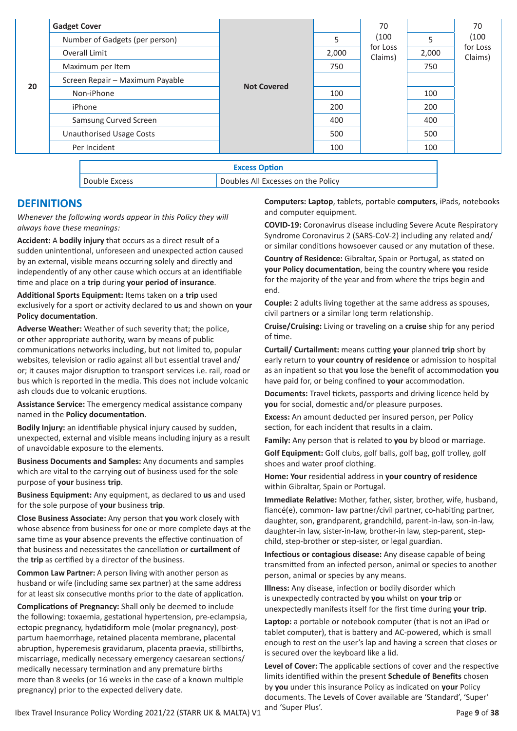|                                 | <b>Gadget Cover</b>             |                      |       | 70                           |       | 70                           |
|---------------------------------|---------------------------------|----------------------|-------|------------------------------|-------|------------------------------|
| 20                              | Number of Gadgets (per person)  | <b>Not Covered</b>   | 5     | (100)<br>for Loss<br>Claims) | 5     | (100)<br>for Loss<br>Claims) |
|                                 | Overall Limit                   |                      | 2,000 |                              | 2,000 |                              |
|                                 | Maximum per Item                |                      | 750   |                              | 750   |                              |
|                                 | Screen Repair - Maximum Payable |                      |       |                              |       |                              |
|                                 | Non-iPhone                      |                      | 100   |                              | 100   |                              |
|                                 | iPhone                          |                      | 200   |                              | 200   |                              |
|                                 | Samsung Curved Screen           |                      | 400   |                              | 400   |                              |
| <b>Unauthorised Usage Costs</b> |                                 |                      | 500   |                              | 500   |                              |
|                                 | Per Incident                    |                      | 100   |                              | 100   |                              |
|                                 |                                 | <b>Excess Option</b> |       |                              |       |                              |

Double Excess Doubles All Excesses on the Policy

# **DEFINITIONS**

*Whenever the following words appear in this Policy they will always have these meanings:*

**Accident:** A **bodily injury** that occurs as a direct result of a sudden unintentional, unforeseen and unexpected action caused by an external, visible means occurring solely and directly and independently of any other cause which occurs at an identifiable time and place on a **trip** during **your period of insurance**.

**Additional Sports Equipment:** Items taken on a **trip** used exclusively for a sport or activity declared to **us** and shown on **your Policy documentation**.

**Adverse Weather:** Weather of such severity that; the police, or other appropriate authority, warn by means of public communications networks including, but not limited to, popular websites, television or radio against all but essential travel and/ or; it causes major disruption to transport services i.e. rail, road or bus which is reported in the media. This does not include volcanic ash clouds due to volcanic eruptions.

**Assistance Service:** The emergency medical assistance company named in the **Policy documentation**.

**Bodily Injury:** an identifiable physical injury caused by sudden, unexpected, external and visible means including injury as a result of unavoidable exposure to the elements.

**Business Documents and Samples:** Any documents and samples which are vital to the carrying out of business used for the sole purpose of **your** business **trip**.

**Business Equipment:** Any equipment, as declared to **us** and used for the sole purpose of **your** business **trip**.

**Close Business Associate:** Any person that **you** work closely with whose absence from business for one or more complete days at the same time as **your** absence prevents the effective continuation of that business and necessitates the cancellation or **curtailment** of the **trip** as certified by a director of the business.

**Common Law Partner:** A person living with another person as husband or wife (including same sex partner) at the same address for at least six consecutive months prior to the date of application.

**Complications of Pregnancy:** Shall only be deemed to include the following: toxaemia, gestational hypertension, pre-eclampsia, ectopic pregnancy, hydatidiform mole (molar pregnancy), postpartum haemorrhage, retained placenta membrane, placental abruption, hyperemesis gravidarum, placenta praevia, stillbirths, miscarriage, medically necessary emergency caesarean sections/ medically necessary termination and any premature births more than 8 weeks (or 16 weeks in the case of a known multiple pregnancy) prior to the expected delivery date.

**Computers: Laptop**, tablets, portable **computers**, iPads, notebooks and computer equipment.

**COVID-19:** Coronavirus disease including Severe Acute Respiratory Syndrome Coronavirus 2 (SARS-CoV-2) including any related and/ or similar conditions howsoever caused or any mutation of these.

**Country of Residence:** Gibraltar, Spain or Portugal, as stated on **your Policy documentation**, being the country where **you** reside for the majority of the year and from where the trips begin and end.

**Couple:** 2 adults living together at the same address as spouses, civil partners or a similar long term relationship.

**Cruise/Cruising:** Living or traveling on a **cruise** ship for any period of time.

**Curtail/ Curtailment:** means cutting **your** planned **trip** short by early return to **your country of residence** or admission to hospital as an inpatient so that **you** lose the benefit of accommodation **you** have paid for, or being confined to **your** accommodation.

**Documents:** Travel tickets, passports and driving licence held by **you** for social, domestic and/or pleasure purposes.

**Excess:** An amount deducted per insured person, per Policy section, for each incident that results in a claim.

**Family:** Any person that is related to **you** by blood or marriage.

**Golf Equipment:** Golf clubs, golf balls, golf bag, golf trolley, golf shoes and water proof clothing.

**Home: Your** residential address in **your country of residence** within Gibraltar, Spain or Portugal.

**Immediate Relative:** Mother, father, sister, brother, wife, husband, fiancé(e), common- law partner/civil partner, co-habiting partner, daughter, son, grandparent, grandchild, parent-in-law, son-in-law, daughter-in law, sister-in-law, brother-in law, step-parent, stepchild, step-brother or step-sister, or legal guardian.

**Infectious or contagious disease:** Any disease capable of being transmitted from an infected person, animal or species to another person, animal or species by any means.

**Illness:** Any disease, infection or bodily disorder which is unexpectedly contracted by **you** whilst on **your trip** or unexpectedly manifests itself for the first time during **your trip**.

**Laptop:** a portable or notebook computer (that is not an iPad or tablet computer), that is battery and AC-powered, which is small enough to rest on the user's lap and having a screen that closes or is secured over the keyboard like a lid.

**Level of Cover:** The applicable sections of cover and the respective limits identified within the present **Schedule of Benefits** chosen by **you** under this insurance Policy as indicated on **your** Policy documents. The Levels of Cover available are 'Standard', 'Super' and 'Super Plus'.

Ibex Travel Insurance Policy Wording 2021/22 (STARR UK & MALTA) V1 and super rides.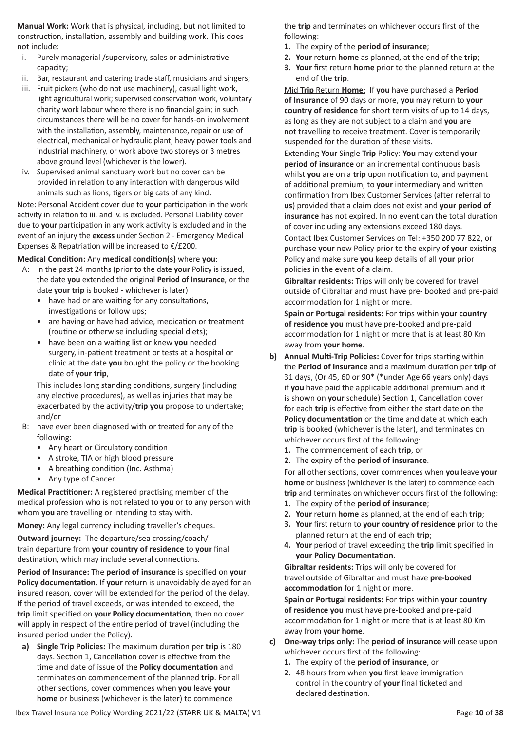**Manual Work:** Work that is physical, including, but not limited to construction, installation, assembly and building work. This does not include:

- i. Purely managerial /supervisory, sales or administrative capacity;
- ii. Bar, restaurant and catering trade staff, musicians and singers;
- iii. Fruit pickers (who do not use machinery), casual light work, light agricultural work; supervised conservation work, voluntary charity work labour where there is no financial gain; in such circumstances there will be no cover for hands-on involvement with the installation, assembly, maintenance, repair or use of electrical, mechanical or hydraulic plant, heavy power tools and industrial machinery, or work above two storeys or 3 metres above ground level (whichever is the lower).
- iv. Supervised animal sanctuary work but no cover can be provided in relation to any interaction with dangerous wild animals such as lions, tigers or big cats of any kind.

Note: Personal Accident cover due to **your** participation in the work activity in relation to iii. and iv. is excluded. Personal Liability cover due to **your** participation in any work activity is excluded and in the event of an injury the **excess** under Section 2 - Emergency Medical Expenses & Repatriation will be increased to €/£200.

# **Medical Condition:** Any **medical condition(s)** where **you**:

- A: in the past 24 months (prior to the date **your** Policy is issued, the date **you** extended the original **Period of Insurance**, or the date **your trip** is booked - whichever is later)
	- have had or are waiting for any consultations, investigations or follow ups;
	- are having or have had advice, medication or treatment (routine or otherwise including special diets);
	- have been on a waiting list or knew **you** needed surgery, in-patient treatment or tests at a hospital or clinic at the date **you** bought the policy or the booking date of **your trip**,

This includes long standing conditions, surgery (including any elective procedures), as well as injuries that may be exacerbated by the activity/**trip you** propose to undertake; and/or

- B: have ever been diagnosed with or treated for any of the following:
	- Any heart or Circulatory condition
	- A stroke, TIA or high blood pressure
	- A breathing condition (Inc. Asthma)
	- Any type of Cancer

**Medical Practitioner:** A registered practising member of the medical profession who is not related to **you** or to any person with whom **you** are travelling or intending to stay with.

**Money:** Any legal currency including traveller's cheques.

**Outward journey:** The departure/sea crossing/coach/ train departure from **your country of residence** to **your** final destination, which may include several connections.

**Period of Insurance:** The **period of insurance** is specified on **your Policy documentation**. If **your** return is unavoidably delayed for an insured reason, cover will be extended for the period of the delay. If the period of travel exceeds, or was intended to exceed, the **trip** limit specified on **your Policy documentation**, then no cover will apply in respect of the entire period of travel (including the insured period under the Policy).

**a) Single Trip Policies:** The maximum duration per **trip** is 180 days. Section 1, Cancellation cover is effective from the time and date of issue of the **Policy documentation** and terminates on commencement of the planned **trip**. For all other sections, cover commences when **you** leave **your home** or business (whichever is the later) to commence

Ibex Travel Insurance Policy Wording 2021/22 (STARR UK & MALTA) V1 Page 10 of 38

the **trip** and terminates on whichever occurs first of the following:

- **1.** The expiry of the **period of insurance**;
- **2. Your** return **home** as planned, at the end of the **trip**;
- **3. Your** first return **home** prior to the planned return at the end of the **trip**.

Mid **Trip** Return **Home**: If **you** have purchased a **Period of Insurance** of 90 days or more, **you** may return to **your country of residence** for short term visits of up to 14 days, as long as they are not subject to a claim and **you** are not travelling to receive treatment. Cover is temporarily suspended for the duration of these visits.

Extending **Your** Single **Trip** Policy: **You** may extend **your period of insurance** on an incremental continuous basis whilst **you** are on a **trip** upon notification to, and payment of additional premium, to **your** intermediary and written confirmation from Ibex Customer Services (after referral to **us**) provided that a claim does not exist and **your period of insurance** has not expired. In no event can the total duration of cover including any extensions exceed 180 days.

Contact Ibex Customer Services on Tel: +350 200 77 822, or purchase **your** new Policy prior to the expiry of **your** existing Policy and make sure **you** keep details of all **your** prior policies in the event of a claim.

**Gibraltar residents:** Trips will only be covered for travel outside of Gibraltar and must have pre- booked and pre-paid accommodation for 1 night or more.

**Spain or Portugal residents:** For trips within **your country of residence you** must have pre-booked and pre-paid accommodation for 1 night or more that is at least 80 Km away from **your home**.

- **b) Annual Multi-Trip Policies:** Cover for trips starting within the **Period of Insurance** and a maximum duration per **trip** of 31 days, (Or 45, 60 or 90\* (\*under Age 66 years only) days if **you** have paid the applicable additional premium and it is shown on **your** schedule) Section 1, Cancellation cover for each **trip** is effective from either the start date on the **Policy documentation** or the time and date at which each **trip** is booked (whichever is the later), and terminates on whichever occurs first of the following:
	- **1.** The commencement of each **trip**, or
	- **2.** The expiry of the **period of insurance**.

For all other sections, cover commences when **you** leave **your home** or business (whichever is the later) to commence each **trip** and terminates on whichever occurs first of the following:

- **1.** The expiry of the **period of insurance**;
- **2. Your** return **home** as planned, at the end of each **trip**;
- **3. Your** first return to **your country of residence** prior to the planned return at the end of each **trip**;
- **4. Your** period of travel exceeding the **trip** limit specified in **your Policy Documentation**.

**Gibraltar residents:** Trips will only be covered for travel outside of Gibraltar and must have **pre-booked accommodation** for 1 night or more.

**Spain or Portugal residents:** For trips within **your country of residence you** must have pre-booked and pre-paid accommodation for 1 night or more that is at least 80 Km away from **your home**.

- **c) One-way trips only:** The **period of insurance** will cease upon whichever occurs first of the following:
	- **1.** The expiry of the **period of insurance**, or
	- **2.** 48 hours from when **you** first leave immigration control in the country of **your** final ticketed and declared destination.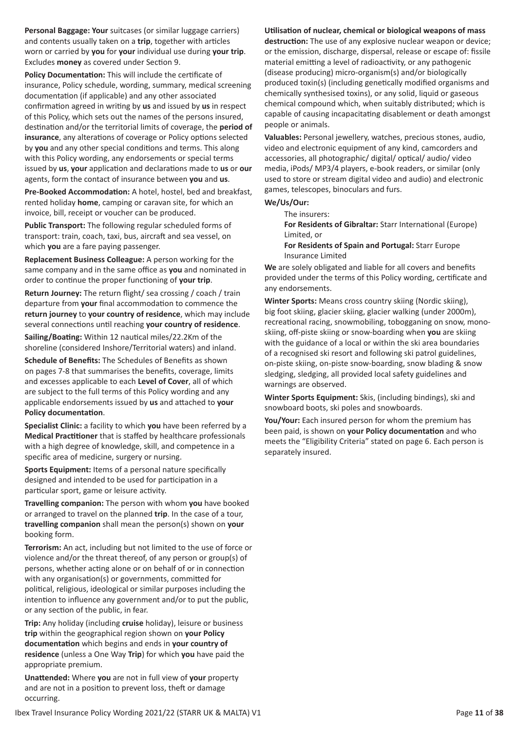**Personal Baggage: Your** suitcases (or similar luggage carriers) and contents usually taken on a **trip**, together with articles worn or carried by **you** for **your** individual use during **your trip**. Excludes **money** as covered under Section 9.

**Policy Documentation:** This will include the certificate of insurance, Policy schedule, wording, summary, medical screening documentation (if applicable) and any other associated confirmation agreed in writing by **us** and issued by **us** in respect of this Policy, which sets out the names of the persons insured, destination and/or the territorial limits of coverage, the **period of insurance**, any alterations of coverage or Policy options selected by **you** and any other special conditions and terms. This along with this Policy wording, any endorsements or special terms issued by **us**, **your** application and declarations made to **us** or **our** agents, form the contact of insurance between **you** and **us**.

**Pre-Booked Accommodation:** A hotel, hostel, bed and breakfast, rented holiday **home**, camping or caravan site, for which an invoice, bill, receipt or voucher can be produced.

**Public Transport:** The following regular scheduled forms of transport: train, coach, taxi, bus, aircraft and sea vessel, on which **you** are a fare paying passenger.

**Replacement Business Colleague:** A person working for the same company and in the same office as **you** and nominated in order to continue the proper functioning of **your trip**.

**Return Journey:** The return flight/ sea crossing / coach / train departure from **your** final accommodation to commence the **return journey** to **your country of residence**, which may include several connections until reaching **your country of residence**.

**Sailing/Boating:** Within 12 nautical miles/22.2Km of the shoreline (considered Inshore/Territorial waters) and inland.

**Schedule of Benefits:** The Schedules of Benefits as shown on pages 7-8 that summarises the benefits, coverage, limits and excesses applicable to each **Level of Cover**, all of which are subject to the full terms of this Policy wording and any applicable endorsements issued by **us** and attached to **your Policy documentation**.

**Specialist Clinic:** a facility to which **you** have been referred by a **Medical Practitioner** that is staffed by healthcare professionals with a high degree of knowledge, skill, and competence in a specific area of medicine, surgery or nursing.

**Sports Equipment:** Items of a personal nature specifically designed and intended to be used for participation in a particular sport, game or leisure activity.

**Travelling companion:** The person with whom **you** have booked or arranged to travel on the planned **trip**. In the case of a tour, **travelling companion** shall mean the person(s) shown on **your** booking form.

**Terrorism:** An act, including but not limited to the use of force or violence and/or the threat thereof, of any person or group(s) of persons, whether acting alone or on behalf of or in connection with any organisation(s) or governments, committed for political, religious, ideological or similar purposes including the intention to influence any government and/or to put the public, or any section of the public, in fear.

**Trip:** Any holiday (including **cruise** holiday), leisure or business **trip** within the geographical region shown on **your Policy documentation** which begins and ends in **your country of residence** (unless a One Way **Trip**) for which **you** have paid the appropriate premium.

**Unattended:** Where **you** are not in full view of **your** property and are not in a position to prevent loss, theft or damage occurring.

# **Utilisation of nuclear, chemical or biological weapons of mass**

**destruction:** The use of any explosive nuclear weapon or device; or the emission, discharge, dispersal, release or escape of: fissile material emitting a level of radioactivity, or any pathogenic (disease producing) micro-organism(s) and/or biologically produced toxin(s) (including genetically modified organisms and chemically synthesised toxins), or any solid, liquid or gaseous chemical compound which, when suitably distributed; which is capable of causing incapacitating disablement or death amongst people or animals.

**Valuables:** Personal jewellery, watches, precious stones, audio, video and electronic equipment of any kind, camcorders and accessories, all photographic/ digital/ optical/ audio/ video media, iPods/ MP3/4 players, e-book readers, or similar (only used to store or stream digital video and audio) and electronic games, telescopes, binoculars and furs.

#### **We/Us/Our:**

The insurers:

**For Residents of Gibraltar:** Starr International (Europe) Limited, or

**For Residents of Spain and Portugal:** Starr Europe Insurance Limited

**We** are solely obligated and liable for all covers and benefits provided under the terms of this Policy wording, certificate and any endorsements.

**Winter Sports:** Means cross country skiing (Nordic skiing), big foot skiing, glacier skiing, glacier walking (under 2000m), recreational racing, snowmobiling, tobogganing on snow, monoskiing, off-piste skiing or snow-boarding when **you** are skiing with the guidance of a local or within the ski area boundaries of a recognised ski resort and following ski patrol guidelines, on-piste skiing, on-piste snow-boarding, snow blading & snow sledging, sledging, all provided local safety guidelines and warnings are observed.

**Winter Sports Equipment:** Skis, (including bindings), ski and snowboard boots, ski poles and snowboards.

**You/Your:** Each insured person for whom the premium has been paid, is shown on **your Policy documentation** and who meets the "Eligibility Criteria" stated on page 6. Each person is separately insured.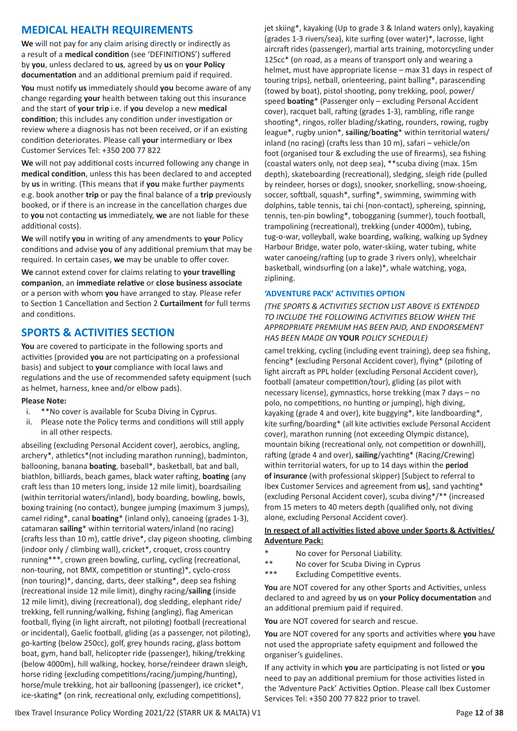# **MEDICAL HEALTH REQUIREMENTS**

**We** will not pay for any claim arising directly or indirectly as a result of a **medical condition** (see 'DEFINITIONS') suffered by **you**, unless declared to **us**, agreed by **us** on **your Policy documentation** and an additional premium paid if required.

**You** must notify **us** immediately should **you** become aware of any change regarding **your** health between taking out this insurance and the start of **your trip** i.e. if **you** develop a new **medical condition**; this includes any condition under investigation or review where a diagnosis has not been received, or if an existing condition deteriorates. Please call **your** intermediary or Ibex Customer Services Tel: +350 200 77 822

**We** will not pay additional costs incurred following any change in **medical condition**, unless this has been declared to and accepted by **us** in writing. (This means that if **you** make further payments e.g. book another **trip** or pay the final balance of a **trip** previously booked, or if there is an increase in the cancellation charges due to **you** not contacting **us** immediately, **we** are not liable for these additional costs).

**We** will notify **you** in writing of any amendments to **your** Policy conditions and advise **you** of any additional premium that may be required. In certain cases, **we** may be unable to offer cover.

**We** cannot extend cover for claims relating to **your travelling companion**, an **immediate relative** or **close business associate** or a person with whom **you** have arranged to stay. Please refer to Section 1 Cancellation and Section 2 **Curtailment** for full terms and conditions.

# **SPORTS & ACTIVITIES SECTION**

**You** are covered to participate in the following sports and activities (provided **you** are not participating on a professional basis) and subject to **your** compliance with local laws and regulations and the use of recommended safety equipment (such as helmet, harness, knee and/or elbow pads).

# **Please Note:**

- i. \*\*No cover is available for Scuba Diving in Cyprus.
- ii. Please note the Policy terms and conditions will still apply in all other respects.

abseiling (excluding Personal Accident cover), aerobics, angling, archery\*, athletics\*(not including marathon running), badminton, ballooning, banana **boating**, baseball\*, basketball, bat and ball, biathlon, billiards, beach games, black water rafting, **boating** (any craft less than 10 meters long, inside 12 mile limit), boardsailing (within territorial waters/inland), body boarding, bowling, bowls, boxing training (no contact), bungee jumping (maximum 3 jumps), camel riding\*, canal **boating**\* (inland only), canoeing (grades 1-3), catamaran **sailing**\* within territorial waters/inland (no racing) (crafts less than 10 m), cattle drive\*, clay pigeon shooting, climbing (indoor only / climbing wall), cricket\*, croquet, cross country running\*\*\*, crown green bowling, curling, cycling (recreational, non-touring, not BMX, competition or stunting)\*, cyclo-cross (non touring)\*, dancing, darts, deer stalking\*, deep sea fishing (recreational inside 12 mile limit), dinghy racing/**sailing** (inside 12 mile limit), diving (recreational), dog sledding, elephant ride/ trekking, fell running/walking, fishing (angling), flag American football, flying (in light aircraft, not piloting) football (recreational or incidental), Gaelic football, gliding (as a passenger, not piloting), go-karting (below 250cc), golf, grey hounds racing, glass bottom boat, gym, hand ball, helicopter ride (passenger), hiking/trekking (below 4000m), hill walking, hockey, horse/reindeer drawn sleigh, horse riding (excluding competitions/racing/jumping/hunting), horse/mule trekking, hot air ballooning (passenger), ice cricket\*, ice-skating\* (on rink, recreational only, excluding competitions),

jet skiing\*, kayaking (Up to grade 3 & Inland waters only), kayaking (grades 1-3 rivers/sea), kite surfing (over water)\*, lacrosse, light aircraft rides (passenger), martial arts training, motorcycling under 125cc\* (on road, as a means of transport only and wearing a helmet, must have appropriate license – max 31 days in respect of touring trips), netball, orienteering, paint balling\*, parascending (towed by boat), pistol shooting, pony trekking, pool, power/ speed **boating**\* (Passenger only – excluding Personal Accident cover), racquet ball, rafting (grades 1-3), rambling, rifle range shooting\*, ringos, roller blading/skating, rounders, rowing, rugby league\*, rugby union\*, **sailing**/**boating**\* within territorial waters/ inland (no racing) (crafts less than 10 m), safari – vehicle/on foot (organised tour & excluding the use of firearms), sea fishing (coastal waters only, not deep sea), \*\*scuba diving (max. 15m depth), skateboarding (recreational), sledging, sleigh ride (pulled by reindeer, horses or dogs), snooker, snorkelling, snow-shoeing, soccer, softball, squash\*, surfing\*, swimming, swimming with dolphins, table tennis, tai chi (non-contact), sphereing, spinning, tennis, ten-pin bowling\*, tobogganing (summer), touch football, trampolining (recreational), trekking (under 4000m), tubing, tug-o-war, volleyball, wake boarding, walking, walking up Sydney Harbour Bridge, water polo, water-skiing, water tubing, white water canoeing/rafting (up to grade 3 rivers only), wheelchair basketball, windsurfing (on a lake)\*, whale watching, yoga, ziplining.

# **'ADVENTURE PACK' ACTIVITIES OPTION**

*(THE SPORTS & ACTIVITIES SECTION LIST ABOVE IS EXTENDED TO INCLUDE THE FOLLOWING ACTIVITIES BELOW WHEN THE APPROPRIATE PREMIUM HAS BEEN PAID, AND ENDORSEMENT HAS BEEN MADE ON* **YOUR** *POLICY SCHEDULE)*

camel trekking, cycling (including event training), deep sea fishing, fencing\* (excluding Personal Accident cover), flying\* (piloting of light aircraft as PPL holder (excluding Personal Accident cover), football (amateur competition/tour), gliding (as pilot with necessary license), gymnastics, horse trekking (max 7 days – no polo, no competitions, no hunting or jumping), high diving, kayaking (grade 4 and over), kite buggying\*, kite landboarding\*, kite surfing/boarding\* (all kite activities exclude Personal Accident cover), marathon running (not exceeding Olympic distance), mountain biking (recreational only, not competition or downhill), rafting (grade 4 and over), **sailing**/yachting\* (Racing/Crewing) within territorial waters, for up to 14 days within the **period of insurance** (with professional skipper) [Subject to referral to Ibex Customer Services and agreement from **us**], sand yachting\* (excluding Personal Accident cover), scuba diving\*/\*\* (increased from 15 meters to 40 meters depth (qualified only, not diving alone, excluding Personal Accident cover).

# **In respect of all activities listed above under Sports & Activities/ Adventure Pack:**

- \* No cover for Personal Liability.
- \*\* No cover for Scuba Diving in Cyprus
- \*\*\* Excluding Competitive events.

You are NOT covered for any other Sports and Activities, unless declared to and agreed by **us** on **your Policy documentation** and an additional premium paid if required.

**You** are NOT covered for search and rescue.

**You** are NOT covered for any sports and activities where **you** have not used the appropriate safety equipment and followed the organiser's guidelines.

If any activity in which **you** are participating is not listed or **you** need to pay an additional premium for those activities listed in the 'Adventure Pack' Activities Option. Please call Ibex Customer Services Tel: +350 200 77 822 prior to travel.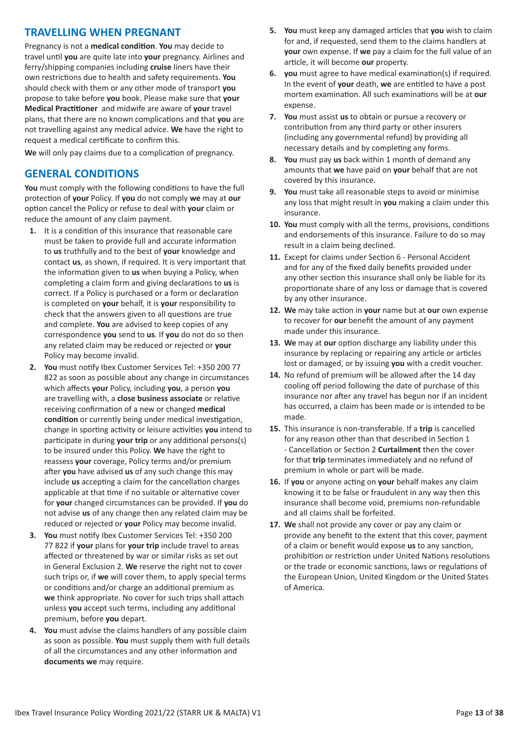# **TRAVELLING WHEN PREGNANT**

Pregnancy is not a **medical condition**. **You** may decide to travel until **you** are quite late into **your** pregnancy. Airlines and ferry/shipping companies including **cruise** liners have their own restrictions due to health and safety requirements. **You** should check with them or any other mode of transport **you** propose to take before **you** book. Please make sure that **your Medical Practitioner** and midwife are aware of **your** travel plans, that there are no known complications and that **you** are not travelling against any medical advice. **We** have the right to request a medical certificate to confirm this.

**We** will only pay claims due to a complication of pregnancy.

# **GENERAL CONDITIONS**

**You** must comply with the following conditions to have the full protection of **your** Policy. If **you** do not comply **we** may at **our** option cancel the Policy or refuse to deal with **your** claim or reduce the amount of any claim payment.

- **1.** It is a condition of this insurance that reasonable care must be taken to provide full and accurate information to **us** truthfully and to the best of **your** knowledge and contact **us**, as shown, if required. It is very important that the information given to **us** when buying a Policy, when completing a claim form and giving declarations to **us** is correct. If a Policy is purchased or a form or declaration is completed on **your** behalf, it is **your** responsibility to check that the answers given to all questions are true and complete. **You** are advised to keep copies of any correspondence **you** send to **us**. If **you** do not do so then any related claim may be reduced or rejected or **your** Policy may become invalid.
- **2. You** must notify Ibex Customer Services Tel: +350 200 77 822 as soon as possible about any change in circumstances which affects **your** Policy, including **you**, a person **you** are travelling with, a **close business associate** or relative receiving confirmation of a new or changed **medical condition** or currently being under medical investigation, change in sporting activity or leisure activities **you** intend to participate in during **your trip** or any additional persons(s) to be insured under this Policy. **We** have the right to reassess **your** coverage, Policy terms and/or premium after **you** have advised **us** of any such change this may include **us** accepting a claim for the cancellation charges applicable at that time if no suitable or alternative cover for **your** changed circumstances can be provided. If **you** do not advise **us** of any change then any related claim may be reduced or rejected or **your** Policy may become invalid.
- **3. You** must notify Ibex Customer Services Tel: +350 200 77 822 if **your** plans for **your trip** include travel to areas affected or threatened by war or similar risks as set out in General Exclusion 2. **We** reserve the right not to cover such trips or, if **we** will cover them, to apply special terms or conditions and/or charge an additional premium as **we** think appropriate. No cover for such trips shall attach unless **you** accept such terms, including any additional premium, before **you** depart.
- **4. You** must advise the claims handlers of any possible claim as soon as possible. **You** must supply them with full details of all the circumstances and any other information and **documents we** may require.
- **5. You** must keep any damaged articles that **you** wish to claim for and, if requested, send them to the claims handlers at **your** own expense. If **we** pay a claim for the full value of an article, it will become **our** property.
- **6. you** must agree to have medical examination(s) if required. In the event of **your** death, **we** are entitled to have a post mortem examination. All such examinations will be at **our** expense.
- **7. You** must assist **us** to obtain or pursue a recovery or contribution from any third party or other insurers (including any governmental refund) by providing all necessary details and by completing any forms.
- **8. You** must pay **us** back within 1 month of demand any amounts that **we** have paid on **your** behalf that are not covered by this insurance.
- **9. You** must take all reasonable steps to avoid or minimise any loss that might result in **you** making a claim under this insurance.
- **10. You** must comply with all the terms, provisions, conditions and endorsements of this insurance. Failure to do so may result in a claim being declined.
- **11.** Except for claims under Section 6 Personal Accident and for any of the fixed daily benefits provided under any other section this insurance shall only be liable for its proportionate share of any loss or damage that is covered by any other insurance.
- **12. We** may take action in **your** name but at **our** own expense to recover for **our** benefit the amount of any payment made under this insurance.
- **13. We** may at **our** option discharge any liability under this insurance by replacing or repairing any article or articles lost or damaged, or by issuing **you** with a credit voucher.
- **14.** No refund of premium will be allowed after the 14 day cooling off period following the date of purchase of this insurance nor after any travel has begun nor if an incident has occurred, a claim has been made or is intended to be made.
- **15.** This insurance is non-transferable. If a **trip** is cancelled for any reason other than that described in Section 1 - Cancellation or Section 2 **Curtailment** then the cover for that **trip** terminates immediately and no refund of premium in whole or part will be made.
- **16.** If **you** or anyone acting on **your** behalf makes any claim knowing it to be false or fraudulent in any way then this insurance shall become void, premiums non-refundable and all claims shall be forfeited.
- **17. We** shall not provide any cover or pay any claim or provide any benefit to the extent that this cover, payment of a claim or benefit would expose **us** to any sanction, prohibition or restriction under United Nations resolutions or the trade or economic sanctions, laws or regulations of the European Union, United Kingdom or the United States of America.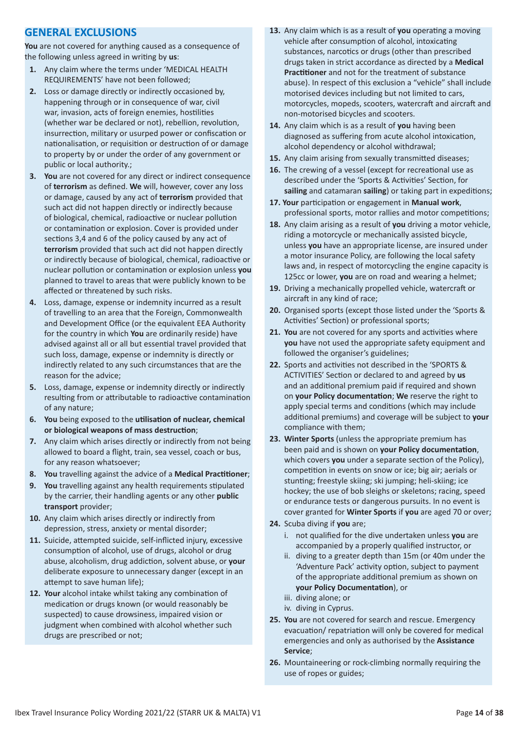# **GENERAL EXCLUSIONS**

**You** are not covered for anything caused as a consequence of the following unless agreed in writing by **us**:

- **1.** Any claim where the terms under 'MEDICAL HEALTH REQUIREMENTS' have not been followed;
- **2.** Loss or damage directly or indirectly occasioned by, happening through or in consequence of war, civil war, invasion, acts of foreign enemies, hostilities (whether war be declared or not), rebellion, revolution, insurrection, military or usurped power or confiscation or nationalisation, or requisition or destruction of or damage to property by or under the order of any government or public or local authority.;
- **3. You** are not covered for any direct or indirect consequence of **terrorism** as defined. **We** will, however, cover any loss or damage, caused by any act of **terrorism** provided that such act did not happen directly or indirectly because of biological, chemical, radioactive or nuclear pollution or contamination or explosion. Cover is provided under sections 3,4 and 6 of the policy caused by any act of **terrorism** provided that such act did not happen directly or indirectly because of biological, chemical, radioactive or nuclear pollution or contamination or explosion unless **you** planned to travel to areas that were publicly known to be affected or threatened by such risks.
- **4.** Loss, damage, expense or indemnity incurred as a result of travelling to an area that the Foreign, Commonwealth and Development Office (or the equivalent EEA Authority for the country in which **You** are ordinarily reside) have advised against all or all but essential travel provided that such loss, damage, expense or indemnity is directly or indirectly related to any such circumstances that are the reason for the advice;
- **5.** Loss, damage, expense or indemnity directly or indirectly resulting from or attributable to radioactive contamination of any nature;
- **6. You** being exposed to the **utilisation of nuclear, chemical or biological weapons of mass destruction**;
- **7.** Any claim which arises directly or indirectly from not being allowed to board a flight, train, sea vessel, coach or bus, for any reason whatsoever;
- **8. You** travelling against the advice of a **Medical Practitioner**;
- **9. You** travelling against any health requirements stipulated by the carrier, their handling agents or any other **public transport** provider;
- **10.** Any claim which arises directly or indirectly from depression, stress, anxiety or mental disorder;
- **11.** Suicide, attempted suicide, self-inflicted injury, excessive consumption of alcohol, use of drugs, alcohol or drug abuse, alcoholism, drug addiction, solvent abuse, or **your** deliberate exposure to unnecessary danger (except in an attempt to save human life);
- **12. Your** alcohol intake whilst taking any combination of medication or drugs known (or would reasonably be suspected) to cause drowsiness, impaired vision or judgment when combined with alcohol whether such drugs are prescribed or not;
- **13.** Any claim which is as a result of **you** operating a moving vehicle after consumption of alcohol, intoxicating substances, narcotics or drugs (other than prescribed drugs taken in strict accordance as directed by a **Medical Practitioner** and not for the treatment of substance abuse). In respect of this exclusion a "vehicle" shall include motorised devices including but not limited to cars, motorcycles, mopeds, scooters, watercraft and aircraft and non-motorised bicycles and scooters.
- **14.** Any claim which is as a result of **you** having been diagnosed as suffering from acute alcohol intoxication, alcohol dependency or alcohol withdrawal;
- **15.** Any claim arising from sexually transmitted diseases;
- **16.** The crewing of a vessel (except for recreational use as described under the 'Sports & Activities' Section, for **sailing** and catamaran **sailing**) or taking part in expeditions;
- **17. Your** participation or engagement in **Manual work**, professional sports, motor rallies and motor competitions;
- **18.** Any claim arising as a result of **you** driving a motor vehicle, riding a motorcycle or mechanically assisted bicycle, unless **you** have an appropriate license, are insured under a motor insurance Policy, are following the local safety laws and, in respect of motorcycling the engine capacity is 125cc or lower, **you** are on road and wearing a helmet;
- **19.** Driving a mechanically propelled vehicle, watercraft or aircraft in any kind of race;
- **20.** Organised sports (except those listed under the 'Sports & Activities' Section) or professional sports;
- **21. You** are not covered for any sports and activities where **you** have not used the appropriate safety equipment and followed the organiser's guidelines;
- **22.** Sports and activities not described in the 'SPORTS & ACTIVITIES' Section or declared to and agreed by **us** and an additional premium paid if required and shown on **your Policy documentation**; **We** reserve the right to apply special terms and conditions (which may include additional premiums) and coverage will be subject to **your** compliance with them;
- **23. Winter Sports** (unless the appropriate premium has been paid and is shown on **your Policy documentation**, which covers **you** under a separate section of the Policy), competition in events on snow or ice; big air; aerials or stunting; freestyle skiing; ski jumping; heli-skiing; ice hockey; the use of bob sleighs or skeletons; racing, speed or endurance tests or dangerous pursuits. In no event is cover granted for **Winter Sports** if **you** are aged 70 or over;
- **24.** Scuba diving if **you** are;
	- i. not qualified for the dive undertaken unless **you** are accompanied by a properly qualified instructor, or
	- ii. diving to a greater depth than 15m (or 40m under the 'Adventure Pack' activity option, subject to payment of the appropriate additional premium as shown on **your Policy Documentation**), or
	- iii. diving alone; or
	- iv. diving in Cyprus.
- **25. You** are not covered for search and rescue. Emergency evacuation/ repatriation will only be covered for medical emergencies and only as authorised by the **Assistance Service**;
- **26.** Mountaineering or rock-climbing normally requiring the use of ropes or guides;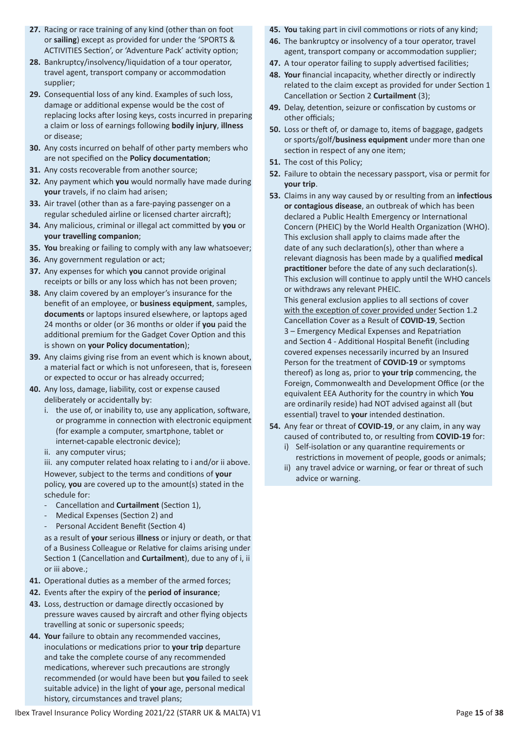- **27.** Racing or race training of any kind (other than on foot or **sailing**) except as provided for under the 'SPORTS & ACTIVITIES Section', or 'Adventure Pack' activity option;
- **28.** Bankruptcy/insolvency/liquidation of a tour operator, travel agent, transport company or accommodation supplier;
- **29.** Consequential loss of any kind. Examples of such loss, damage or additional expense would be the cost of replacing locks after losing keys, costs incurred in preparing a claim or loss of earnings following **bodily injury**, **illness** or disease;
- **30.** Any costs incurred on behalf of other party members who are not specified on the **Policy documentation**;
- **31.** Any costs recoverable from another source;
- **32.** Any payment which **you** would normally have made during **your** travels, if no claim had arisen;
- **33.** Air travel (other than as a fare-paying passenger on a regular scheduled airline or licensed charter aircraft);
- **34.** Any malicious, criminal or illegal act committed by **you** or **your travelling companion**;
- **35. You** breaking or failing to comply with any law whatsoever;
- **36.** Any government regulation or act;
- **37.** Any expenses for which **you** cannot provide original receipts or bills or any loss which has not been proven;
- **38.** Any claim covered by an employer's insurance for the benefit of an employee, or **business equipment**, samples, **documents** or laptops insured elsewhere, or laptops aged 24 months or older (or 36 months or older if **you** paid the additional premium for the Gadget Cover Option and this is shown on **your Policy documentation**);
- **39.** Any claims giving rise from an event which is known about, a material fact or which is not unforeseen, that is, foreseen or expected to occur or has already occurred;
- **40.** Any loss, damage, liability, cost or expense caused deliberately or accidentally by:
	- i. the use of, or inability to, use any application, software, or programme in connection with electronic equipment (for example a computer, smartphone, tablet or internet-capable electronic device);
	- ii. any computer virus;

iii. any computer related hoax relating to i and/or ii above. However, subject to the terms and conditions of **your** policy, **you** are covered up to the amount(s) stated in the schedule for:

- Cancellation and **Curtailment** (Section 1),
- Medical Expenses (Section 2) and
- Personal Accident Benefit (Section 4)

as a result of **your** serious **illness** or injury or death, or that of a Business Colleague or Relative for claims arising under Section 1 (Cancellation and **Curtailment**), due to any of i, ii or iii above.;

- **41.** Operational duties as a member of the armed forces;
- **42.** Events after the expiry of the **period of insurance**;
- **43.** Loss, destruction or damage directly occasioned by pressure waves caused by aircraft and other flying objects travelling at sonic or supersonic speeds;
- **44. Your** failure to obtain any recommended vaccines, inoculations or medications prior to **your trip** departure and take the complete course of any recommended medications, wherever such precautions are strongly recommended (or would have been but **you** failed to seek suitable advice) in the light of **your** age, personal medical history, circumstances and travel plans;
- **45. You** taking part in civil commotions or riots of any kind;
- **46.** The bankruptcy or insolvency of a tour operator, travel agent, transport company or accommodation supplier;
- **47.** A tour operator failing to supply advertised facilities;
- **48. Your** financial incapacity, whether directly or indirectly related to the claim except as provided for under Section 1 Cancellation or Section 2 **Curtailment** (3);
- **49.** Delay, detention, seizure or confiscation by customs or other officials;
- **50.** Loss or theft of, or damage to, items of baggage, gadgets or sports/golf/**business equipment** under more than one section in respect of any one item;
- **51.** The cost of this Policy;
- **52.** Failure to obtain the necessary passport, visa or permit for **your trip**.
- **53.** Claims in any way caused by or resulting from an **infectious or contagious disease**, an outbreak of which has been declared a Public Health Emergency or International Concern (PHEIC) by the World Health Organization (WHO). This exclusion shall apply to claims made after the date of any such declaration(s), other than where a relevant diagnosis has been made by a qualified **medical practitioner** before the date of any such declaration(s). This exclusion will continue to apply until the WHO cancels or withdraws any relevant PHEIC.

This general exclusion applies to all sections of cover with the exception of cover provided under Section 1.2 Cancellation Cover as a Result of **COVID-19**, Section 3 – Emergency Medical Expenses and Repatriation and Section 4 - Additional Hospital Benefit (including covered expenses necessarily incurred by an Insured Person for the treatment of **COVID-19** or symptoms thereof) as long as, prior to **your trip** commencing, the Foreign, Commonwealth and Development Office (or the equivalent EEA Authority for the country in which **You** are ordinarily reside) had NOT advised against all (but essential) travel to **your** intended destination.

- **54.** Any fear or threat of **COVID-19**, or any claim, in any way caused of contributed to, or resulting from **COVID-19** for:
	- i) Self-isolation or any quarantine requirements or restrictions in movement of people, goods or animals;
	- ii) any travel advice or warning, or fear or threat of such advice or warning.

Ibex Travel Insurance Policy Wording 2021/22 (STARR UK & MALTA) V1 Page 15 of **38**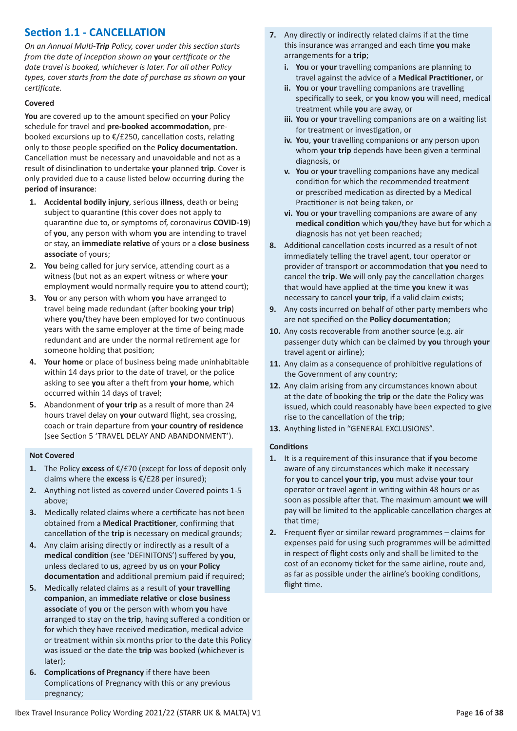# **Section 1.1 - CANCELLATION**

*On an Annual Multi-Trip Policy, cover under this section starts from the date of inception shown on* **your** *certificate or the date travel is booked, whichever is later. For all other Policy types, cover starts from the date of purchase as shown on* **your** *certificate.*

# **Covered**

**You** are covered up to the amount specified on **your** Policy schedule for travel and **pre-booked accommodation**, prebooked excursions up to €/£250, cancellation costs, relating only to those people specified on the **Policy documentation**. Cancellation must be necessary and unavoidable and not as a result of disinclination to undertake **your** planned **trip**. Cover is only provided due to a cause listed below occurring during the **period of insurance**:

- **1. Accidental bodily injury**, serious **illness**, death or being subject to quarantine (this cover does not apply to quarantine due to, or symptoms of, coronavirus **COVID-19**) of **you**, any person with whom **you** are intending to travel or stay, an **immediate relative** of yours or a **close business associate** of yours;
- **2. You** being called for jury service, attending court as a witness (but not as an expert witness or where **your** employment would normally require **you** to attend court);
- **3. You** or any person with whom **you** have arranged to travel being made redundant (after booking **your trip**) where **you**/they have been employed for two continuous years with the same employer at the time of being made redundant and are under the normal retirement age for someone holding that position;
- **4. Your home** or place of business being made uninhabitable within 14 days prior to the date of travel, or the police asking to see **you** after a theft from **your home**, which occurred within 14 days of travel;
- **5.** Abandonment of **your trip** as a result of more than 24 hours travel delay on **your** outward flight, sea crossing, coach or train departure from **your country of residence** (see Section 5 'TRAVEL DELAY AND ABANDONMENT').

# **Not Covered**

- **1.** The Policy **excess** of €/£70 (except for loss of deposit only claims where the **excess** is €/£28 per insured);
- **2.** Anything not listed as covered under Covered points 1-5 above;
- **3.** Medically related claims where a certificate has not been obtained from a **Medical Practitioner**, confirming that cancellation of the **trip** is necessary on medical grounds;
- **4.** Any claim arising directly or indirectly as a result of a **medical condition** (see 'DEFINITONS') suffered by **you**, unless declared to **us**, agreed by **us** on **your Policy documentation** and additional premium paid if required;
- **5.** Medically related claims as a result of **your travelling companion**, an **immediate relative** or **close business associate** of **you** or the person with whom **you** have arranged to stay on the **trip**, having suffered a condition or for which they have received medication, medical advice or treatment within six months prior to the date this Policy was issued or the date the **trip** was booked (whichever is later);
- **6. Complications of Pregnancy** if there have been Complications of Pregnancy with this or any previous pregnancy;
- **7.** Any directly or indirectly related claims if at the time this insurance was arranged and each time **you** make arrangements for a **trip**;
	- **i. You** or **your** travelling companions are planning to travel against the advice of a **Medical Practitioner**, or
	- **ii. You** or **your** travelling companions are travelling specifically to seek, or **you** know **you** will need, medical treatment while **you** are away, or
	- **iii. You** or **your** travelling companions are on a waiting list for treatment or investigation, or
	- **iv. You**, **your** travelling companions or any person upon whom **your trip** depends have been given a terminal diagnosis, or
	- **v. You** or **your** travelling companions have any medical condition for which the recommended treatment or prescribed medication as directed by a Medical Practitioner is not being taken, or
	- **vi. You** or **your** travelling companions are aware of any **medical condition** which **you**/they have but for which a diagnosis has not yet been reached;
- **8.** Additional cancellation costs incurred as a result of not immediately telling the travel agent, tour operator or provider of transport or accommodation that **you** need to cancel the **trip**. **We** will only pay the cancellation charges that would have applied at the time **you** knew it was necessary to cancel **your trip**, if a valid claim exists;
- **9.** Any costs incurred on behalf of other party members who are not specified on the **Policy documentation**;
- **10.** Any costs recoverable from another source (e.g. air passenger duty which can be claimed by **you** through **your** travel agent or airline);
- **11.** Any claim as a consequence of prohibitive regulations of the Government of any country;
- **12.** Any claim arising from any circumstances known about at the date of booking the **trip** or the date the Policy was issued, which could reasonably have been expected to give rise to the cancellation of the **trip**;
- **13.** Anything listed in "GENERAL EXCLUSIONS".

# **Conditions**

- **1.** It is a requirement of this insurance that if **you** become aware of any circumstances which make it necessary for **you** to cancel **your trip**, **you** must advise **your** tour operator or travel agent in writing within 48 hours or as soon as possible after that. The maximum amount **we** will pay will be limited to the applicable cancellation charges at that time;
- **2.** Frequent flyer or similar reward programmes claims for expenses paid for using such programmes will be admitted in respect of flight costs only and shall be limited to the cost of an economy ticket for the same airline, route and, as far as possible under the airline's booking conditions, flight time.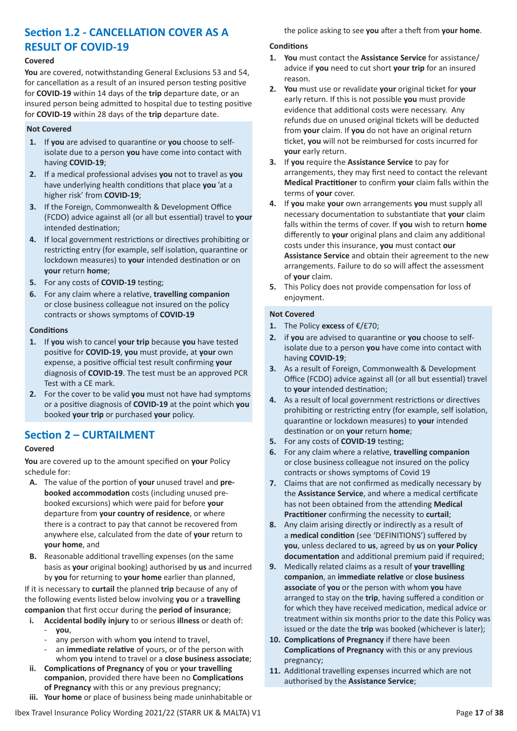# **Section 1.2 - CANCELLATION COVER AS A RESULT OF COVID-19**

# **Covered**

**You** are covered, notwithstanding General Exclusions 53 and 54, for cancellation as a result of an insured person testing positive for **COVID-19** within 14 days of the **trip** departure date, or an insured person being admitted to hospital due to testing positive for **COVID-19** within 28 days of the **trip** departure date.

# **Not Covered**

- **1.** If **you** are advised to quarantine or **you** choose to selfisolate due to a person **you** have come into contact with having **COVID-19**;
- **2.** If a medical professional advises **you** not to travel as **you** have underlying health conditions that place **you** 'at a higher risk' from **COVID-19**;
- **3.** If the Foreign, Commonwealth & Development Office (FCDO) advice against all (or all but essential) travel to **your** intended destination;
- **4.** If local government restrictions or directives prohibiting or restricting entry (for example, self isolation, quarantine or lockdown measures) to **your** intended destination or on **your** return **home**;
- **5.** For any costs of **COVID-19** testing;
- **6.** For any claim where a relative, **travelling companion** or close business colleague not insured on the policy contracts or shows symptoms of **COVID-19**

# **Conditions**

- **1.** If **you** wish to cancel **your trip** because **you** have tested positive for **COVID-19**, **you** must provide, at **your** own expense, a positive official test result confirming **your** diagnosis of **COVID-19**. The test must be an approved PCR Test with a CE mark.
- **2.** For the cover to be valid **you** must not have had symptoms or a positive diagnosis of **COVID-19** at the point which **you** booked **your trip** or purchased **your** policy.

# **Section 2 – CURTAILMENT**

# **Covered**

**You** are covered up to the amount specified on **your** Policy schedule for:

- **A.** The value of the portion of **your** unused travel and **prebooked accommodation** costs (including unused prebooked excursions) which were paid for before **your** departure from **your country of residence**, or where there is a contract to pay that cannot be recovered from anywhere else, calculated from the date of **your** return to **your home**, and
- **B.** Reasonable additional travelling expenses (on the same basis as **your** original booking) authorised by **us** and incurred by **you** for returning to **your home** earlier than planned,

If it is necessary to **curtail** the planned **trip** because of any of the following events listed below involving **you** or a **travelling companion** that first occur during the **period of insurance**;

- **i. Accidental bodily injury** to or serious **illness** or death of: - **you**,
	- any person with whom you intend to travel,
	- an *immediate relative* of yours, or of the person with whom **you** intend to travel or a **close business associate**;
- **ii. Complications of Pregnancy** of **you** or **your travelling companion**, provided there have been no **Complications of Pregnancy** with this or any previous pregnancy;
- **iii. Your home** or place of business being made uninhabitable or

the police asking to see **you** after a theft from **your home**.

# **Conditions**

- **1. You** must contact the **Assistance Service** for assistance/ advice if **you** need to cut short **your trip** for an insured reason.
- **2. You** must use or revalidate **your** original ticket for **your** early return. If this is not possible **you** must provide evidence that additional costs were necessary. Any refunds due on unused original tickets will be deducted from **your** claim. If **you** do not have an original return ticket, **you** will not be reimbursed for costs incurred for **your** early return.
- **3.** If **you** require the **Assistance Service** to pay for arrangements, they may first need to contact the relevant **Medical Practitioner** to confirm **your** claim falls within the terms of **your** cover.
- **4.** If **you** make **your** own arrangements **you** must supply all necessary documentation to substantiate that **your** claim falls within the terms of cover. If **you** wish to return **home** differently to **your** original plans and claim any additional costs under this insurance, **you** must contact **our Assistance Service** and obtain their agreement to the new arrangements. Failure to do so will affect the assessment of **your** claim.
- **5.** This Policy does not provide compensation for loss of enjoyment.

- **1.** The Policy **excess** of €/£70;
- **2.** if **you** are advised to quarantine or **you** choose to selfisolate due to a person **you** have come into contact with having **COVID-19**;
- **3.** As a result of Foreign, Commonwealth & Development Office (FCDO) advice against all (or all but essential) travel to **your** intended destination;
- **4.** As a result of local government restrictions or directives prohibiting or restricting entry (for example, self isolation, quarantine or lockdown measures) to **your** intended destination or on **your** return **home**;
- **5.** For any costs of **COVID-19** testing;
- **6.** For any claim where a relative, **travelling companion** or close business colleague not insured on the policy contracts or shows symptoms of Covid 19
- **7.** Claims that are not confirmed as medically necessary by the **Assistance Service**, and where a medical certificate has not been obtained from the attending **Medical Practitioner** confirming the necessity to **curtail**;
- **8.** Any claim arising directly or indirectly as a result of a **medical condition** (see 'DEFINITIONS') suffered by **you**, unless declared to **us**, agreed by **us** on **your Policy documentation** and additional premium paid if required;
- **9.** Medically related claims as a result of **your travelling companion**, an **immediate relative** or **close business associate** of **you** or the person with whom **you** have arranged to stay on the **trip**, having suffered a condition or for which they have received medication, medical advice or treatment within six months prior to the date this Policy was issued or the date the **trip** was booked (whichever is later);
- **10. Complications of Pregnancy** if there have been **Complications of Pregnancy** with this or any previous pregnancy;
- **11.** Additional travelling expenses incurred which are not authorised by the **Assistance Service**;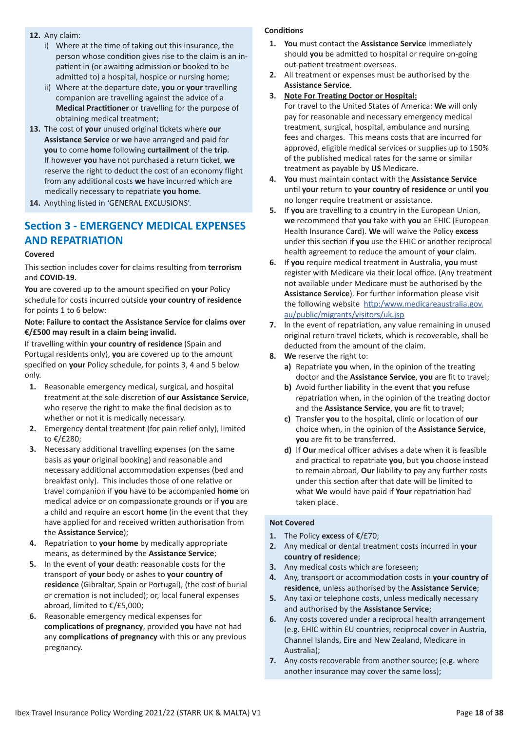- **12.** Any claim:
	- i) Where at the time of taking out this insurance, the person whose condition gives rise to the claim is an inpatient in (or awaiting admission or booked to be admitted to) a hospital, hospice or nursing home;
	- ii) Where at the departure date, **you** or **your** travelling companion are travelling against the advice of a **Medical Practitioner** or travelling for the purpose of obtaining medical treatment;
- **13.** The cost of **your** unused original tickets where **our Assistance Service** or **we** have arranged and paid for **you** to come **home** following **curtailment** of the **trip**. If however **you** have not purchased a return ticket, **we** reserve the right to deduct the cost of an economy flight from any additional costs **we** have incurred which are medically necessary to repatriate **you home**.
- **14.** Anything listed in 'GENERAL EXCLUSIONS'.

# **Section 3 - EMERGENCY MEDICAL EXPENSES AND REPATRIATION**

#### **Covered**

This section includes cover for claims resulting from **terrorism** and **COVID-19**.

**You** are covered up to the amount specified on **your** Policy schedule for costs incurred outside **your country of residence** for points 1 to 6 below:

# **Note: Failure to contact the Assistance Service for claims over €/£500 may result in a claim being invalid.**

If travelling within **your country of residence** (Spain and Portugal residents only), **you** are covered up to the amount specified on **your** Policy schedule, for points 3, 4 and 5 below only.

- **1.** Reasonable emergency medical, surgical, and hospital treatment at the sole discretion of **our Assistance Service**, who reserve the right to make the final decision as to whether or not it is medically necessary.
- **2.** Emergency dental treatment (for pain relief only), limited to €/£280;
- **3.** Necessary additional travelling expenses (on the same basis as **your** original booking) and reasonable and necessary additional accommodation expenses (bed and breakfast only). This includes those of one relative or travel companion if **you** have to be accompanied **home** on medical advice or on compassionate grounds or if **you** are a child and require an escort **home** (in the event that they have applied for and received written authorisation from the **Assistance Service**);
- **4.** Repatriation to **your home** by medically appropriate means, as determined by the **Assistance Service**;
- **5.** In the event of **your** death: reasonable costs for the transport of **your** body or ashes to **your country of residence** (Gibraltar, Spain or Portugal), (the cost of burial or cremation is not included); or, local funeral expenses abroad, limited to €/£5,000;
- **6.** Reasonable emergency medical expenses for **complications of pregnancy**, provided **you** have not had any **complications of pregnancy** with this or any previous pregnancy.

# **Conditions**

- **1. You** must contact the **Assistance Service** immediately should **you** be admitted to hospital or require on-going out-patient treatment overseas.
- **2.** All treatment or expenses must be authorised by the **Assistance Service**.
- **3. Note For Treating Doctor or Hospital:**

For travel to the United States of America: **We** will only pay for reasonable and necessary emergency medical treatment, surgical, hospital, ambulance and nursing fees and charges. This means costs that are incurred for approved, eligible medical services or supplies up to 150% of the published medical rates for the same or similar treatment as payable by **US** Medicare.

- **4. You** must maintain contact with the **Assistance Service** until **your** return to **your country of residence** or until **you** no longer require treatment or assistance.
- **5.** If **you** are travelling to a country in the European Union, **we** recommend that **you** take with **you** an EHIC (European Health Insurance Card). **We** will waive the Policy **excess** under this section if **you** use the EHIC or another reciprocal health agreement to reduce the amount of **your** claim.
- **6.** If **you** require medical treatment in Australia, **you** must register with Medicare via their local office. (Any treatment not available under Medicare must be authorised by the **Assistance Service**). For further information please visit the following website http:/www.medicareaustralia.gov. au/public/migrants/visitors/uk.jsp
- **7.** ln the event of repatriation, any value remaining in unused original return travel tickets, which is recoverable, shall be deducted from the amount of the claim.
- **8. We** reserve the right to:
	- **a)** Repatriate **you** when, in the opinion of the treating doctor and the **Assistance Service**, **you** are fit to travel;
	- **b)** Avoid further liability in the event that **you** refuse repatriation when, in the opinion of the treating doctor and the **Assistance Service**, **you** are fit to travel;
	- **c)** Transfer **you** to the hospital, clinic or location of **our** choice when, in the opinion of the **Assistance Service**, **you** are fit to be transferred.
	- **d)** If **Our** medical officer advises a date when it is feasible and practical to repatriate **you**, but **you** choose instead to remain abroad, **Our** liability to pay any further costs under this section after that date will be limited to what **We** would have paid if **Your** repatriation had taken place.

- **1.** The Policy **excess** of €/£70;
- **2.** Any medical or dental treatment costs incurred in **your country of residence**;
- **3.** Any medical costs which are foreseen;
- **4.** Any, transport or accommodation costs in **your country of residence**, unless authorised by the **Assistance Service**;
- **5.** Any taxi or telephone costs, unless medically necessary and authorised by the **Assistance Service**;
- **6.** Any costs covered under a reciprocal health arrangement (e.g. EHIC within EU countries, reciprocal cover in Austria, Channel Islands, Eire and New Zealand, Medicare in Australia);
- **7.** Any costs recoverable from another source; (e.g. where another insurance may cover the same loss);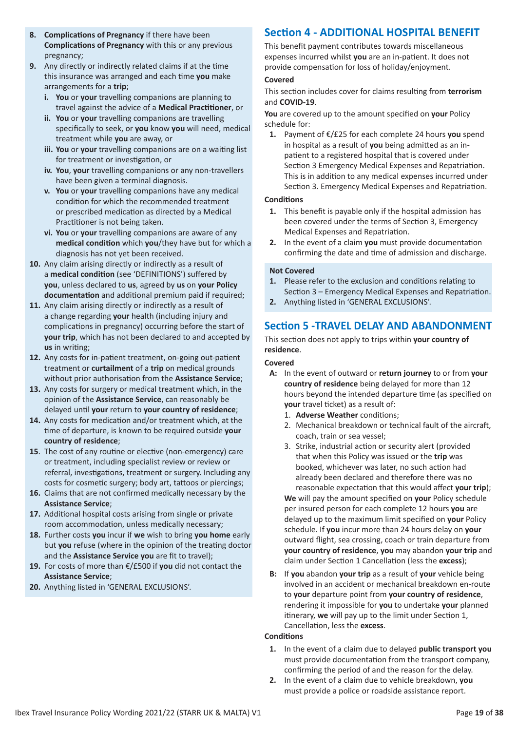- **8. Complications of Pregnancy** if there have been **Complications of Pregnancy** with this or any previous pregnancy;
- **9.** Any directly or indirectly related claims if at the time this insurance was arranged and each time **you** make arrangements for a **trip**;
	- **i. You** or **your** travelling companions are planning to travel against the advice of a **Medical Practitioner**, or
	- **ii. You** or **your** travelling companions are travelling specifically to seek, or **you** know **you** will need, medical treatment while **you** are away, or
	- **iii. You** or **your** travelling companions are on a waiting list for treatment or investigation, or
	- **iv. You**, **your** travelling companions or any non-travellers have been given a terminal diagnosis.
	- **v. You** or **your** travelling companions have any medical condition for which the recommended treatment or prescribed medication as directed by a Medical Practitioner is not being taken.
	- **vi. You** or **your** travelling companions are aware of any **medical condition** which **you**/they have but for which a diagnosis has not yet been received.
- **10.** Any claim arising directly or indirectly as a result of a **medical condition** (see 'DEFINITIONS') suffered by **you**, unless declared to **us**, agreed by **us** on **your Policy documentation** and additional premium paid if required;
- **11.** Any claim arising directly or indirectly as a result of a change regarding **your** health (including injury and complications in pregnancy) occurring before the start of **your trip**, which has not been declared to and accepted by **us** in writing;
- **12.** Any costs for in-patient treatment, on-going out-patient treatment or **curtailment** of a **trip** on medical grounds without prior authorisation from the **Assistance Service**;
- **13.** Any costs for surgery or medical treatment which, in the opinion of the **Assistance Service**, can reasonably be delayed until **your** return to **your country of residence**;
- **14.** Any costs for medication and/or treatment which, at the time of departure, is known to be required outside **your country of residence**;
- **15**. The cost of any routine or elective (non-emergency) care or treatment, including specialist review or review or referral, investigations, treatment or surgery. Including any costs for cosmetic surgery; body art, tattoos or piercings;
- **16.** Claims that are not confirmed medically necessary by the **Assistance Service**;
- **17.** Additional hospital costs arising from single or private room accommodation, unless medically necessary;
- **18.** Further costs **you** incur if **we** wish to bring **you home** early but **you** refuse (where in the opinion of the treating doctor and the **Assistance Service you** are fit to travel);
- **19.** For costs of more than €/£500 if **you** did not contact the **Assistance Service**;
- **20.** Anything listed in 'GENERAL EXCLUSIONS'.

# **Section 4 - ADDITIONAL HOSPITAL BENEFIT**

This benefit payment contributes towards miscellaneous expenses incurred whilst **you** are an in-patient. It does not provide compensation for loss of holiday/enjoyment.

# **Covered**

This section includes cover for claims resulting from **terrorism** and **COVID-19**.

**You** are covered up to the amount specified on **your** Policy schedule for:

**1.** Payment of €/£25 for each complete 24 hours **you** spend in hospital as a result of **you** being admitted as an inpatient to a registered hospital that is covered under Section 3 Emergency Medical Expenses and Repatriation. This is in addition to any medical expenses incurred under Section 3. Emergency Medical Expenses and Repatriation.

# **Conditions**

- **1.** This benefit is payable only if the hospital admission has been covered under the terms of Section 3, Emergency Medical Expenses and Repatriation.
- **2.** In the event of a claim **you** must provide documentation confirming the date and time of admission and discharge.

# **Not Covered**

- **1.** Please refer to the exclusion and conditions relating to Section 3 – Emergency Medical Expenses and Repatriation.
- **2.** Anything listed in 'GENERAL EXCLUSIONS'.

# **Section 5 -TRAVEL DELAY AND ABANDONMENT**

This section does not apply to trips within **your country of residence**.

# **Covered**

- **A:** In the event of outward or **return journey** to or from **your country of residence** being delayed for more than 12 hours beyond the intended departure time (as specified on **your** travel ticket) as a result of:
	- 1. **Adverse Weather** conditions;
	- 2. Mechanical breakdown or technical fault of the aircraft, coach, train or sea vessel;
	- 3. Strike, industrial action or security alert (provided that when this Policy was issued or the **trip** was booked, whichever was later, no such action had already been declared and therefore there was no reasonable expectation that this would affect **your trip**);

**We** will pay the amount specified on **your** Policy schedule per insured person for each complete 12 hours **you** are delayed up to the maximum limit specified on **your** Policy schedule. If **you** incur more than 24 hours delay on **your** outward flight, sea crossing, coach or train departure from **your country of residence**, **you** may abandon **your trip** and claim under Section 1 Cancellation (less the **excess**);

**B:** If **you** abandon **your trip** as a result of **your** vehicle being involved in an accident or mechanical breakdown en-route to **your** departure point from **your country of residence**, rendering it impossible for **you** to undertake **your** planned itinerary, **we** will pay up to the limit under Section 1, Cancellation, less the **excess**.

# **Conditions**

- **1.** In the event of a claim due to delayed **public transport you** must provide documentation from the transport company, confirming the period of and the reason for the delay.
- **2.** In the event of a claim due to vehicle breakdown, **you** must provide a police or roadside assistance report.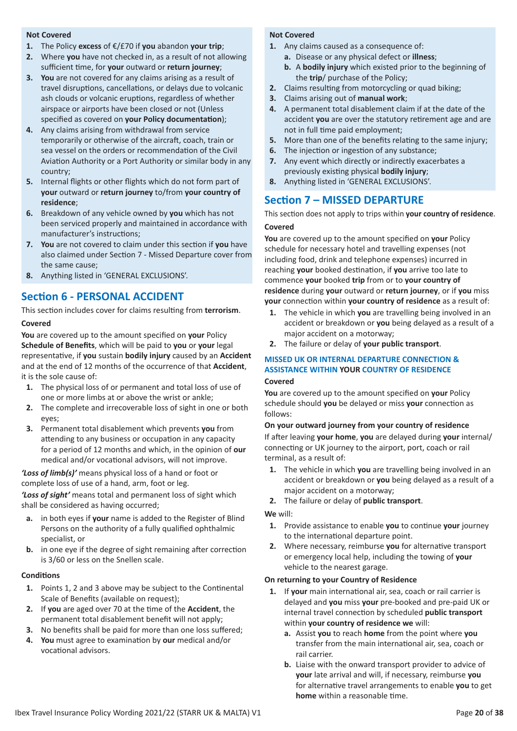### **Not Covered**

- **1.** The Policy **excess** of €/£70 if **you** abandon **your trip**;
- **2.** Where **you** have not checked in, as a result of not allowing sufficient time, for **your** outward or **return journey**;
- **3. You** are not covered for any claims arising as a result of travel disruptions, cancellations, or delays due to volcanic ash clouds or volcanic eruptions, regardless of whether airspace or airports have been closed or not (Unless specified as covered on **your Policy documentation**);
- **4.** Any claims arising from withdrawal from service temporarily or otherwise of the aircraft, coach, train or sea vessel on the orders or recommendation of the Civil Aviation Authority or a Port Authority or similar body in any country;
- **5.** Internal flights or other flights which do not form part of **your** outward or **return journey** to/from **your country of residence**;
- **6.** Breakdown of any vehicle owned by **you** which has not been serviced properly and maintained in accordance with manufacturer's instructions;
- **7. You** are not covered to claim under this section if **you** have also claimed under Section 7 - Missed Departure cover from the same cause;
- **8.** Anything listed in 'GENERAL EXCLUSIONS'.

# **Section 6 - PERSONAL ACCIDENT**

This section includes cover for claims resulting from **terrorism**. **Covered**

**You** are covered up to the amount specified on **your** Policy **Schedule of Benefits**, which will be paid to **you** or **your** legal representative, if **you** sustain **bodily injury** caused by an **Accident** and at the end of 12 months of the occurrence of that **Accident**, it is the sole cause of:

- **1.** The physical loss of or permanent and total loss of use of one or more limbs at or above the wrist or ankle;
- **2.** The complete and irrecoverable loss of sight in one or both eyes;
- **3.** Permanent total disablement which prevents **you** from attending to any business or occupation in any capacity for a period of 12 months and which, in the opinion of **our** medical and/or vocational advisors, will not improve.

*'Loss of limb(s)'* means physical loss of a hand or foot or complete loss of use of a hand, arm, foot or leg.

*'Loss of sight'* means total and permanent loss of sight which shall be considered as having occurred;

- **a.** in both eyes if **your** name is added to the Register of Blind Persons on the authority of a fully qualified ophthalmic specialist, or
- **b.** in one eye if the degree of sight remaining after correction is 3/60 or less on the Snellen scale.

# **Conditions**

- **1.** Points 1, 2 and 3 above may be subject to the Continental Scale of Benefits (available on request);
- **2.** If **you** are aged over 70 at the time of the **Accident**, the permanent total disablement benefit will not apply;
- **3.** No benefits shall be paid for more than one loss suffered;
- **4. You** must agree to examination by **our** medical and/or vocational advisors.

# **Not Covered**

- **1.** Any claims caused as a consequence of:
	- **a.** Disease or any physical defect or **illness**;
		- **b.** A **bodily injury** which existed prior to the beginning of the **trip**/ purchase of the Policy;
- **2.** Claims resulting from motorcycling or quad biking;
- **3.** Claims arising out of **manual work**;
- **4.** A permanent total disablement claim if at the date of the accident **you** are over the statutory retirement age and are not in full time paid employment;
- **5.** More than one of the benefits relating to the same injury;
- **6.** The injection or ingestion of any substance;
- **7.** Any event which directly or indirectly exacerbates a previously existing physical **bodily injury**;
- **8.** Anything listed in 'GENERAL EXCLUSIONS'.

# **Section 7 – MISSED DEPARTURE**

This section does not apply to trips within **your country of residence**. **Covered**

**You** are covered up to the amount specified on **your** Policy schedule for necessary hotel and travelling expenses (not including food, drink and telephone expenses) incurred in reaching **your** booked destination, if **you** arrive too late to commence **your** booked **trip** from or to **your country of residence** during **your** outward or **return journey**, or if **you** miss **your** connection within **your country of residence** as a result of:

- **1.** The vehicle in which **you** are travelling being involved in an accident or breakdown or **you** being delayed as a result of a major accident on a motorway;
- **2.** The failure or delay of **your public transport**.

# **MISSED UK OR INTERNAL DEPARTURE CONNECTION & ASSISTANCE WITHIN YOUR COUNTRY OF RESIDENCE**

# **Covered**

**You** are covered up to the amount specified on **your** Policy schedule should **you** be delayed or miss **your** connection as follows:

# **On your outward journey from your country of residence**

If after leaving **your home**, **you** are delayed during **your** internal/ connecting or UK journey to the airport, port, coach or rail terminal, as a result of:

- **1.** The vehicle in which **you** are travelling being involved in an accident or breakdown or **you** being delayed as a result of a major accident on a motorway;
- **2.** The failure or delay of **public transport**.

# **We** will:

- **1.** Provide assistance to enable **you** to continue **your** journey to the international departure point.
- **2.** Where necessary, reimburse **you** for alternative transport or emergency local help, including the towing of **your** vehicle to the nearest garage.

# **On returning to your Country of Residence**

- **1.** If **your** main international air, sea, coach or rail carrier is delayed and **you** miss **your** pre-booked and pre-paid UK or internal travel connection by scheduled **public transport** within **your country of residence we** will:
	- **a.** Assist **you** to reach **home** from the point where **you** transfer from the main international air, sea, coach or rail carrier.
	- **b.** Liaise with the onward transport provider to advice of **your** late arrival and will, if necessary, reimburse **you** for alternative travel arrangements to enable **you** to get **home** within a reasonable time.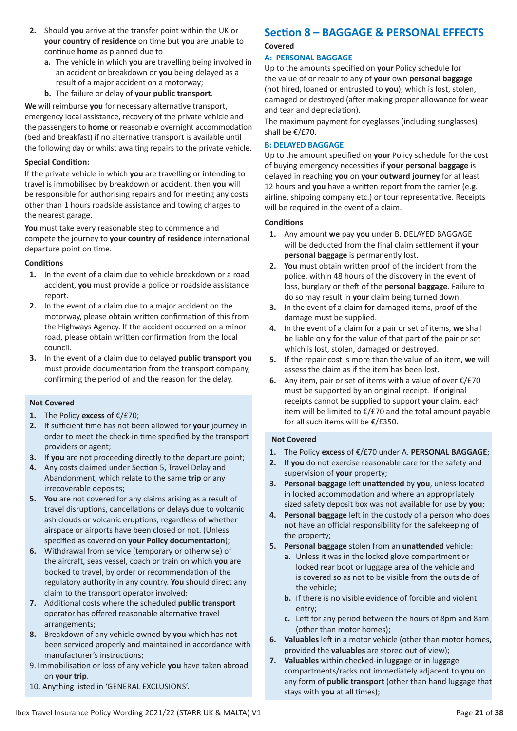- **2.** Should **you** arrive at the transfer point within the UK or **your country of residence** on time but **you** are unable to continue **home** as planned due to
	- **a.** The vehicle in which **you** are travelling being involved in an accident or breakdown or **you** being delayed as a result of a major accident on a motorway;
	- **b.** The failure or delay of **your public transport**.

**We** will reimburse **you** for necessary alternative transport, emergency local assistance, recovery of the private vehicle and the passengers to **home** or reasonable overnight accommodation (bed and breakfast) if no alternative transport is available until the following day or whilst awaiting repairs to the private vehicle.

# **Special Condition:**

If the private vehicle in which **you** are travelling or intending to travel is immobilised by breakdown or accident, then **you** will be responsible for authorising repairs and for meeting any costs other than 1 hours roadside assistance and towing charges to the nearest garage.

**You** must take every reasonable step to commence and compete the journey to **your country of residence** international departure point on time.

# **Conditions**

- **1.** In the event of a claim due to vehicle breakdown or a road accident, **you** must provide a police or roadside assistance report.
- **2.** In the event of a claim due to a major accident on the motorway, please obtain written confirmation of this from the Highways Agency. If the accident occurred on a minor road, please obtain written confirmation from the local council.
- **3.** In the event of a claim due to delayed **public transport you** must provide documentation from the transport company, confirming the period of and the reason for the delay.

# **Not Covered**

- **1.** The Policy **excess** of €/£70;
- **2.** If sufficient time has not been allowed for **your** journey in order to meet the check-in time specified by the transport providers or agent;
- **3.** If **you** are not proceeding directly to the departure point;
- **4.** Any costs claimed under Section 5, Travel Delay and Abandonment, which relate to the same **trip** or any irrecoverable deposits;
- **5. You** are not covered for any claims arising as a result of travel disruptions, cancellations or delays due to volcanic ash clouds or volcanic eruptions, regardless of whether airspace or airports have been closed or not. (Unless specified as covered on **your Policy documentation**);
- **6.** Withdrawal from service (temporary or otherwise) of the aircraft, seas vessel, coach or train on which **you** are booked to travel, by order or recommendation of the regulatory authority in any country. **You** should direct any claim to the transport operator involved;
- **7.** Additional costs where the scheduled **public transport** operator has offered reasonable alternative travel arrangements;
- **8.** Breakdown of any vehicle owned by **you** which has not been serviced properly and maintained in accordance with manufacturer's instructions;
- 9. Immobilisation or loss of any vehicle **you** have taken abroad on **your trip**.
- 10. Anything listed in 'GENERAL EXCLUSIONS'.

# **Section 8 – BAGGAGE & PERSONAL EFFECTS**

# **Covered**

# **A: PERSONAL BAGGAGE**

Up to the amounts specified on **your** Policy schedule for the value of or repair to any of **your** own **personal baggage** (not hired, loaned or entrusted to **you**), which is lost, stolen, damaged or destroyed (after making proper allowance for wear and tear and depreciation).

The maximum payment for eyeglasses (including sunglasses) shall be €/£70.

# **B: DELAYED BAGGAGE**

Up to the amount specified on **your** Policy schedule for the cost of buying emergency necessities if **your personal baggage** is delayed in reaching **you** on **your outward journey** for at least 12 hours and **you** have a written report from the carrier (e.g. airline, shipping company etc.) or tour representative. Receipts will be required in the event of a claim.

# **Conditions**

- **1.** Any amount **we** pay **you** under B. DELAYED BAGGAGE will be deducted from the final claim settlement if **your personal baggage** is permanently lost.
- **2. You** must obtain written proof of the incident from the police, within 48 hours of the discovery in the event of loss, burglary or theft of the **personal baggage**. Failure to do so may result in **your** claim being turned down.
- **3.** In the event of a claim for damaged items, proof of the damage must be supplied.
- **4.** In the event of a claim for a pair or set of items, **we** shall be liable only for the value of that part of the pair or set which is lost, stolen, damaged or destroyed.
- **5.** If the repair cost is more than the value of an item, **we** will assess the claim as if the item has been lost.
- **6.** Any item, pair or set of items with a value of over €/£70 must be supported by an original receipt. If original receipts cannot be supplied to support **your** claim, each item will be limited to €/£70 and the total amount payable for all such items will be €/£350.

- **1.** The Policy **excess** of €/£70 under A. **PERSONAL BAGGAGE**;
- **2.** If **you** do not exercise reasonable care for the safety and supervision of **your** property;
- **3. Personal baggage** left **unattended** by **you**, unless located in locked accommodation and where an appropriately sized safety deposit box was not available for use by **you**;
- **4. Personal baggage** left in the custody of a person who does not have an official responsibility for the safekeeping of the property;
- **5. Personal baggage** stolen from an **unattended** vehicle:
	- **a.** Unless it was in the locked glove compartment or locked rear boot or luggage area of the vehicle and is covered so as not to be visible from the outside of the vehicle;
	- **b.** If there is no visible evidence of forcible and violent entry;
	- **c.** Left for any period between the hours of 8pm and 8am (other than motor homes);
- **6. Valuables** left in a motor vehicle (other than motor homes, provided the **valuables** are stored out of view);
- **7. Valuables** within checked-in luggage or in luggage compartments/racks not immediately adjacent to **you** on any form of **public transport** (other than hand luggage that stays with **you** at all times);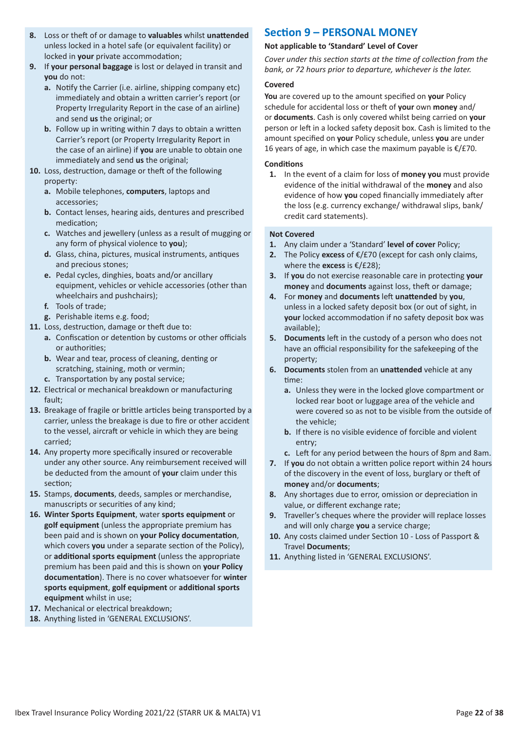- **8.** Loss or theft of or damage to **valuables** whilst **unattended** unless locked in a hotel safe (or equivalent facility) or locked in **your** private accommodation;
- **9.** If **your personal baggage** is lost or delayed in transit and **you** do not:
	- **a.** Notify the Carrier (i.e. airline, shipping company etc) immediately and obtain a written carrier's report (or Property Irregularity Report in the case of an airline) and send **us** the original; or
	- **b.** Follow up in writing within 7 days to obtain a written Carrier's report (or Property Irregularity Report in the case of an airline) if **you** are unable to obtain one immediately and send **us** the original;
- **10.** Loss, destruction, damage or theft of the following property:
	- **a.** Mobile telephones, **computers**, laptops and accessories;
	- **b.** Contact lenses, hearing aids, dentures and prescribed medication;
	- **c.** Watches and jewellery (unless as a result of mugging or any form of physical violence to **you**);
	- **d.** Glass, china, pictures, musical instruments, antiques and precious stones;
	- **e.** Pedal cycles, dinghies, boats and/or ancillary equipment, vehicles or vehicle accessories (other than wheelchairs and pushchairs);
	- **f.** Tools of trade;
	- **g.** Perishable items e.g. food;
- **11.** Loss, destruction, damage or theft due to:
	- **a.** Confiscation or detention by customs or other officials or authorities;
	- **b.** Wear and tear, process of cleaning, denting or scratching, staining, moth or vermin;
	- **c.** Transportation by any postal service;
- **12.** Electrical or mechanical breakdown or manufacturing fault;
- **13.** Breakage of fragile or brittle articles being transported by a carrier, unless the breakage is due to fire or other accident to the vessel, aircraft or vehicle in which they are being carried;
- **14.** Any property more specifically insured or recoverable under any other source. Any reimbursement received will be deducted from the amount of **your** claim under this section;
- **15.** Stamps, **documents**, deeds, samples or merchandise, manuscripts or securities of any kind;
- **16. Winter Sports Equipment**, water **sports equipment** or **golf equipment** (unless the appropriate premium has been paid and is shown on **your Policy documentation**, which covers **you** under a separate section of the Policy), or **additional sports equipment** (unless the appropriate premium has been paid and this is shown on **your Policy documentation**). There is no cover whatsoever for **winter sports equipment**, **golf equipment** or **additional sports equipment** whilst in use;
- **17.** Mechanical or electrical breakdown;
- **18.** Anything listed in 'GENERAL EXCLUSIONS'.

# **Section 9 – PERSONAL MONEY**

# **Not applicable to 'Standard' Level of Cover**

*Cover under this section starts at the time of collection from the bank, or 72 hours prior to departure, whichever is the later.*

# **Covered**

**You** are covered up to the amount specified on **your** Policy schedule for accidental loss or theft of **your** own **money** and/ or **documents**. Cash is only covered whilst being carried on **your** person or left in a locked safety deposit box. Cash is limited to the amount specified on **your** Policy schedule, unless **you** are under 16 years of age, in which case the maximum payable is €/£70.

# **Conditions**

**1.** In the event of a claim for loss of **money you** must provide evidence of the initial withdrawal of the **money** and also evidence of how **you** coped financially immediately after the loss (e.g. currency exchange/ withdrawal slips, bank/ credit card statements).

- **1.** Any claim under a 'Standard' **level of cover** Policy;
- **2.** The Policy **excess** of €/£70 (except for cash only claims, where the **excess** is €/£28);
- **3.** If **you** do not exercise reasonable care in protecting **your money** and **documents** against loss, theft or damage;
- **4.** For **money** and **documents** left **unattended** by **you**, unless in a locked safety deposit box (or out of sight, in **your** locked accommodation if no safety deposit box was available);
- **5. Documents** left in the custody of a person who does not have an official responsibility for the safekeeping of the property;
- **6. Documents** stolen from an **unattended** vehicle at any time:
	- **a.** Unless they were in the locked glove compartment or locked rear boot or luggage area of the vehicle and were covered so as not to be visible from the outside of the vehicle;
	- **b.** If there is no visible evidence of forcible and violent entry;
	- **c.** Left for any period between the hours of 8pm and 8am.
- **7.** If **you** do not obtain a written police report within 24 hours of the discovery in the event of loss, burglary or theft of **money** and/or **documents**;
- **8.** Any shortages due to error, omission or depreciation in value, or different exchange rate;
- **9.** Traveller's cheques where the provider will replace losses and will only charge **you** a service charge;
- **10.** Any costs claimed under Section 10 Loss of Passport & Travel **Documents**;
- **11.** Anything listed in 'GENERAL EXCLUSIONS'.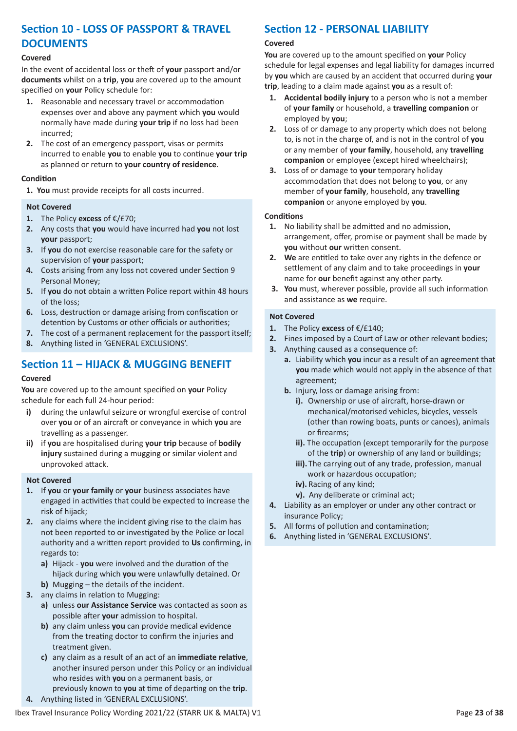# **Section 10 - LOSS OF PASSPORT & TRAVEL DOCUMENTS**

# **Covered**

In the event of accidental loss or theft of **your** passport and/or **documents** whilst on a **trip**, **you** are covered up to the amount specified on **your** Policy schedule for:

- **1.** Reasonable and necessary travel or accommodation expenses over and above any payment which **you** would normally have made during **your trip** if no loss had been incurred;
- **2.** The cost of an emergency passport, visas or permits incurred to enable **you** to enable **you** to continue **your trip** as planned or return to **your country of residence**.

# **Condition**

**1. You** must provide receipts for all costs incurred.

# **Not Covered**

- **1.** The Policy **excess** of €/£70;
- **2.** Any costs that **you** would have incurred had **you** not lost **your** passport;
- **3.** If **you** do not exercise reasonable care for the safety or supervision of **your** passport;
- **4.** Costs arising from any loss not covered under Section 9 Personal Money;
- **5.** If **you** do not obtain a written Police report within 48 hours of the loss;
- **6.** Loss, destruction or damage arising from confiscation or detention by Customs or other officials or authorities;
- **7.** The cost of a permanent replacement for the passport itself;
- **8.** Anything listed in 'GENERAL EXCLUSIONS'.

# **Section 11 – HIJACK & MUGGING BENEFIT**

# **Covered**

**You** are covered up to the amount specified on **your** Policy schedule for each full 24-hour period:

- **i)** during the unlawful seizure or wrongful exercise of control over **you** or of an aircraft or conveyance in which **you** are travelling as a passenger.
- **ii)** if **you** are hospitalised during **your trip** because of **bodily injury** sustained during a mugging or similar violent and unprovoked attack.

# **Not Covered**

- **1.** If **you** or **your family** or **your** business associates have engaged in activities that could be expected to increase the risk of hijack;
- **2.** any claims where the incident giving rise to the claim has not been reported to or investigated by the Police or local authority and a written report provided to **Us** confirming, in regards to:
	- **a)** Hijack **you** were involved and the duration of the hijack during which **you** were unlawfully detained. Or
	- **b)** Mugging the details of the incident.
- **3.** any claims in relation to Mugging:
	- **a)** unless **our Assistance Service** was contacted as soon as possible after **your** admission to hospital.
	- **b)** any claim unless **you** can provide medical evidence from the treating doctor to confirm the injuries and treatment given.
	- **c)** any claim as a result of an act of an **immediate relative**, another insured person under this Policy or an individual who resides with **you** on a permanent basis, or
	- previously known to **you** at time of departing on the **trip**.
- **4.** Anything listed in 'GENERAL EXCLUSIONS'.

# **Section 12 - PERSONAL LIABILITY**

# **Covered**

**You** are covered up to the amount specified on **your** Policy schedule for legal expenses and legal liability for damages incurred by **you** which are caused by an accident that occurred during **your trip**, leading to a claim made against **you** as a result of:

- **1. Accidental bodily injury** to a person who is not a member of **your family** or household, a **travelling companion** or employed by **you**;
- **2.** Loss of or damage to any property which does not belong to, is not in the charge of, and is not in the control of **you** or any member of **your family**, household, any **travelling companion** or employee (except hired wheelchairs);
- **3.** Loss of or damage to **your** temporary holiday accommodation that does not belong to **you**, or any member of **your family**, household, any **travelling companion** or anyone employed by **you**.

# **Conditions**

- **1.** No liability shall be admitted and no admission, arrangement, offer, promise or payment shall be made by **you** without **our** written consent.
- **2. We** are entitled to take over any rights in the defence or settlement of any claim and to take proceedings in **your** name for **our** benefit against any other party.
- **3. You** must, wherever possible, provide all such information and assistance as **we** require.

- **1.** The Policy **excess** of €/£140;
- **2.** Fines imposed by a Court of Law or other relevant bodies;
- **3.** Anything caused as a consequence of:
	- **a.** Liability which **you** incur as a result of an agreement that **you** made which would not apply in the absence of that agreement;
	- **b.** Injury, loss or damage arising from:
		- **i).** Ownership or use of aircraft, horse-drawn or mechanical/motorised vehicles, bicycles, vessels (other than rowing boats, punts or canoes), animals or firearms;
		- **ii).** The occupation (except temporarily for the purpose of the **trip**) or ownership of any land or buildings;
		- **iii).** The carrying out of any trade, profession, manual work or hazardous occupation;
		- **iv).** Racing of any kind;
		- **v).** Any deliberate or criminal act;
- **4.** Liability as an employer or under any other contract or insurance Policy;
- **5.** All forms of pollution and contamination;
- **6.** Anything listed in 'GENERAL EXCLUSIONS'.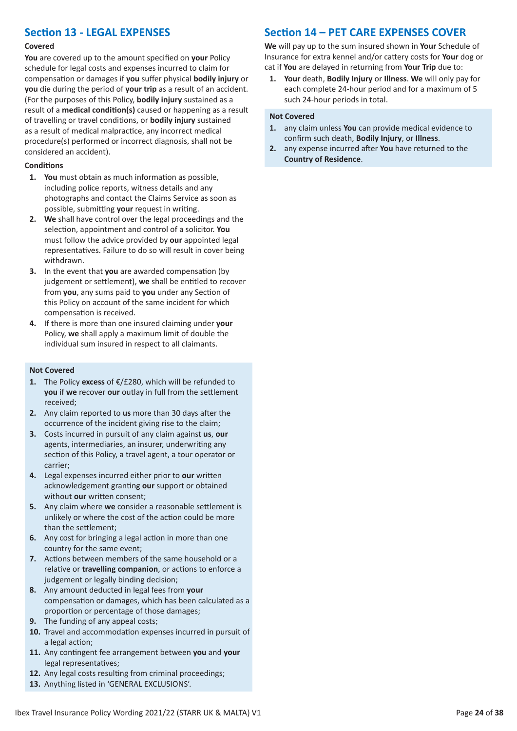# **Section 13 - LEGAL EXPENSES**

#### **Covered**

**You** are covered up to the amount specified on **your** Policy schedule for legal costs and expenses incurred to claim for compensation or damages if **you** suffer physical **bodily injury** or **you** die during the period of **your trip** as a result of an accident. (For the purposes of this Policy, **bodily injury** sustained as a result of a **medical condition(s)** caused or happening as a result of travelling or travel conditions, or **bodily injury** sustained as a result of medical malpractice, any incorrect medical procedure(s) performed or incorrect diagnosis, shall not be considered an accident).

# **Conditions**

- **1. You** must obtain as much information as possible, including police reports, witness details and any photographs and contact the Claims Service as soon as possible, submitting **your** request in writing.
- **2. We** shall have control over the legal proceedings and the selection, appointment and control of a solicitor. **You** must follow the advice provided by **our** appointed legal representatives. Failure to do so will result in cover being withdrawn.
- **3.** In the event that **you** are awarded compensation (by judgement or settlement), **we** shall be entitled to recover from **you**, any sums paid to **you** under any Section of this Policy on account of the same incident for which compensation is received.
- **4.** If there is more than one insured claiming under **your** Policy, **we** shall apply a maximum limit of double the individual sum insured in respect to all claimants.

#### **Not Covered**

- **1.** The Policy **excess** of €/£280, which will be refunded to **you** if **we** recover **our** outlay in full from the settlement received;
- **2.** Any claim reported to **us** more than 30 days after the occurrence of the incident giving rise to the claim;
- **3.** Costs incurred in pursuit of any claim against **us**, **our** agents, intermediaries, an insurer, underwriting any section of this Policy, a travel agent, a tour operator or carrier;
- **4.** Legal expenses incurred either prior to **our** written acknowledgement granting **our** support or obtained without **our** written consent;
- **5.** Any claim where **we** consider a reasonable settlement is unlikely or where the cost of the action could be more than the settlement;
- **6.** Any cost for bringing a legal action in more than one country for the same event;
- **7.** Actions between members of the same household or a relative or **travelling companion**, or actions to enforce a judgement or legally binding decision;
- **8.** Any amount deducted in legal fees from **your** compensation or damages, which has been calculated as a proportion or percentage of those damages;
- **9.** The funding of any appeal costs;
- **10.** Travel and accommodation expenses incurred in pursuit of a legal action;
- **11.** Any contingent fee arrangement between **you** and **your** legal representatives;
- **12.** Any legal costs resulting from criminal proceedings;
- **13.** Anything listed in 'GENERAL EXCLUSIONS'.

# **Section 14 – PET CARE EXPENSES COVER**

**We** will pay up to the sum insured shown in **Your** Schedule of Insurance for extra kennel and/or cattery costs for **Your** dog or cat if **You** are delayed in returning from **Your Trip** due to:

**1. Your** death, **Bodily Injury** or **Illness**. **We** will only pay for each complete 24-hour period and for a maximum of 5 such 24-hour periods in total.

- **1.** any claim unless **You** can provide medical evidence to confirm such death, **Bodily Injury**, or **Illness**.
- **2.** any expense incurred after **You** have returned to the **Country of Residence**.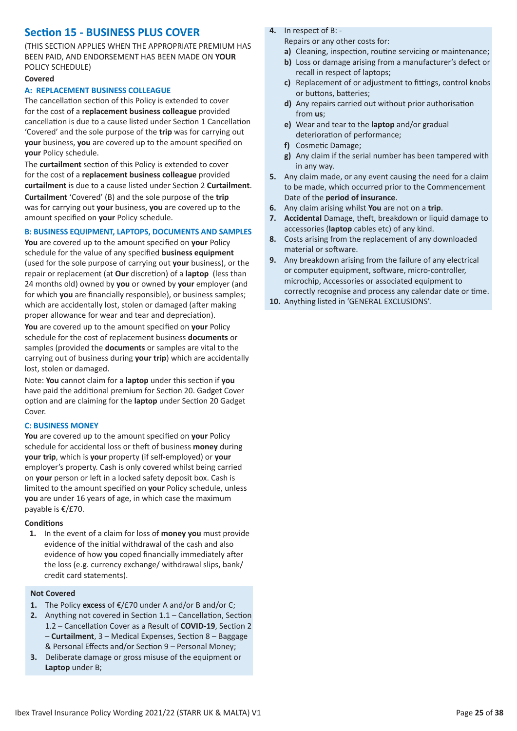# **Section 15 - BUSINESS PLUS COVER**

(THIS SECTION APPLIES WHEN THE APPROPRIATE PREMIUM HAS BEEN PAID, AND ENDORSEMENT HAS BEEN MADE ON **YOUR** POLICY SCHEDULE)

#### **Covered**

### **A: REPLACEMENT BUSINESS COLLEAGUE**

The cancellation section of this Policy is extended to cover for the cost of a **replacement business colleague** provided cancellation is due to a cause listed under Section 1 Cancellation 'Covered' and the sole purpose of the **trip** was for carrying out **your** business, **you** are covered up to the amount specified on **your** Policy schedule.

The **curtailment** section of this Policy is extended to cover for the cost of a **replacement business colleague** provided **curtailment** is due to a cause listed under Section 2 **Curtailment**. **Curtailment** 'Covered' (B) and the sole purpose of the **trip** was for carrying out **your** business, **you** are covered up to the amount specified on **your** Policy schedule.

# **B: BUSINESS EQUIPMENT, LAPTOPS, DOCUMENTS AND SAMPLES**

**You** are covered up to the amount specified on **your** Policy schedule for the value of any specified **business equipment** (used for the sole purpose of carrying out **your** business), or the repair or replacement (at **Our** discretion) of a **laptop** (less than 24 months old) owned by **you** or owned by **your** employer (and for which **you** are financially responsible), or business samples; which are accidentally lost, stolen or damaged (after making proper allowance for wear and tear and depreciation).

**You** are covered up to the amount specified on **your** Policy schedule for the cost of replacement business **documents** or samples (provided the **documents** or samples are vital to the carrying out of business during **your trip**) which are accidentally lost, stolen or damaged.

Note: **You** cannot claim for a **laptop** under this section if **you** have paid the additional premium for Section 20. Gadget Cover option and are claiming for the **laptop** under Section 20 Gadget Cover.

# **C: BUSINESS MONEY**

**You** are covered up to the amount specified on **your** Policy schedule for accidental loss or theft of business **money** during **your trip**, which is **your** property (if self-employed) or **your** employer's property. Cash is only covered whilst being carried on **your** person or left in a locked safety deposit box. Cash is limited to the amount specified on **your** Policy schedule, unless **you** are under 16 years of age, in which case the maximum payable is €/£70.

# **Conditions**

**1.** In the event of a claim for loss of **money you** must provide evidence of the initial withdrawal of the cash and also evidence of how **you** coped financially immediately after the loss (e.g. currency exchange/ withdrawal slips, bank/ credit card statements).

# **Not Covered**

- **1.** The Policy **excess** of €/£70 under A and/or B and/or C;
- **2.** Anything not covered in Section 1.1 Cancellation, Section 1.2 – Cancellation Cover as a Result of **COVID-19**, Section 2 – **Curtailment**, 3 – Medical Expenses, Section 8 – Baggage & Personal Effects and/or Section 9 – Personal Money;
- **3.** Deliberate damage or gross misuse of the equipment or **Laptop** under B;

**4.** In respect of B: -

Repairs or any other costs for:

- **a)** Cleaning, inspection, routine servicing or maintenance;
- **b)** Loss or damage arising from a manufacturer's defect or recall in respect of laptops;
- **c)** Replacement of or adjustment to fittings, control knobs or buttons, batteries;
- **d)** Any repairs carried out without prior authorisation from **us**;
- **e)** Wear and tear to the **laptop** and/or gradual deterioration of performance;
- **f)** Cosmetic Damage;
- **g)** Any claim if the serial number has been tampered with in any way.
- **5.** Any claim made, or any event causing the need for a claim to be made, which occurred prior to the Commencement Date of the **period of insurance**.
- **6.** Any claim arising whilst **You** are not on a **trip**.
- **7. Accidental** Damage, theft, breakdown or liquid damage to accessories (**laptop** cables etc) of any kind.
- **8.** Costs arising from the replacement of any downloaded material or software.
- **9.** Any breakdown arising from the failure of any electrical or computer equipment, software, micro-controller, microchip, Accessories or associated equipment to correctly recognise and process any calendar date or time.
- **10.** Anything listed in 'GENERAL EXCLUSIONS'.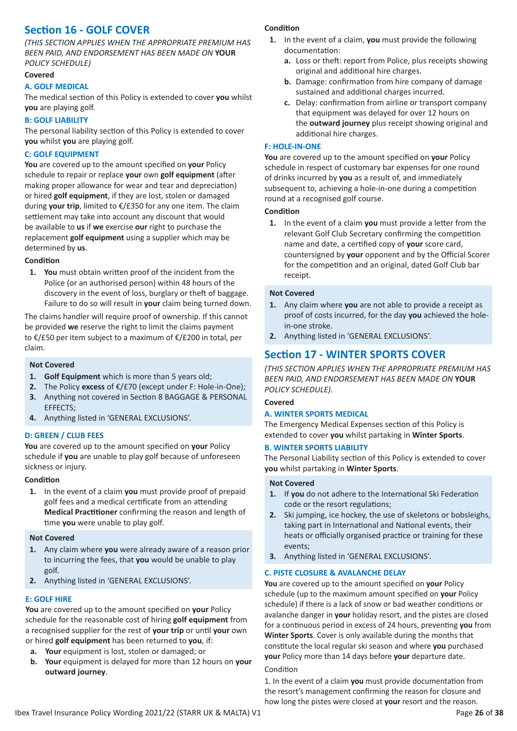# **Section 16 - GOLF COVER**

*(THIS SECTION APPLIES WHEN THE APPROPRIATE PREMIUM HAS BEEN PAID, AND ENDORSEMENT HAS BEEN MADE ON* **YOUR** *POLICY SCHEDULE)*

#### **Covered**

#### **A. GOLF MEDICAL**

The medical section of this Policy is extended to cover **you** whilst **you** are playing golf.

#### **B: GOLF LIABILITY**

The personal liability section of this Policy is extended to cover **you** whilst **you** are playing golf.

#### **C: GOLF EQUIPMENT**

**You** are covered up to the amount specified on **your** Policy schedule to repair or replace **your** own **golf equipment** (after making proper allowance for wear and tear and depreciation) or hired **golf equipment**, if they are lost, stolen or damaged during **your trip**, limited to €/£350 for any one item. The claim settlement may take into account any discount that would be available to **us** if **we** exercise **our** right to purchase the replacement **golf equipment** using a supplier which may be determined by **us**.

#### **Condition**

**1. You** must obtain written proof of the incident from the Police (or an authorised person) within 48 hours of the discovery in the event of loss, burglary or theft of baggage. Failure to do so will result in **your** claim being turned down.

The claims handler will require proof of ownership. If this cannot be provided **we** reserve the right to limit the claims payment to €/£50 per item subject to a maximum of €/£200 in total, per claim.

#### **Not Covered**

- **1. Golf Equipment** which is more than 5 years old;
- **2.** The Policy **excess** of €/£70 (except under F: Hole-in-One); **3.** Anything not covered in Section 8 BAGGAGE & PERSONAL EFFECTS;
- **4.** Anything listed in 'GENERAL EXCLUSIONS'.

# **D: GREEN / CLUB FEES**

**You** are covered up to the amount specified on **your** Policy schedule if **you** are unable to play golf because of unforeseen sickness or injury.

#### **Condition**

**1.** In the event of a claim **you** must provide proof of prepaid golf fees and a medical certificate from an attending **Medical Practitioner** confirming the reason and length of time **you** were unable to play golf.

#### **Not Covered**

- **1.** Any claim where **you** were already aware of a reason prior to incurring the fees, that **you** would be unable to play golf.
- **2.** Anything listed in 'GENERAL EXCLUSIONS'.

# **E: GOLF HIRE**

**You** are covered up to the amount specified on **your** Policy schedule for the reasonable cost of hiring **golf equipment** from a recognised supplier for the rest of **your trip** or until **your** own or hired **golf equipment** has been returned to **you**, if:

- **a. Your** equipment is lost, stolen or damaged; or
- **b. Your** equipment is delayed for more than 12 hours on **your outward journey**.

#### **Condition**

- **1.** In the event of a claim, **you** must provide the following documentation:
	- **a.** Loss or theft: report from Police, plus receipts showing original and additional hire charges.
	- **b.** Damage: confirmation from hire company of damage sustained and additional charges incurred.
	- **c.** Delay: confirmation from airline or transport company that equipment was delayed for over 12 hours on the **outward journey** plus receipt showing original and additional hire charges.

#### **F: HOLE-IN-ONE**

**You** are covered up to the amount specified on **your** Policy schedule in respect of customary bar expenses for one round of drinks incurred by **you** as a result of, and immediately subsequent to, achieving a hole-in-one during a competition round at a recognised golf course.

#### **Condition**

**1.** In the event of a claim **you** must provide a letter from the relevant Golf Club Secretary confirming the competition name and date, a certified copy of **your** score card, countersigned by **your** opponent and by the Official Scorer for the competition and an original, dated Golf Club bar receipt.

#### **Not Covered**

- **1.** Any claim where **you** are not able to provide a receipt as proof of costs incurred, for the day **you** achieved the holein-one stroke.
- **2.** Anything listed in 'GENERAL EXCLUSIONS'.

# **Section 17 - WINTER SPORTS COVER**

*(THIS SECTION APPLIES WHEN THE APPROPRIATE PREMIUM HAS BEEN PAID, AND ENDORSEMENT HAS BEEN MADE ON* **YOUR** *POLICY SCHEDULE).*

#### **Covered**

# **A. WINTER SPORTS MEDICAL**

The Emergency Medical Expenses section of this Policy is extended to cover **you** whilst partaking in **Winter Sports**.

#### **B. WINTER SPORTS LIABILITY**

The Personal Liability section of this Policy is extended to cover **you** whilst partaking in **Winter Sports**.

#### **Not Covered**

- **1.** If **you** do not adhere to the International Ski Federation code or the resort regulations;
- **2.** Ski jumping, ice hockey, the use of skeletons or bobsleighs, taking part in International and National events, their heats or officially organised practice or training for these events;
- **3.** Anything listed in 'GENERAL EXCLUSIONS'.

# **C. PISTE CLOSURE & AVALANCHE DELAY**

**You** are covered up to the amount specified on **your** Policy schedule (up to the maximum amount specified on **your** Policy schedule) if there is a lack of snow or bad weather conditions or avalanche danger in **your** holiday resort, and the pistes are closed for a continuous period in excess of 24 hours, preventing **you** from **Winter Sports**. Cover is only available during the months that constitute the local regular ski season and where **you** purchased **your** Policy more than 14 days before **your** departure date.

Condition

1. In the event of a claim **you** must provide documentation from the resort's management confirming the reason for closure and how long the pistes were closed at **your** resort and the reason.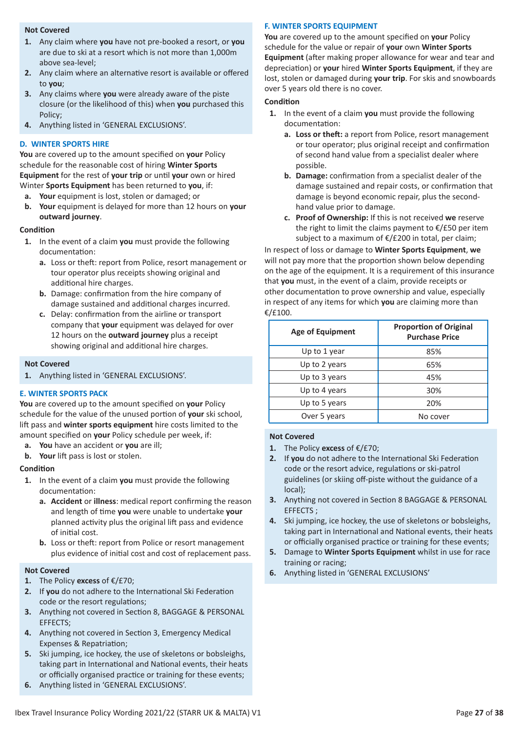# **Not Covered**

- **1.** Any claim where **you** have not pre-booked a resort, or **you** are due to ski at a resort which is not more than 1,000m above sea-level;
- **2.** Any claim where an alternative resort is available or offered to **you**;
- **3.** Any claims where **you** were already aware of the piste closure (or the likelihood of this) when **you** purchased this Policy;
- **4.** Anything listed in 'GENERAL EXCLUSIONS'.

# **D. WINTER SPORTS HIRE**

**You** are covered up to the amount specified on **your** Policy schedule for the reasonable cost of hiring **Winter Sports Equipment** for the rest of **your trip** or until **your** own or hired Winter **Sports Equipment** has been returned to **you**, if:

- **a. Your** equipment is lost, stolen or damaged; or
- **b. Your** equipment is delayed for more than 12 hours on **your outward journey**.

# **Condition**

- **1.** In the event of a claim **you** must provide the following documentation:
	- **a.** Loss or theft: report from Police, resort management or tour operator plus receipts showing original and additional hire charges.
	- **b.** Damage: confirmation from the hire company of damage sustained and additional charges incurred.
	- **c.** Delay: confirmation from the airline or transport company that **your** equipment was delayed for over 12 hours on the **outward journey** plus a receipt showing original and additional hire charges.

#### **.Not Covered**

**1.** Anything listed in 'GENERAL EXCLUSIONS'.

# **E. WINTER SPORTS PACK**

**You** are covered up to the amount specified on **your** Policy schedule for the value of the unused portion of **your** ski school, lift pass and **winter sports equipment** hire costs limited to the amount specified on **your** Policy schedule per week, if:

- **a. You** have an accident or **you** are ill;
- **b. Your** lift pass is lost or stolen.

# **Condition**

- **1.** In the event of a claim **you** must provide the following documentation:
	- **a. Accident** or **illness**: medical report confirming the reason and length of time **you** were unable to undertake **your** planned activity plus the original lift pass and evidence of initial cost.
	- **b.** Loss or theft: report from Police or resort management plus evidence of initial cost and cost of replacement pass.

#### **Not Covered**

- **1.** The Policy **excess** of €/£70;
- **2.** If **you** do not adhere to the International Ski Federation code or the resort regulations;
- **3.** Anything not covered in Section 8, BAGGAGE & PERSONAL EFFECTS;
- **4.** Anything not covered in Section 3, Emergency Medical Expenses & Repatriation;
- **5.** Ski jumping, ice hockey, the use of skeletons or bobsleighs, taking part in International and National events, their heats or officially organised practice or training for these events;
- **6.** Anything listed in 'GENERAL EXCLUSIONS'.

# **F. WINTER SPORTS EQUIPMENT**

**You** are covered up to the amount specified on **your** Policy schedule for the value or repair of **your** own **Winter Sports Equipment** (after making proper allowance for wear and tear and depreciation) or **your** hired **Winter Sports Equipment**, if they are lost, stolen or damaged during **your trip**. For skis and snowboards over 5 years old there is no cover.

#### **Condition**

- **1.** In the event of a claim **you** must provide the following documentation:
	- **a. Loss or theft:** a report from Police, resort management or tour operator; plus original receipt and confirmation of second hand value from a specialist dealer where possible.
	- **b. Damage:** confirmation from a specialist dealer of the damage sustained and repair costs, or confirmation that damage is beyond economic repair, plus the second hand value prior to damage.
	- **c. Proof of Ownership:** If this is not received **we** reserve the right to limit the claims payment to  $\epsilon$ /£50 per item subject to a maximum of €/£200 in total, per claim;

In respect of loss or damage to **Winter Sports Equipment**, **we** will not pay more that the proportion shown below depending on the age of the equipment. It is a requirement of this insurance that **you** must, in the event of a claim, provide receipts or other documentation to prove ownership and value, especially in respect of any items for which **you** are claiming more than €/£100.

| <b>Age of Equipment</b> | <b>Proportion of Original</b><br><b>Purchase Price</b> |
|-------------------------|--------------------------------------------------------|
| Up to 1 year            | 85%                                                    |
| Up to 2 years           | 65%                                                    |
| Up to 3 years           | 45%                                                    |
| Up to 4 years           | 30%                                                    |
| Up to 5 years           | 20%                                                    |
| Over 5 years            | No cover                                               |

- **1.** The Policy **excess** of €/£70;
- **2.** If **you** do not adhere to the International Ski Federation code or the resort advice, regulations or ski-patrol guidelines (or skiing off-piste without the guidance of a local);
- **3.** Anything not covered in Section 8 BAGGAGE & PERSONAL EFFECTS ;
- **4.** Ski jumping, ice hockey, the use of skeletons or bobsleighs, taking part in International and National events, their heats or officially organised practice or training for these events;
- **5.** Damage to **Winter Sports Equipment** whilst in use for race training or racing;
- **6.** Anything listed in 'GENERAL EXCLUSIONS'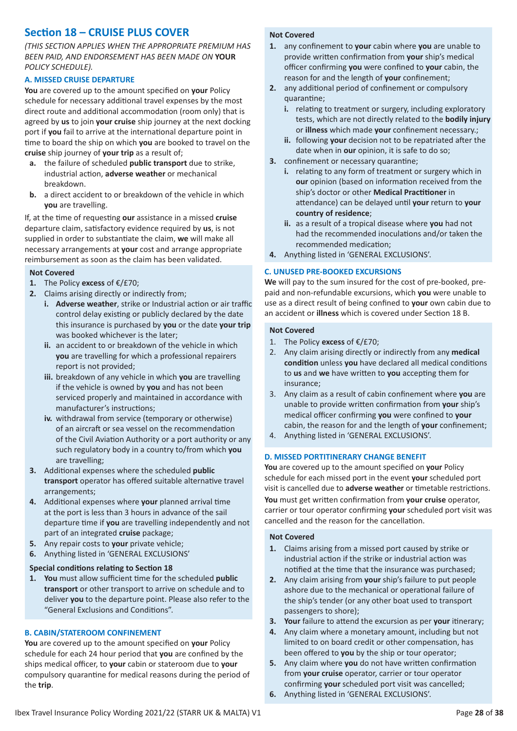# **Section 18 – CRUISE PLUS COVER**

*(THIS SECTION APPLIES WHEN THE APPROPRIATE PREMIUM HAS BEEN PAID, AND ENDORSEMENT HAS BEEN MADE ON* **YOUR** *POLICY SCHEDULE).*

# **A. MISSED CRUISE DEPARTURE**

**You** are covered up to the amount specified on **your** Policy schedule for necessary additional travel expenses by the most direct route and additional accommodation (room only) that is agreed by **us** to join **your cruise** ship journey at the next docking port if **you** fail to arrive at the international departure point in time to board the ship on which **you** are booked to travel on the **cruise** ship journey of **your trip** as a result of;

- **a.** the failure of scheduled **public transport** due to strike, industrial action, **adverse weather** or mechanical breakdown.
- **b.** a direct accident to or breakdown of the vehicle in which **you** are travelling.

If, at the time of requesting **our** assistance in a missed **cruise** departure claim, satisfactory evidence required by **us**, is not supplied in order to substantiate the claim, **we** will make all necessary arrangements at **your** cost and arrange appropriate reimbursement as soon as the claim has been validated.

# **Not Covered**

- **1.** The Policy **excess** of €/£70;
- **2.** Claims arising directly or indirectly from;
	- **i. Adverse weather**, strike or Industrial action or air traffic control delay existing or publicly declared by the date this insurance is purchased by **you** or the date **your trip** was booked whichever is the later;
	- **ii.** an accident to or breakdown of the vehicle in which **you** are travelling for which a professional repairers report is not provided;
	- **iii.** breakdown of any vehicle in which **you** are travelling if the vehicle is owned by **you** and has not been serviced properly and maintained in accordance with manufacturer's instructions;
	- **iv.** withdrawal from service (temporary or otherwise) of an aircraft or sea vessel on the recommendation of the Civil Aviation Authority or a port authority or any such regulatory body in a country to/from which **you** are travelling;
- **3.** Additional expenses where the scheduled **public transport** operator has offered suitable alternative travel arrangements;
- **4.** Additional expenses where **your** planned arrival time at the port is less than 3 hours in advance of the sail departure time if **you** are travelling independently and not part of an integrated **cruise** package;
- **5.** Any repair costs to **your** private vehicle;
- **6.** Anything listed in 'GENERAL EXCLUSIONS'

# **Special conditions relating to Section 18**

**1. You** must allow sufficient time for the scheduled **public transport** or other transport to arrive on schedule and to deliver **you** to the departure point. Please also refer to the "General Exclusions and Conditions".

# **B. CABIN/STATEROOM CONFINEMENT**

**You** are covered up to the amount specified on **your** Policy schedule for each 24 hour period that **you** are confined by the ships medical officer, to **your** cabin or stateroom due to **your** compulsory quarantine for medical reasons during the period of the **trip**.

# **Not Covered**

- **1.** any confinement to **your** cabin where **you** are unable to provide written confirmation from **your** ship's medical officer confirming **you** were confined to **your** cabin, the reason for and the length of **your** confinement;
- **2.** any additional period of confinement or compulsory quarantine;
	- **i.** relating to treatment or surgery, including exploratory tests, which are not directly related to the **bodily injury** or **illness** which made **your** confinement necessary.;
	- **ii.** following **your** decision not to be repatriated after the date when in **our** opinion, it is safe to do so;
- **3.** confinement or necessary quarantine;
	- **i.** relating to any form of treatment or surgery which in **our** opinion (based on information received from the ship's doctor or other **Medical Practitioner** in attendance) can be delayed until **your** return to **your country of residence**;
	- **ii.** as a result of a tropical disease where **you** had not had the recommended inoculations and/or taken the recommended medication;
- **4.** Anything listed in 'GENERAL EXCLUSIONS'.

# **C. UNUSED PRE-BOOKED EXCURSIONS**

**We** will pay to the sum insured for the cost of pre-booked, prepaid and non-refundable excursions, which **you** were unable to use as a direct result of being confined to **your** own cabin due to an accident or **illness** which is covered under Section 18 B.

#### **Not Covered**

- 1. The Policy **excess** of €/£70;
- 2. Any claim arising directly or indirectly from any **medical condition** unless **you** have declared all medical conditions to **us** and **we** have written to **you** accepting them for insurance;
- 3. Any claim as a result of cabin confinement where **you** are unable to provide written confirmation from **your** ship's medical officer confirming **you** were confined to **your** cabin, the reason for and the length of **your** confinement;
- 4. Anything listed in 'GENERAL EXCLUSIONS'.

# **D. MISSED PORTITINERARY CHANGE BENEFIT**

**You** are covered up to the amount specified on **your** Policy schedule for each missed port in the event **your** scheduled port visit is cancelled due to **adverse weather** or timetable restrictions. **You** must get written confirmation from **your cruise** operator, carrier or tour operator confirming **your** scheduled port visit was cancelled and the reason for the cancellation.

- **1.** Claims arising from a missed port caused by strike or industrial action if the strike or industrial action was notified at the time that the insurance was purchased;
- **2.** Any claim arising from **your** ship's failure to put people ashore due to the mechanical or operational failure of the ship's tender (or any other boat used to transport passengers to shore);
- **3. Your** failure to attend the excursion as per **your** itinerary;
- **4.** Any claim where a monetary amount, including but not limited to on board credit or other compensation, has been offered to **you** by the ship or tour operator;
- **5.** Any claim where **you** do not have written confirmation from **your cruise** operator, carrier or tour operator confirming **your** scheduled port visit was cancelled;
- **6.** Anything listed in 'GENERAL EXCLUSIONS'.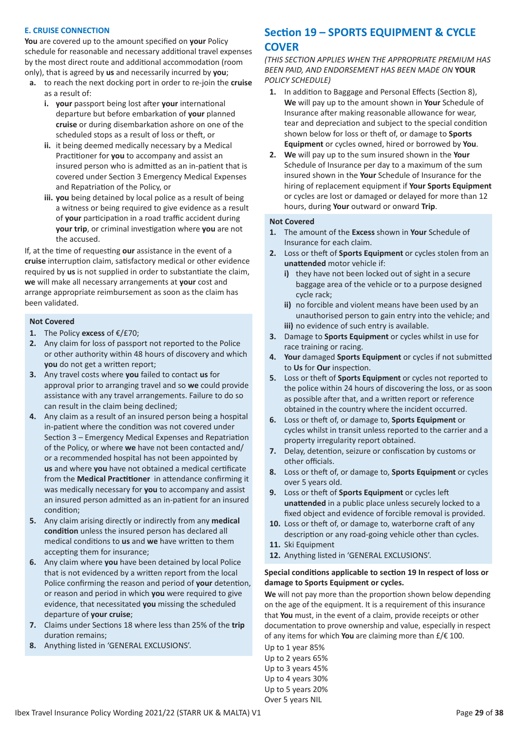# **E. CRUISE CONNECTION**

**You** are covered up to the amount specified on **your** Policy schedule for reasonable and necessary additional travel expenses by the most direct route and additional accommodation (room only), that is agreed by **us** and necessarily incurred by **you**;

- **a.** to reach the next docking port in order to re-join the **cruise** as a result of:
	- **i. your** passport being lost after **your** international departure but before embarkation of **your** planned **cruise** or during disembarkation ashore on one of the scheduled stops as a result of loss or theft, or
	- **ii.** it being deemed medically necessary by a Medical Practitioner for **you** to accompany and assist an insured person who is admitted as an in-patient that is covered under Section 3 Emergency Medical Expenses and Repatriation of the Policy, or
	- **iii. you** being detained by local police as a result of being a witness or being required to give evidence as a result of **your** participation in a road traffic accident during **your trip**, or criminal investigation where **you** are not the accused.

If, at the time of requesting **our** assistance in the event of a **cruise** interruption claim, satisfactory medical or other evidence required by **us** is not supplied in order to substantiate the claim, **we** will make all necessary arrangements at **your** cost and arrange appropriate reimbursement as soon as the claim has been validated.

#### **Not Covered**

- **1.** The Policy **excess** of €/£70;
- **2.** Any claim for loss of passport not reported to the Police or other authority within 48 hours of discovery and which **you** do not get a written report;
- **3.** Any travel costs where **you** failed to contact **us** for approval prior to arranging travel and so **we** could provide assistance with any travel arrangements. Failure to do so can result in the claim being declined;
- **4.** Any claim as a result of an insured person being a hospital in-patient where the condition was not covered under Section 3 – Emergency Medical Expenses and Repatriation of the Policy, or where **we** have not been contacted and/ or a recommended hospital has not been appointed by **us** and where **you** have not obtained a medical certificate from the **Medical Practitioner** in attendance confirming it was medically necessary for **you** to accompany and assist an insured person admitted as an in-patient for an insured condition;
- **5.** Any claim arising directly or indirectly from any **medical condition** unless the insured person has declared all medical conditions to **us** and **we** have written to them accepting them for insurance;
- **6.** Any claim where **you** have been detained by local Police that is not evidenced by a written report from the local Police confirming the reason and period of **your** detention, or reason and period in which **you** were required to give evidence, that necessitated **you** missing the scheduled departure of **your cruise**;
- **7.** Claims under Sections 18 where less than 25% of the **trip** duration remains;
- **8.** Anything listed in 'GENERAL EXCLUSIONS'.

# **Section 19 – SPORTS EQUIPMENT & CYCLE COVER**

*(THIS SECTION APPLIES WHEN THE APPROPRIATE PREMIUM HAS BEEN PAID, AND ENDORSEMENT HAS BEEN MADE ON* **YOUR** *POLICY SCHEDULE)*

- **1.** In addition to Baggage and Personal Effects (Section 8), **We** will pay up to the amount shown in **Your** Schedule of Insurance after making reasonable allowance for wear, tear and depreciation and subject to the special condition shown below for loss or theft of, or damage to **Sports Equipment** or cycles owned, hired or borrowed by **You**.
- **2. We** will pay up to the sum insured shown in the **Your** Schedule of Insurance per day to a maximum of the sum insured shown in the **Your** Schedule of Insurance for the hiring of replacement equipment if **Your Sports Equipment** or cycles are lost or damaged or delayed for more than 12 hours, during **Your** outward or onward **Trip**.

#### **Not Covered**

- **1.** The amount of the **Excess** shown in **Your** Schedule of Insurance for each claim.
- **2.** Loss or theft of **Sports Equipment** or cycles stolen from an **unattended** motor vehicle if:
	- **i)** they have not been locked out of sight in a secure baggage area of the vehicle or to a purpose designed cycle rack;
	- **ii)** no forcible and violent means have been used by an unauthorised person to gain entry into the vehicle; and **iii)** no evidence of such entry is available.
- **3.** Damage to **Sports Equipment** or cycles whilst in use for race training or racing.
- **4. Your** damaged **Sports Equipment** or cycles if not submitted to **Us** for **Our** inspection.
- **5.** Loss or theft of **Sports Equipment** or cycles not reported to the police within 24 hours of discovering the loss, or as soon as possible after that, and a written report or reference obtained in the country where the incident occurred.
- **6.** Loss or theft of, or damage to, **Sports Equipment** or cycles whilst in transit unless reported to the carrier and a property irregularity report obtained.
- **7.** Delay, detention, seizure or confiscation by customs or other officials.
- **8.** Loss or theft of, or damage to, **Sports Equipment** or cycles over 5 years old.
- **9.** Loss or theft of **Sports Equipment** or cycles left **unattended** in a public place unless securely locked to a fixed object and evidence of forcible removal is provided.
- **10.** Loss or theft of, or damage to, waterborne craft of any description or any road-going vehicle other than cycles.
- **11.** Ski Equipment
- **12.** Anything listed in 'GENERAL EXCLUSIONS'.

# **Special conditions applicable to section 19 In respect of loss or damage to Sports Equipment or cycles.**

**We** will not pay more than the proportion shown below depending on the age of the equipment. It is a requirement of this insurance that **You** must, in the event of a claim, provide receipts or other documentation to prove ownership and value, especially in respect of any items for which **You** are claiming more than £/€ 100.

Up to 1 year 85% Up to 2 years 65% Up to 3 years 45% Up to 4 years 30% Up to 5 years 20% Over 5 years NIL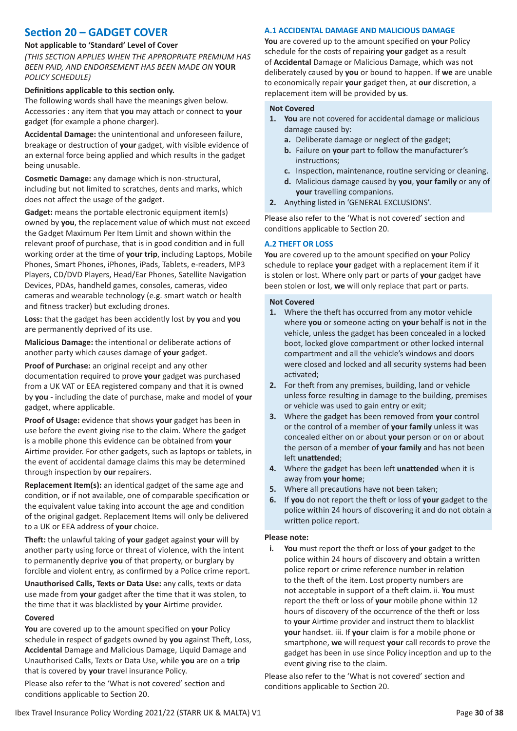# **Section 20 – GADGET COVER**

# **Not applicable to 'Standard' Level of Cover**

*(THIS SECTION APPLIES WHEN THE APPROPRIATE PREMIUM HAS BEEN PAID, AND ENDORSEMENT HAS BEEN MADE ON* **YOUR** *POLICY SCHEDULE)*

# **Definitions applicable to this section only.**

The following words shall have the meanings given below. Accessories : any item that **you** may attach or connect to **your** gadget (for example a phone charger).

**Accidental Damage:** the unintentional and unforeseen failure, breakage or destruction of **your** gadget, with visible evidence of an external force being applied and which results in the gadget being unusable.

**Cosmetic Damage:** any damage which is non-structural, including but not limited to scratches, dents and marks, which does not affect the usage of the gadget.

**Gadget:** means the portable electronic equipment item(s) owned by **you**, the replacement value of which must not exceed the Gadget Maximum Per Item Limit and shown within the relevant proof of purchase, that is in good condition and in full working order at the time of **your trip**, including Laptops, Mobile Phones, Smart Phones, iPhones, iPads, Tablets, e-readers, MP3 Players, CD/DVD Players, Head/Ear Phones, Satellite Navigation Devices, PDAs, handheld games, consoles, cameras, video cameras and wearable technology (e.g. smart watch or health and fitness tracker) but excluding drones.

**Loss:** that the gadget has been accidently lost by **you** and **you** are permanently deprived of its use.

**Malicious Damage:** the intentional or deliberate actions of another party which causes damage of **your** gadget.

**Proof of Purchase:** an original receipt and any other documentation required to prove **your** gadget was purchased from a UK VAT or EEA registered company and that it is owned by **you** - including the date of purchase, make and model of **your** gadget, where applicable.

**Proof of Usage:** evidence that shows **your** gadget has been in use before the event giving rise to the claim. Where the gadget is a mobile phone this evidence can be obtained from **your** Airtime provider. For other gadgets, such as laptops or tablets, in the event of accidental damage claims this may be determined through inspection by **our** repairers.

**Replacement Item(s):** an identical gadget of the same age and condition, or if not available, one of comparable specification or the equivalent value taking into account the age and condition of the original gadget. Replacement Items will only be delivered to a UK or EEA address of **your** choice.

**Theft:** the unlawful taking of **your** gadget against **your** will by another party using force or threat of violence, with the intent to permanently deprive **you** of that property, or burglary by forcible and violent entry, as confirmed by a Police crime report.

**Unauthorised Calls, Texts or Data Use:** any calls, texts or data use made from **your** gadget after the time that it was stolen, to the time that it was blacklisted by **your** Airtime provider.

#### **Covered**

**You** are covered up to the amount specified on **your** Policy schedule in respect of gadgets owned by **you** against Theft, Loss, **Accidental** Damage and Malicious Damage, Liquid Damage and Unauthorised Calls, Texts or Data Use, while **you** are on a **trip** that is covered by **your** travel insurance Policy.

Please also refer to the 'What is not covered' section and conditions applicable to Section 20.

# **A.1 ACCIDENTAL DAMAGE AND MALICIOUS DAMAGE**

**You** are covered up to the amount specified on **your** Policy schedule for the costs of repairing **your** gadget as a result of **Accidental** Damage or Malicious Damage, which was not deliberately caused by **you** or bound to happen. If **we** are unable to economically repair **your** gadget then, at **our** discretion, a replacement item will be provided by **us**.

# **Not Covered**

- **1. You** are not covered for accidental damage or malicious damage caused by:
	- **a.** Deliberate damage or neglect of the gadget;
	- **b.** Failure on **your** part to follow the manufacturer's instructions;
	- **c.** Inspection, maintenance, routine servicing or cleaning.
	- **d.** Malicious damage caused by **you**, **your family** or any of **your** travelling companions.
- **2.** Anything listed in 'GENERAL EXCLUSIONS'.

Please also refer to the 'What is not covered' section and conditions applicable to Section 20.

# **A.2 THEFT OR LOSS**

**You** are covered up to the amount specified on **your** Policy schedule to replace **your** gadget with a replacement item if it is stolen or lost. Where only part or parts of **your** gadget have been stolen or lost, **we** will only replace that part or parts.

#### **Not Covered**

- **1.** Where the theft has occurred from any motor vehicle where **you** or someone acting on **your** behalf is not in the vehicle, unless the gadget has been concealed in a locked boot, locked glove compartment or other locked internal compartment and all the vehicle's windows and doors were closed and locked and all security systems had been activated;
- **2.** For theft from any premises, building, land or vehicle unless force resulting in damage to the building, premises or vehicle was used to gain entry or exit;
- **3.** Where the gadget has been removed from **your** control or the control of a member of **your family** unless it was concealed either on or about **your** person or on or about the person of a member of **your family** and has not been left **unattended**;
- **4.** Where the gadget has been left **unattended** when it is away from **your home**;
- **5.** Where all precautions have not been taken;
- **6.** If **you** do not report the theft or loss of **your** gadget to the police within 24 hours of discovering it and do not obtain a written police report.

#### **Please note:**

**i. You** must report the theft or loss of **your** gadget to the police within 24 hours of discovery and obtain a written police report or crime reference number in relation to the theft of the item. Lost property numbers are not acceptable in support of a theft claim. ii. **You** must report the theft or loss of **your** mobile phone within 12 hours of discovery of the occurrence of the theft or loss to **your** Airtime provider and instruct them to blacklist **your** handset. iii. If **your** claim is for a mobile phone or smartphone, **we** will request **your** call records to prove the gadget has been in use since Policy inception and up to the event giving rise to the claim.

Please also refer to the 'What is not covered' section and conditions applicable to Section 20.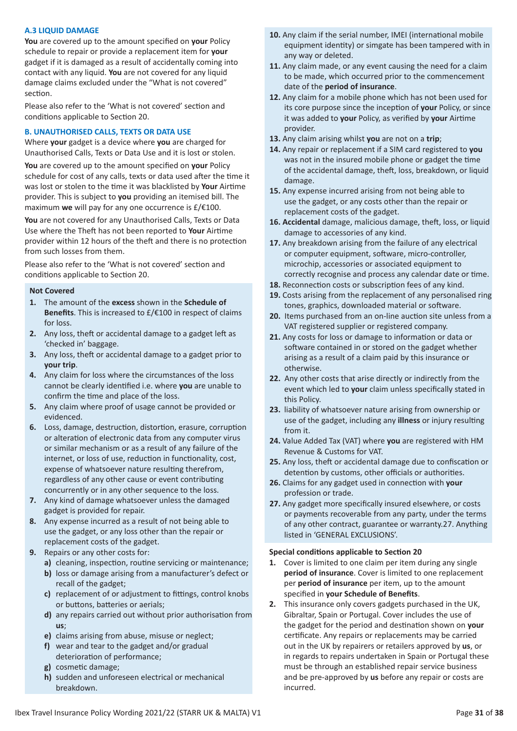# **A.3 LIQUID DAMAGE**

**You** are covered up to the amount specified on **your** Policy schedule to repair or provide a replacement item for **your** gadget if it is damaged as a result of accidentally coming into contact with any liquid. **You** are not covered for any liquid damage claims excluded under the "What is not covered" section.

Please also refer to the 'What is not covered' section and conditions applicable to Section 20.

# **B. UNAUTHORISED CALLS, TEXTS OR DATA USE**

Where **your** gadget is a device where **you** are charged for Unauthorised Calls, Texts or Data Use and it is lost or stolen.

**You** are covered up to the amount specified on **your** Policy schedule for cost of any calls, texts or data used after the time it was lost or stolen to the time it was blacklisted by **Your** Airtime provider. This is subject to **you** providing an itemised bill. The maximum **we** will pay for any one occurrence is £/€100.

**You** are not covered for any Unauthorised Calls, Texts or Data Use where the Theft has not been reported to **Your** Airtime provider within 12 hours of the theft and there is no protection from such losses from them.

Please also refer to the 'What is not covered' section and conditions applicable to Section 20.

# **Not Covered**

- **1.** The amount of the **excess** shown in the **Schedule of Benefits**. This is increased to £/€100 in respect of claims for loss.
- **2.** Any loss, theft or accidental damage to a gadget left as 'checked in' baggage.
- **3.** Any loss, theft or accidental damage to a gadget prior to **your trip**.
- **4.** Any claim for loss where the circumstances of the loss cannot be clearly identified i.e. where **you** are unable to confirm the time and place of the loss.
- **5.** Any claim where proof of usage cannot be provided or evidenced.
- **6.** Loss, damage, destruction, distortion, erasure, corruption or alteration of electronic data from any computer virus or similar mechanism or as a result of any failure of the internet, or loss of use, reduction in functionality, cost, expense of whatsoever nature resulting therefrom, regardless of any other cause or event contributing concurrently or in any other sequence to the loss.
- **7.** Any kind of damage whatsoever unless the damaged gadget is provided for repair.
- **8.** Any expense incurred as a result of not being able to use the gadget, or any loss other than the repair or replacement costs of the gadget.
- **9.** Repairs or any other costs for:
	- **a)** cleaning, inspection, routine servicing or maintenance;
	- **b)** loss or damage arising from a manufacturer's defect or recall of the gadget;
	- **c)** replacement of or adjustment to fittings, control knobs or buttons, batteries or aerials;
	- **d)** any repairs carried out without prior authorisation from **us**;
	- **e)** claims arising from abuse, misuse or neglect;
	- **f)** wear and tear to the gadget and/or gradual deterioration of performance;
	- **g)** cosmetic damage;
	- **h)** sudden and unforeseen electrical or mechanical breakdown.
- **10.** Any claim if the serial number, IMEI (international mobile equipment identity) or simgate has been tampered with in any way or deleted.
- **11.** Any claim made, or any event causing the need for a claim to be made, which occurred prior to the commencement date of the **period of insurance**.
- **12.** Any claim for a mobile phone which has not been used for its core purpose since the inception of **your** Policy, or since it was added to **your** Policy, as verified by **your** Airtime provider.
- **13.** Any claim arising whilst **you** are not on a **trip**;
- **14.** Any repair or replacement if a SIM card registered to **you** was not in the insured mobile phone or gadget the time of the accidental damage, theft, loss, breakdown, or liquid damage.
- **15.** Any expense incurred arising from not being able to use the gadget, or any costs other than the repair or replacement costs of the gadget.
- **16. Accidental** damage, malicious damage, theft, loss, or liquid damage to accessories of any kind.
- **17.** Any breakdown arising from the failure of any electrical or computer equipment, software, micro-controller, microchip, accessories or associated equipment to correctly recognise and process any calendar date or time.
- **18.** Reconnection costs or subscription fees of any kind.
- **19.** Costs arising from the replacement of any personalised ring tones, graphics, downloaded material or software.
- **20.** Items purchased from an on-line auction site unless from a VAT registered supplier or registered company.
- **21.** Any costs for loss or damage to information or data or software contained in or stored on the gadget whether arising as a result of a claim paid by this insurance or otherwise.
- **22.** Any other costs that arise directly or indirectly from the event which led to **your** claim unless specifically stated in this Policy.
- **23.** liability of whatsoever nature arising from ownership or use of the gadget, including any **illness** or injury resulting from it.
- **24.** Value Added Tax (VAT) where **you** are registered with HM Revenue & Customs for VAT.
- **25.** Any loss, theft or accidental damage due to confiscation or detention by customs, other officials or authorities.
- **26.** Claims for any gadget used in connection with **your** profession or trade.
- **27.** Any gadget more specifically insured elsewhere, or costs or payments recoverable from any party, under the terms of any other contract, guarantee or warranty.27. Anything listed in 'GENERAL EXCLUSIONS'.

# **Special conditions applicable to Section 20**

- **1.** Cover is limited to one claim per item during any single **period of insurance**. Cover is limited to one replacement per **period of insurance** per item, up to the amount specified in **your Schedule of Benefits**.
- **2.** This insurance only covers gadgets purchased in the UK, Gibraltar, Spain or Portugal. Cover includes the use of the gadget for the period and destination shown on **your** certificate. Any repairs or replacements may be carried out in the UK by repairers or retailers approved by **us**, or in regards to repairs undertaken in Spain or Portugal these must be through an established repair service business and be pre-approved by **us** before any repair or costs are incurred.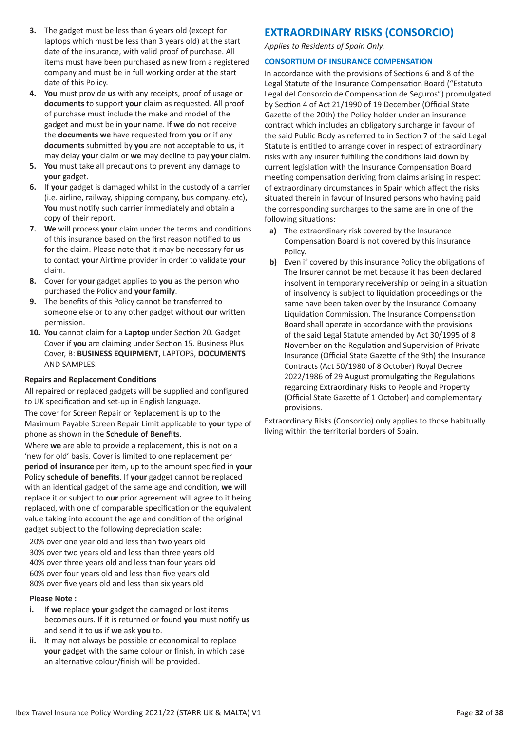- **3.** The gadget must be less than 6 years old (except for laptops which must be less than 3 years old) at the start date of the insurance, with valid proof of purchase. All items must have been purchased as new from a registered company and must be in full working order at the start date of this Policy.
- **4. You** must provide **us** with any receipts, proof of usage or **documents** to support **your** claim as requested. All proof of purchase must include the make and model of the gadget and must be in **your** name. If **we** do not receive the **documents we** have requested from **you** or if any **documents** submitted by **you** are not acceptable to **us**, it may delay **your** claim or **we** may decline to pay **your** claim.
- **5. You** must take all precautions to prevent any damage to **your** gadget.
- **6.** If **your** gadget is damaged whilst in the custody of a carrier (i.e. airline, railway, shipping company, bus company. etc), **You** must notify such carrier immediately and obtain a copy of their report.
- **7. We** will process **your** claim under the terms and conditions of this insurance based on the first reason notified to **us** for the claim. Please note that it may be necessary for **us** to contact **your** Airtime provider in order to validate **your** claim.
- **8.** Cover for **your** gadget applies to **you** as the person who purchased the Policy and **your family**.
- **9.** The benefits of this Policy cannot be transferred to someone else or to any other gadget without **our** written permission.
- **10. You** cannot claim for a **Laptop** under Section 20. Gadget Cover if **you** are claiming under Section 15. Business Plus Cover, B: **BUSINESS EQUIPMENT**, LAPTOPS, **DOCUMENTS** AND SAMPLES.

# **Repairs and Replacement Conditions**

All repaired or replaced gadgets will be supplied and configured to UK specification and set-up in English language.

The cover for Screen Repair or Replacement is up to the Maximum Payable Screen Repair Limit applicable to **your** type of phone as shown in the **Schedule of Benefits**.

Where **we** are able to provide a replacement, this is not on a 'new for old' basis. Cover is limited to one replacement per **period of insurance** per item, up to the amount specified in **your** Policy **schedule of benefits**. If **your** gadget cannot be replaced with an identical gadget of the same age and condition, **we** will replace it or subject to **our** prior agreement will agree to it being replaced, with one of comparable specification or the equivalent value taking into account the age and condition of the original gadget subject to the following depreciation scale:

20% over one year old and less than two years old 30% over two years old and less than three years old 40% over three years old and less than four years old 60% over four years old and less than five years old 80% over five years old and less than six years old

# **Please Note :**

- **i.** If **we** replace **your** gadget the damaged or lost items becomes ours. If it is returned or found **you** must notify **us** and send it to **us** if **we** ask **you** to.
- **ii.** It may not always be possible or economical to replace **your** gadget with the same colour or finish, in which case an alternative colour/finish will be provided.

# **EXTRAORDINARY RISKS (CONSORCIO)**

*Applies to Residents of Spain Only.*

# **CONSORTIUM OF INSURANCE COMPENSATION**

In accordance with the provisions of Sections 6 and 8 of the Legal Statute of the Insurance Compensation Board ("Estatuto Legal del Consorcio de Compensacion de Seguros") promulgated by Section 4 of Act 21/1990 of 19 December (Official State Gazette of the 20th) the Policy holder under an insurance contract which includes an obligatory surcharge in favour of the said Public Body as referred to in Section 7 of the said Legal Statute is entitled to arrange cover in respect of extraordinary risks with any insurer fulfilling the conditions laid down by current legislation with the Insurance Compensation Board meeting compensation deriving from claims arising in respect of extraordinary circumstances in Spain which affect the risks situated therein in favour of Insured persons who having paid the corresponding surcharges to the same are in one of the following situations:

- **a)** The extraordinary risk covered by the Insurance Compensation Board is not covered by this insurance Policy.
- **b)** Even if covered by this insurance Policy the obligations of The Insurer cannot be met because it has been declared insolvent in temporary receivership or being in a situation of insolvency is subject to liquidation proceedings or the same have been taken over by the Insurance Company Liquidation Commission. The Insurance Compensation Board shall operate in accordance with the provisions of the said Legal Statute amended by Act 30/1995 of 8 November on the Regulation and Supervision of Private Insurance (Official State Gazette of the 9th) the Insurance Contracts (Act 50/1980 of 8 October) Royal Decree 2022/1986 of 29 August promulgating the Regulations regarding Extraordinary Risks to People and Property (Official State Gazette of 1 October) and complementary provisions.

Extraordinary Risks (Consorcio) only applies to those habitually living within the territorial borders of Spain.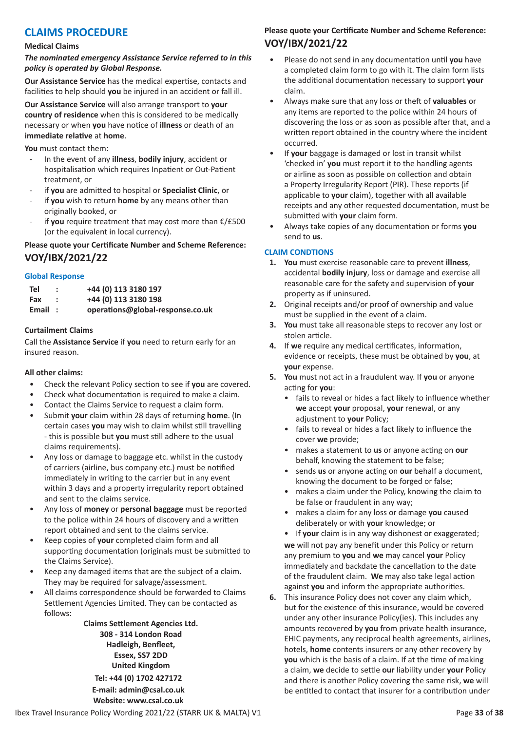# **CLAIMS PROCEDURE**

#### **Medical Claims**

*The nominated emergency Assistance Service referred to in this policy is operated by Global Response.*

**Our Assistance Service** has the medical expertise, contacts and facilities to help should **you** be injured in an accident or fall ill.

**Our Assistance Service** will also arrange transport to **your country of residence** when this is considered to be medically necessary or when **you** have notice of **illness** or death of an **immediate relative** at **home**.

**You** must contact them:

- In the event of any **illness**, **bodily injury**, accident or hospitalisation which requires Inpatient or Out-Patient treatment, or
- if **you** are admitted to hospital or **Specialist Clinic**, or
- if you wish to return home by any means other than originally booked, or
- if you require treatment that may cost more than €/£500 (or the equivalent in local currency).

# **Please quote your Certificate Number and Scheme Reference: VOY/IBX/2021/22**

# **Global Response**

| Tel    | +44 (0) 113 3180 197             |
|--------|----------------------------------|
| Fax    | +44 (0) 113 3180 198             |
| Email: | operations@global-response.co.uk |

# **Curtailment Claims**

Call the **Assistance Service** if **you** need to return early for an insured reason.

# **All other claims:**

- Check the relevant Policy section to see if **you** are covered.
- Check what documentation is required to make a claim.
- Contact the Claims Service to request a claim form.
- Submit **your** claim within 28 days of returning **home**. (In certain cases **you** may wish to claim whilst still travelling - this is possible but **you** must still adhere to the usual claims requirements).
- Any loss or damage to baggage etc. whilst in the custody of carriers (airline, bus company etc.) must be notified immediately in writing to the carrier but in any event within 3 days and a property irregularity report obtained and sent to the claims service.
- Any loss of **money** or **personal baggage** must be reported to the police within 24 hours of discovery and a written report obtained and sent to the claims service.
- Keep copies of **your** completed claim form and all supporting documentation (originals must be submitted to the Claims Service).
- Keep any damaged items that are the subject of a claim. They may be required for salvage/assessment.
- All claims correspondence should be forwarded to Claims Settlement Agencies Limited. They can be contacted as follows:

**Claims Settlement Agencies Ltd. 308 - 314 London Road Hadleigh, Benfleet, Essex, SS7 2DD United Kingdom**

**Tel: +44 (0) 1702 427172 E-mail: admin@csal.co.uk Website: www.csal.co.uk**

# **Please quote your Certificate Number and Scheme Reference: VOY/IBX/2021/22**

- Please do not send in any documentation until **you** have a completed claim form to go with it. The claim form lists the additional documentation necessary to support **your** claim.
- Always make sure that any loss or theft of **valuables** or any items are reported to the police within 24 hours of discovering the loss or as soon as possible after that, and a written report obtained in the country where the incident occurred.
- If **your** baggage is damaged or lost in transit whilst 'checked in' **you** must report it to the handling agents or airline as soon as possible on collection and obtain a Property Irregularity Report (PIR). These reports (if applicable to **your** claim), together with all available receipts and any other requested documentation, must be submitted with **your** claim form.
- Always take copies of any documentation or forms **you** send to **us**.

# **CLAIM CONDTIONS**

- **1. You** must exercise reasonable care to prevent **illness**, accidental **bodily injury**, loss or damage and exercise all reasonable care for the safety and supervision of **your** property as if uninsured.
- **2.** Original receipts and/or proof of ownership and value must be supplied in the event of a claim.
- **3. You** must take all reasonable steps to recover any lost or stolen article.
- **4.** If **we** require any medical certificates, information, evidence or receipts, these must be obtained by **you**, at **your** expense.
- **5. You** must not act in a fraudulent way. If **you** or anyone acting for **you**:
	- fails to reveal or hides a fact likely to influence whether **we** accept **your** proposal, **your** renewal, or any adjustment to **your** Policy;
	- fails to reveal or hides a fact likely to influence the cover **we** provide;
	- makes a statement to **us** or anyone acting on **our** behalf, knowing the statement to be false;
	- sends **us** or anyone acting on **our** behalf a document, knowing the document to be forged or false;
	- makes a claim under the Policy, knowing the claim to be false or fraudulent in any way;
	- makes a claim for any loss or damage **you** caused deliberately or with **your** knowledge; or
	- If **your** claim is in any way dishonest or exaggerated; **we** will not pay any benefit under this Policy or return any premium to **you** and **we** may cancel **your** Policy immediately and backdate the cancellation to the date of the fraudulent claim. **We** may also take legal action against **you** and inform the appropriate authorities.
- **6.** This insurance Policy does not cover any claim which, but for the existence of this insurance, would be covered under any other insurance Policy(ies). This includes any amounts recovered by **you** from private health insurance, EHIC payments, any reciprocal health agreements, airlines, hotels, **home** contents insurers or any other recovery by **you** which is the basis of a claim. If at the time of making a claim, **we** decide to settle **our** liability under **your** Policy and there is another Policy covering the same risk, **we** will be entitled to contact that insurer for a contribution under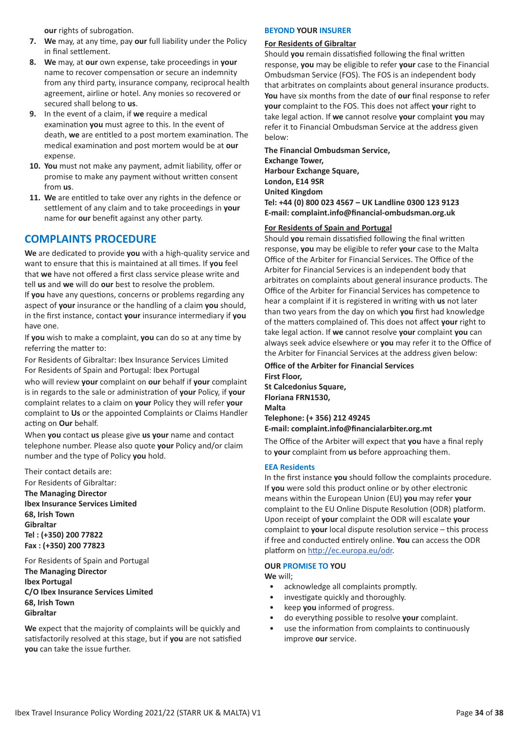**our** rights of subrogation.

- **7. We** may, at any time, pay **our** full liability under the Policy in final settlement.
- **8. We** may, at **our** own expense, take proceedings in **your** name to recover compensation or secure an indemnity from any third party, insurance company, reciprocal health agreement, airline or hotel. Any monies so recovered or secured shall belong to **us**.
- **9.** In the event of a claim, if **we** require a medical examination **you** must agree to this. In the event of death, **we** are entitled to a post mortem examination. The medical examination and post mortem would be at **our** expense.
- **10. You** must not make any payment, admit liability, offer or promise to make any payment without written consent from **us**.
- **11. We** are entitled to take over any rights in the defence or settlement of any claim and to take proceedings in **your** name for **our** benefit against any other party.

# **COMPLAINTS PROCEDURE**

**We** are dedicated to provide **you** with a high-quality service and want to ensure that this is maintained at all times. If **you** feel that **we** have not offered a first class service please write and tell **us** and **we** will do **our** best to resolve the problem. If **you** have any questions, concerns or problems regarding any aspect of **your** insurance or the handling of a claim **you** should, in the first instance, contact **your** insurance intermediary if **you** have one.

If **you** wish to make a complaint, **you** can do so at any time by referring the matter to:

For Residents of Gibraltar: Ibex Insurance Services Limited For Residents of Spain and Portugal: Ibex Portugal

who will review **your** complaint on **our** behalf if **your** complaint is in regards to the sale or administration of **your** Policy, if **your** complaint relates to a claim on **your** Policy they will refer **your** complaint to **Us** or the appointed Complaints or Claims Handler acting on **Our** behalf.

When **you** contact **us** please give **us your** name and contact telephone number. Please also quote **your** Policy and/or claim number and the type of Policy **you** hold.

Their contact details are:

For Residents of Gibraltar: **The Managing Director Ibex Insurance Services Limited 68, Irish Town Gibraltar Tel : (+350) 200 77822 Fax : (+350) 200 77823**

For Residents of Spain and Portugal **The Managing Director Ibex Portugal C/O Ibex Insurance Services Limited 68, Irish Town Gibraltar**

**We** expect that the majority of complaints will be quickly and satisfactorily resolved at this stage, but if **you** are not satisfied **you** can take the issue further.

# **BEYOND YOUR INSURER**

# **For Residents of Gibraltar**

Should **you** remain dissatisfied following the final written response, **you** may be eligible to refer **your** case to the Financial Ombudsman Service (FOS). The FOS is an independent body that arbitrates on complaints about general insurance products. **You** have six months from the date of **our** final response to refer **your** complaint to the FOS. This does not affect **your** right to take legal action. If **we** cannot resolve **your** complaint **you** may refer it to Financial Ombudsman Service at the address given below:

**The Financial Ombudsman Service, Exchange Tower, Harbour Exchange Square, London, E14 9SR United Kingdom Tel: +44 (0) 800 023 4567 – UK Landline 0300 123 9123 E-mail: complaint.info@financial-ombudsman.org.uk**

# **For Residents of Spain and Portugal**

Should **you** remain dissatisfied following the final written response, **you** may be eligible to refer **your** case to the Malta Office of the Arbiter for Financial Services. The Office of the Arbiter for Financial Services is an independent body that arbitrates on complaints about general insurance products. The Office of the Arbiter for Financial Services has competence to hear a complaint if it is registered in writing with **us** not later than two years from the day on which **you** first had knowledge of the matters complained of. This does not affect **your** right to take legal action. If **we** cannot resolve **your** complaint **you** can always seek advice elsewhere or **you** may refer it to the Office of the Arbiter for Financial Services at the address given below:

**Office of the Arbiter for Financial Services First Floor, St Calcedonius Square, Floriana FRN1530, Malta Telephone: (+ 356) 212 49245 E-mail: complaint.info@financialarbiter.org.mt**

The Office of the Arbiter will expect that **you** have a final reply to **your** complaint from **us** before approaching them.

# **EEA Residents**

In the first instance **you** should follow the complaints procedure. If **you** were sold this product online or by other electronic means within the European Union (EU) **you** may refer **your** complaint to the EU Online Dispute Resolution (ODR) platform. Upon receipt of **your** complaint the ODR will escalate **your** complaint to **your** local dispute resolution service – this process if free and conducted entirely online. **You** can access the ODR platform on http://ec.europa.eu/odr.

# **OUR PROMISE TO YOU**

**We** will;

- acknowledge all complaints promptly.
- investigate quickly and thoroughly.
- keep **you** informed of progress.
- do everything possible to resolve **your** complaint.
- use the information from complaints to continuously improve **our** service.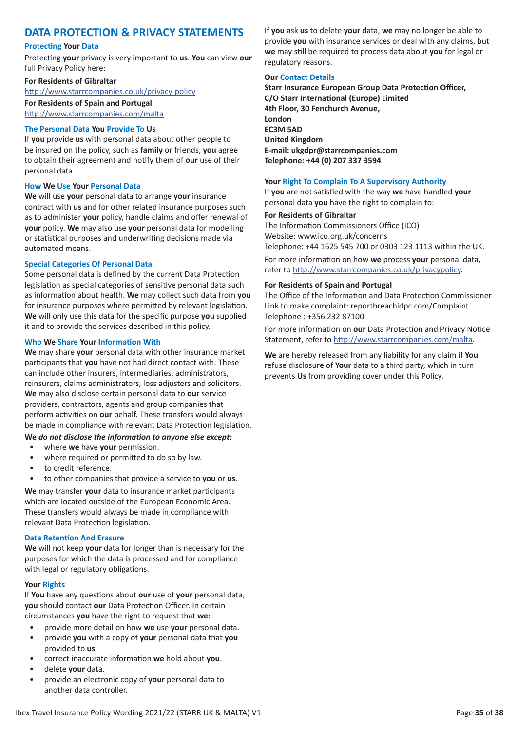# **DATA PROTECTION & PRIVACY STATEMENTS**

### **Protecting Your Data**

Protecting **your** privacy is very important to **us**. **You** can view **our** full Privacy Policy here:

# **For Residents of Gibraltar**

http://www.starrcompanies.co.uk/privacy-policy

**For Residents of Spain and Portugal** http://www.starrcompanies.com/malta

# **The Personal Data You Provide To Us**

If **you** provide **us** with personal data about other people to be insured on the policy, such as **family** or friends, **you** agree to obtain their agreement and notify them of **our** use of their personal data.

#### **How We Use Your Personal Data**

**We** will use **your** personal data to arrange **your** insurance contract with **us** and for other related insurance purposes such as to administer **your** policy, handle claims and offer renewal of **your** policy. **We** may also use **your** personal data for modelling or statistical purposes and underwriting decisions made via automated means.

# **Special Categories Of Personal Data**

Some personal data is defined by the current Data Protection legislation as special categories of sensitive personal data such as information about health. **We** may collect such data from **you** for insurance purposes where permitted by relevant legislation. **We** will only use this data for the specific purpose **you** supplied it and to provide the services described in this policy.

#### **Who We Share Your Information With**

**We** may share **your** personal data with other insurance market participants that **you** have not had direct contact with. These can include other insurers, intermediaries, administrators, reinsurers, claims administrators, loss adjusters and solicitors. **We** may also disclose certain personal data to **our** service providers, contractors, agents and group companies that perform activities on **our** behalf. These transfers would always be made in compliance with relevant Data Protection legislation.

# **We** *do not disclose the information to anyone else except:*

- where **we** have **your** permission.
- where required or permitted to do so by law.
- to credit reference.
- to other companies that provide a service to **you** or **us**.

**We** may transfer **your** data to insurance market participants which are located outside of the European Economic Area. These transfers would always be made in compliance with relevant Data Protection legislation.

# **Data Retention And Erasure**

**We** will not keep **your** data for longer than is necessary for the purposes for which the data is processed and for compliance with legal or regulatory obligations.

#### **Your Rights**

If **You** have any questions about **our** use of **your** personal data, **you** should contact **our** Data Protection Officer. In certain circumstances **you** have the right to request that **we**:

- provide more detail on how **we** use **your** personal data.
- provide **you** with a copy of **your** personal data that **you** provided to **us**.
- correct inaccurate information **we** hold about **you**.
- delete **your** data.
- provide an electronic copy of **your** personal data to another data controller.

If **you** ask **us** to delete **your** data, **we** may no longer be able to provide **you** with insurance services or deal with any claims, but **we** may still be required to process data about **you** for legal or regulatory reasons.

### **Our Contact Details**

**Starr Insurance European Group Data Protection Officer, C/O Starr International (Europe) Limited 4th Floor, 30 Fenchurch Avenue, London EC3M 5AD United Kingdom E-mail: ukgdpr@starrcompanies.com Telephone: +44 (0) 207 337 3594**

# **Your Right To Complain To A Supervisory Authority**

If **you** are not satisfied with the way **we** have handled **your** personal data **you** have the right to complain to:

#### **For Residents of Gibraltar**

The Information Commissioners Office (ICO) Website: www.ico.org.uk/concerns Telephone: +44 1625 545 700 or 0303 123 1113 within the UK.

For more information on how **we** process **your** personal data, refer to http://www.starrcompanies.co.uk/privacypolicy.

#### **For Residents of Spain and Portugal**

The Office of the Information and Data Protection Commissioner Link to make complaint: reportbreachidpc.com/Complaint Telephone : +356 232 87100

For more information on **our** Data Protection and Privacy Notice Statement, refer to http://www.starrcompanies.com/malta.

**We** are hereby released from any liability for any claim if **You** refuse disclosure of **Your** data to a third party, which in turn prevents **Us** from providing cover under this Policy.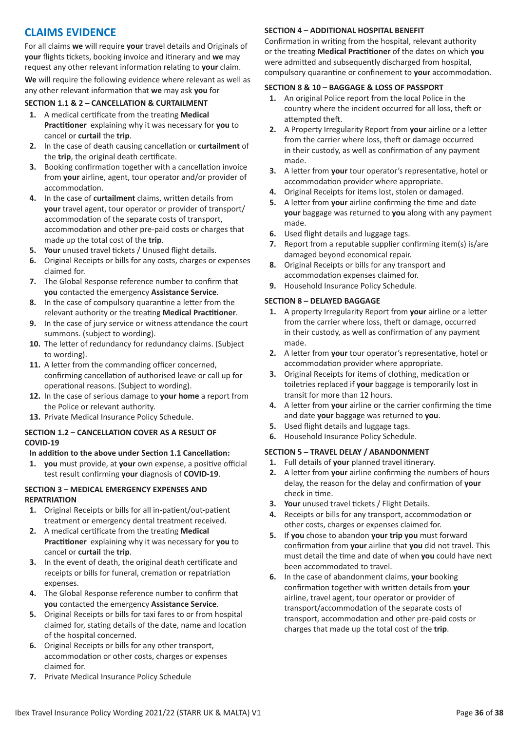# **CLAIMS EVIDENCE**

For all claims **we** will require **your** travel details and Originals of **your** flights tickets, booking invoice and itinerary and **we** may request any other relevant information relating to **your** claim.

**We** will require the following evidence where relevant as well as any other relevant information that **we** may ask **you** for

# **SECTION 1.1 & 2 – CANCELLATION & CURTAILMENT**

- **1.** A medical certificate from the treating **Medical Practitioner** explaining why it was necessary for **you** to cancel or **curtail** the **trip**.
- **2.** In the case of death causing cancellation or **curtailment** of the **trip**, the original death certificate.
- **3.** Booking confirmation together with a cancellation invoice from **your** airline, agent, tour operator and/or provider of accommodation.
- **4.** In the case of **curtailment** claims, written details from **your** travel agent, tour operator or provider of transport/ accommodation of the separate costs of transport, accommodation and other pre-paid costs or charges that made up the total cost of the **trip**.
- **5. Your** unused travel tickets / Unused flight details.
- **6.** Original Receipts or bills for any costs, charges or expenses claimed for.
- **7.** The Global Response reference number to confirm that **you** contacted the emergency **Assistance Service**.
- **8.** In the case of compulsory quarantine a letter from the relevant authority or the treating **Medical Practitioner**.
- **9.** In the case of jury service or witness attendance the court summons. (subject to wording).
- **10.** The letter of redundancy for redundancy claims. (Subject to wording).
- **11.** A letter from the commanding officer concerned, confirming cancellation of authorised leave or call up for operational reasons. (Subject to wording).
- **12.** In the case of serious damage to **your home** a report from the Police or relevant authority.
- **13.** Private Medical Insurance Policy Schedule.

# **SECTION 1.2 – CANCELLATION COVER AS A RESULT OF COVID-19**

# **In addition to the above under Section 1.1 Cancellation:**

**1. you** must provide, at **your** own expense, a positive official test result confirming **your** diagnosis of **COVID-19**.

# **SECTION 3 – MEDICAL EMERGENCY EXPENSES AND REPATRIATION**

- **1.** Original Receipts or bills for all in-patient/out-patient treatment or emergency dental treatment received.
- **2.** A medical certificate from the treating **Medical Practitioner** explaining why it was necessary for **you** to cancel or **curtail** the **trip**.
- **3.** In the event of death, the original death certificate and receipts or bills for funeral, cremation or repatriation expenses.
- **4.** The Global Response reference number to confirm that **you** contacted the emergency **Assistance Service**.
- **5.** Original Receipts or bills for taxi fares to or from hospital claimed for, stating details of the date, name and location of the hospital concerned.
- **6.** Original Receipts or bills for any other transport, accommodation or other costs, charges or expenses claimed for.
- **7.** Private Medical Insurance Policy Schedule

# **SECTION 4 – ADDITIONAL HOSPITAL BENEFIT**

Confirmation in writing from the hospital, relevant authority or the treating **Medical Practitioner** of the dates on which **you** were admitted and subsequently discharged from hospital, compulsory quarantine or confinement to **your** accommodation.

# **SECTION 8 & 10 – BAGGAGE & LOSS OF PASSPORT**

- **1.** An original Police report from the local Police in the country where the incident occurred for all loss, theft or attempted theft.
- **2.** A Property Irregularity Report from **your** airline or a letter from the carrier where loss, theft or damage occurred in their custody, as well as confirmation of any payment made.
- **3.** A letter from **your** tour operator's representative, hotel or accommodation provider where appropriate.
- **4.** Original Receipts for items lost, stolen or damaged.
- **5.** A letter from **your** airline confirming the time and date **your** baggage was returned to **you** along with any payment made.
- **6.** Used flight details and luggage tags.
- **7.** Report from a reputable supplier confirming item(s) is/are damaged beyond economical repair.
- **8.** Original Receipts or bills for any transport and accommodation expenses claimed for.
- **9.** Household Insurance Policy Schedule.

# **SECTION 8 – DELAYED BAGGAGE**

- **1.** A property Irregularity Report from **your** airline or a letter from the carrier where loss, theft or damage, occurred in their custody, as well as confirmation of any payment made.
- **2.** A letter from **your** tour operator's representative, hotel or accommodation provider where appropriate.
- **3.** Original Receipts for items of clothing, medication or toiletries replaced if **your** baggage is temporarily lost in transit for more than 12 hours.
- **4.** A letter from **your** airline or the carrier confirming the time and date **your** baggage was returned to **you**.
- **5.** Used flight details and luggage tags.
- **6.** Household Insurance Policy Schedule.

# **SECTION 5 – TRAVEL DELAY / ABANDONMENT**

- **1.** Full details of **your** planned travel itinerary.
- **2.** A letter from **your** airline confirming the numbers of hours delay, the reason for the delay and confirmation of **your** check in time.
- **3. Your** unused travel tickets / Flight Details.
- **4.** Receipts or bills for any transport, accommodation or other costs, charges or expenses claimed for.
- **5.** If **you** chose to abandon **your trip you** must forward confirmation from **your** airline that **you** did not travel. This must detail the time and date of when **you** could have next been accommodated to travel.
- **6.** In the case of abandonment claims, **your** booking confirmation together with written details from **your** airline, travel agent, tour operator or provider of transport/accommodation of the separate costs of transport, accommodation and other pre-paid costs or charges that made up the total cost of the **trip**.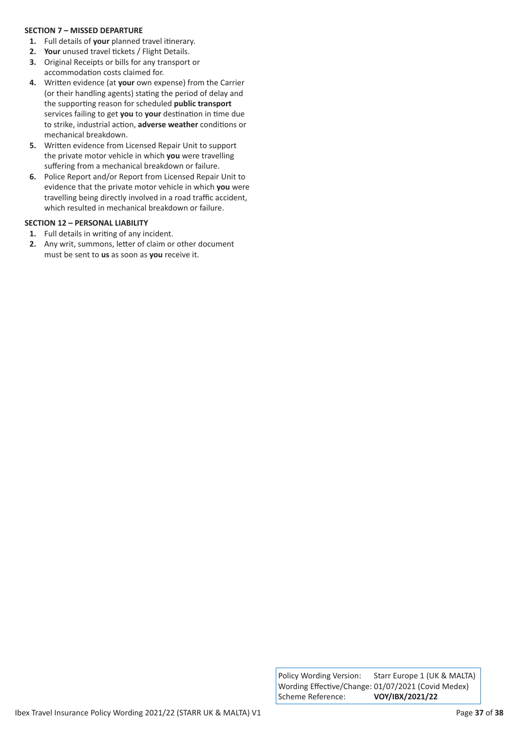# **SECTION 7 – MISSED DEPARTURE**

- **1.** Full details of **your** planned travel itinerary.
- **2. Your** unused travel tickets / Flight Details.
- **3.** Original Receipts or bills for any transport or accommodation costs claimed for.
- **4.** Written evidence (at **your** own expense) from the Carrier (or their handling agents) stating the period of delay and the supporting reason for scheduled **public transport** services failing to get **you** to **your** destination in time due to strike, industrial action, **adverse weather** conditions or mechanical breakdown.
- **5.** Written evidence from Licensed Repair Unit to support the private motor vehicle in which **you** were travelling suffering from a mechanical breakdown or failure.
- **6.** Police Report and/or Report from Licensed Repair Unit to evidence that the private motor vehicle in which **you** were travelling being directly involved in a road traffic accident, which resulted in mechanical breakdown or failure.

# **SECTION 12 – PERSONAL LIABILITY**

- **1.** Full details in writing of any incident.
- **2.** Any writ, summons, letter of claim or other document must be sent to **us** as soon as **you** receive it.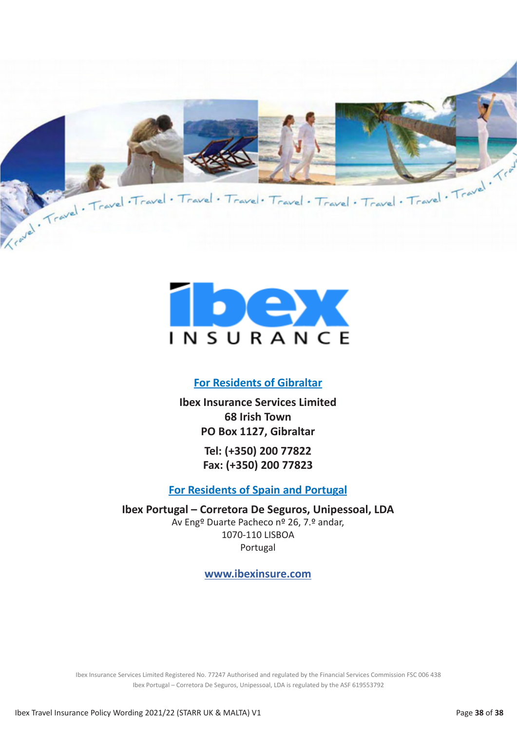



# **For Residents of Gibraltar**

**Ibex Insurance Services Limited 68 Irish Town PO Box 1127, Gibraltar**

> **Tel: (+350) 200 77822 Fax: (+350) 200 77823**

# **For Residents of Spain and Portugal**

**Ibex Portugal – Corretora De Seguros, Unipessoal, LDA**  Av Engº Duarte Pacheco nº 26, 7.º andar, 1070-110 LISBOA

Portugal

**www.ibexinsure.com**

Ibex Insurance Services Limited Registered No. 77247 Authorised and regulated by the Financial Services Commission FSC 006 438 Ibex Portugal – Corretora De Seguros, Unipessoal, LDA is regulated by the ASF 619553792